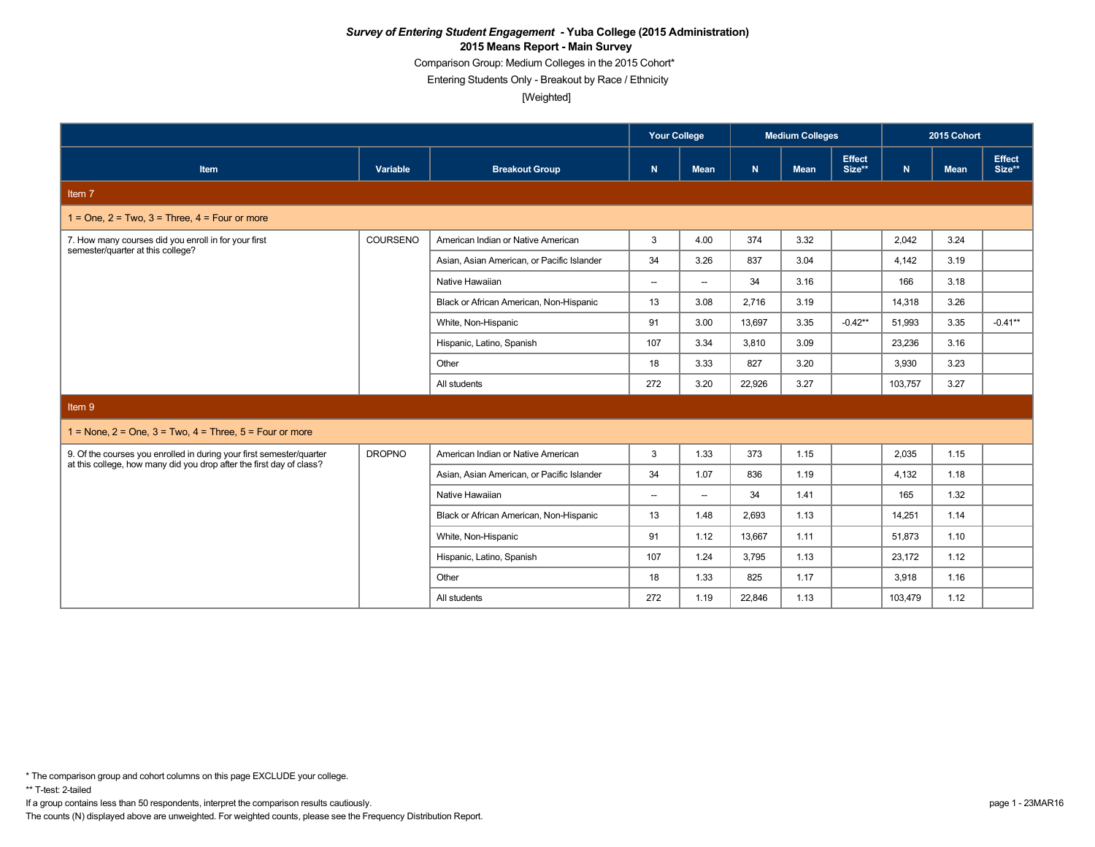Comparison Group: Medium Colleges in the 2015 Cohort\*

Entering Students Only - Breakout by Race / Ethnicity

[Weighted]

|                                                                                                                                           |               |                                            | <b>Your College</b>      |                          |             | <b>Medium Colleges</b> |                         |         | 2015 Cohort |                  |
|-------------------------------------------------------------------------------------------------------------------------------------------|---------------|--------------------------------------------|--------------------------|--------------------------|-------------|------------------------|-------------------------|---------|-------------|------------------|
| Item                                                                                                                                      | Variable      | <b>Breakout Group</b>                      | N                        | <b>Mean</b>              | $\mathbf N$ | <b>Mean</b>            | <b>Effect</b><br>Size** | N.      | <b>Mean</b> | Effect<br>Size** |
| Item 7                                                                                                                                    |               |                                            |                          |                          |             |                        |                         |         |             |                  |
| $1 =$ One, $2 =$ Two, $3 =$ Three, $4 =$ Four or more                                                                                     |               |                                            |                          |                          |             |                        |                         |         |             |                  |
| 7. How many courses did you enroll in for your first<br>semester/quarter at this college?                                                 | COURSENO      | American Indian or Native American         | 3                        | 4.00                     | 374         | 3.32                   |                         | 2,042   | 3.24        |                  |
|                                                                                                                                           |               | Asian, Asian American, or Pacific Islander | 34                       | 3.26                     | 837         | 3.04                   |                         | 4,142   | 3.19        |                  |
|                                                                                                                                           |               | Native Hawaiian                            | $\overline{\phantom{a}}$ | $\overline{\phantom{a}}$ | 34          | 3.16                   |                         | 166     | 3.18        |                  |
|                                                                                                                                           |               | Black or African American, Non-Hispanic    | 13                       | 3.08                     | 2.716       | 3.19                   |                         | 14,318  | 3.26        |                  |
|                                                                                                                                           |               | White, Non-Hispanic                        | 91                       | 3.00                     | 13,697      | 3.35                   | $-0.42**$               | 51,993  | 3.35        | $-0.41**$        |
|                                                                                                                                           |               | Hispanic, Latino, Spanish                  | 107                      | 3.34                     | 3.810       | 3.09                   |                         | 23.236  | 3.16        |                  |
|                                                                                                                                           |               | Other                                      | 18                       | 3.33                     | 827         | 3.20                   |                         | 3,930   | 3.23        |                  |
|                                                                                                                                           |               | All students                               | 272                      | 3.20                     | 22,926      | 3.27                   |                         | 103,757 | 3.27        |                  |
| Item 9                                                                                                                                    |               |                                            |                          |                          |             |                        |                         |         |             |                  |
| $1 =$ None, $2 =$ One, $3 =$ Two, $4 =$ Three, $5 =$ Four or more                                                                         |               |                                            |                          |                          |             |                        |                         |         |             |                  |
| 9. Of the courses you enrolled in during your first semester/quarter at this college, how many did you drop after the first day of class? | <b>DROPNO</b> | American Indian or Native American         | 3                        | 1.33                     | 373         | 1.15                   |                         | 2,035   | 1.15        |                  |
|                                                                                                                                           |               | Asian, Asian American, or Pacific Islander | 34                       | 1.07                     | 836         | 1.19                   |                         | 4,132   | 1.18        |                  |
|                                                                                                                                           |               | Native Hawaiian                            | $\overline{\phantom{a}}$ | $\overline{\phantom{a}}$ | 34          | 1.41                   |                         | 165     | 1.32        |                  |
|                                                                                                                                           |               | Black or African American, Non-Hispanic    | 13                       | 1.48                     | 2.693       | 1.13                   |                         | 14,251  | 1.14        |                  |
|                                                                                                                                           |               | White, Non-Hispanic                        | 91                       | 1.12                     | 13.667      | 1.11                   |                         | 51.873  | 1.10        |                  |
|                                                                                                                                           |               | Hispanic, Latino, Spanish                  | 107                      | 1.24                     | 3,795       | 1.13                   |                         | 23,172  | 1.12        |                  |
|                                                                                                                                           |               | Other                                      | 18                       | 1.33                     | 825         | 1.17                   |                         | 3,918   | 1.16        |                  |
|                                                                                                                                           |               | All students                               | 272                      | 1.19                     | 22,846      | 1.13                   |                         | 103,479 | 1.12        |                  |

\*\* T-test: 2-tailed

If a group contains less than 50 respondents, interpret the comparison results cautiously. page 1 - 23MAR16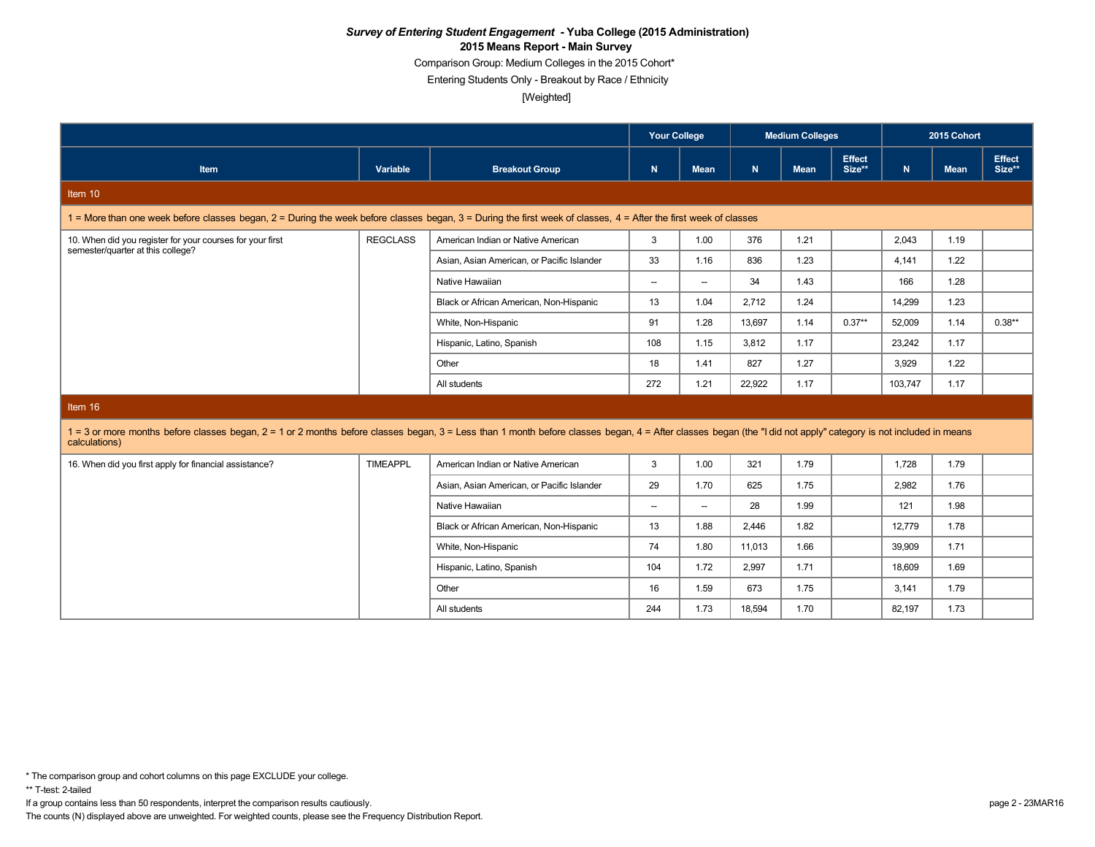Comparison Group: Medium Colleges in the 2015 Cohort\*

Entering Students Only - Breakout by Race / Ethnicity

[Weighted]

|                                                                                                                                                                                                                                  |                 |                                            | <b>Your College</b><br><b>Medium Colleges</b> |                          |        |             | 2015 Cohort             |         |             |                         |
|----------------------------------------------------------------------------------------------------------------------------------------------------------------------------------------------------------------------------------|-----------------|--------------------------------------------|-----------------------------------------------|--------------------------|--------|-------------|-------------------------|---------|-------------|-------------------------|
| Item                                                                                                                                                                                                                             | Variable        | <b>Breakout Group</b>                      | N                                             | Mean                     | N      | <b>Mean</b> | <b>Effect</b><br>Size** | N       | <b>Mean</b> | <b>Effect</b><br>Size** |
| Item 10                                                                                                                                                                                                                          |                 |                                            |                                               |                          |        |             |                         |         |             |                         |
| 1 = More than one week before classes began, 2 = During the week before classes began, 3 = During the first week of classes, 4 = After the first week of classes                                                                 |                 |                                            |                                               |                          |        |             |                         |         |             |                         |
| 10. When did you register for your courses for your first<br>semester/quarter at this college?                                                                                                                                   | <b>REGCLASS</b> | American Indian or Native American         | 3                                             | 1.00                     | 376    | 1.21        |                         | 2,043   | 1.19        |                         |
|                                                                                                                                                                                                                                  |                 | Asian, Asian American, or Pacific Islander | 33                                            | 1.16                     | 836    | 1.23        |                         | 4,141   | 1.22        |                         |
|                                                                                                                                                                                                                                  |                 | Native Hawaiian                            | $\overline{\phantom{a}}$                      | $\overline{\phantom{0}}$ | 34     | 1.43        |                         | 166     | 1.28        |                         |
|                                                                                                                                                                                                                                  |                 | Black or African American, Non-Hispanic    | 13                                            | 1.04                     | 2.712  | 1.24        |                         | 14,299  | 1.23        |                         |
|                                                                                                                                                                                                                                  |                 | White, Non-Hispanic                        | 91                                            | 1.28                     | 13,697 | 1.14        | $0.37**$                | 52.009  | 1.14        | $0.38**$                |
|                                                                                                                                                                                                                                  |                 | Hispanic, Latino, Spanish                  | 108                                           | 1.15                     | 3,812  | 1.17        |                         | 23,242  | 1.17        |                         |
|                                                                                                                                                                                                                                  |                 | Other                                      | 18                                            | 1.41                     | 827    | 1.27        |                         | 3,929   | 1.22        |                         |
|                                                                                                                                                                                                                                  |                 | All students                               | 272                                           | 1.21                     | 22,922 | 1.17        |                         | 103,747 | 1.17        |                         |
| Item 16                                                                                                                                                                                                                          |                 |                                            |                                               |                          |        |             |                         |         |             |                         |
| 1 = 3 or more months before classes began, 2 = 1 or 2 months before classes began, 3 = Less than 1 month before classes began, 4 = After classes began (the "I did not apply" category is not included in means<br>calculations) |                 |                                            |                                               |                          |        |             |                         |         |             |                         |
| 16. When did you first apply for financial assistance?                                                                                                                                                                           | <b>TIMEAPPL</b> | American Indian or Native American         | 3                                             | 1.00                     | 321    | 1.79        |                         | 1,728   | 1.79        |                         |
|                                                                                                                                                                                                                                  |                 | Asian, Asian American, or Pacific Islander | 29                                            | 1.70                     | 625    | 1.75        |                         | 2,982   | 1.76        |                         |
|                                                                                                                                                                                                                                  |                 | Native Hawaiian                            | $\overline{\phantom{a}}$                      | $\overline{\phantom{0}}$ | 28     | 1.99        |                         | 121     | 1.98        |                         |
|                                                                                                                                                                                                                                  |                 | Black or African American, Non-Hispanic    | 13                                            | 1.88                     | 2,446  | 1.82        |                         | 12,779  | 1.78        |                         |
|                                                                                                                                                                                                                                  |                 | White, Non-Hispanic                        | 74                                            | 1.80                     | 11,013 | 1.66        |                         | 39,909  | 1.71        |                         |
|                                                                                                                                                                                                                                  |                 | Hispanic, Latino, Spanish                  | 104                                           | 1.72                     | 2,997  | 1.71        |                         | 18,609  | 1.69        |                         |
|                                                                                                                                                                                                                                  |                 | Other                                      | 16                                            | 1.59                     | 673    | 1.75        |                         | 3,141   | 1.79        |                         |
|                                                                                                                                                                                                                                  |                 | All students                               | 244                                           | 1.73                     | 18,594 | 1.70        |                         | 82,197  | 1.73        |                         |
|                                                                                                                                                                                                                                  |                 |                                            |                                               |                          |        |             |                         |         |             |                         |

\*\* T-test: 2-tailed

If a group contains less than 50 respondents, interpret the comparison results cautiously. page 2 - 23MAR16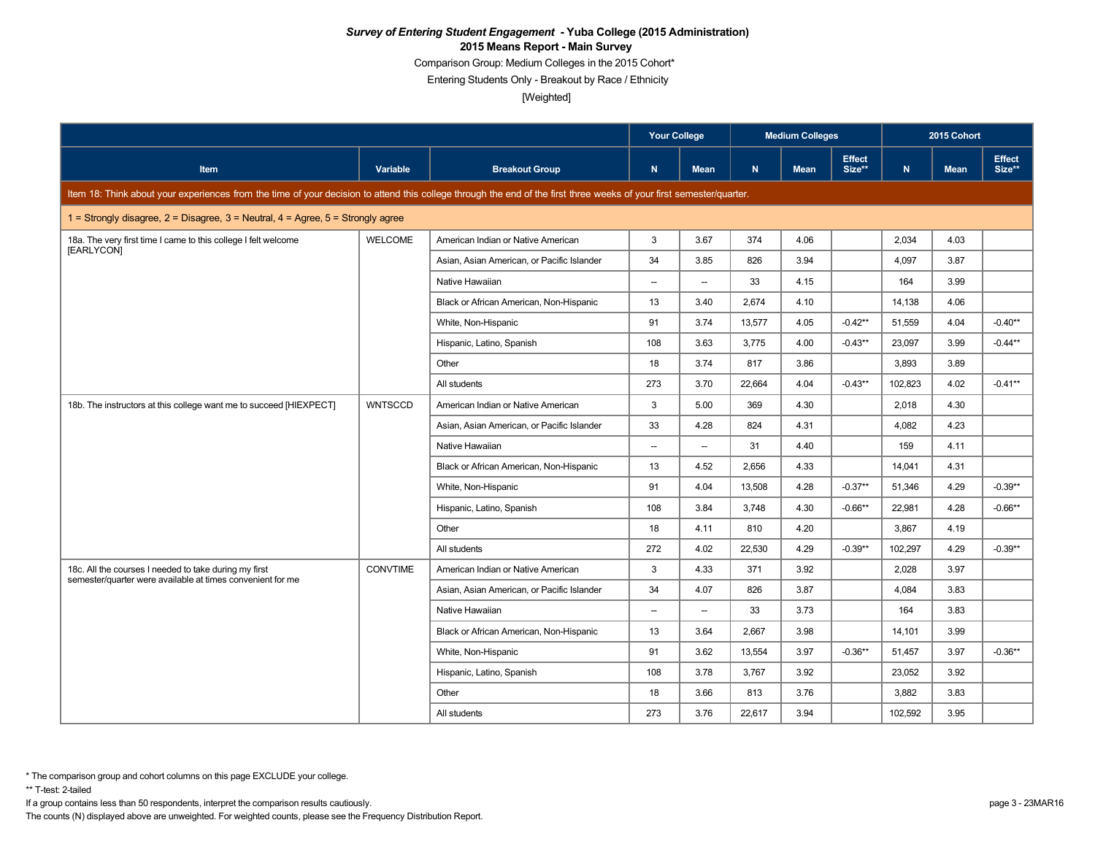Comparison Group: Medium Colleges in the 2015 Cohort\*

Entering Students Only - Breakout by Race / Ethnicity

[Weighted]

|                                                                                                                                                                      |                 |                                            | <b>Your College</b>      |                          |        | <b>Medium Colleges</b> |                         |         | 2015 Cohort |                         |
|----------------------------------------------------------------------------------------------------------------------------------------------------------------------|-----------------|--------------------------------------------|--------------------------|--------------------------|--------|------------------------|-------------------------|---------|-------------|-------------------------|
| <b>Item</b>                                                                                                                                                          | Variable        | <b>Breakout Group</b>                      | $\mathbf N$              | Mean                     | N.     | <b>Mean</b>            | <b>Effect</b><br>Size** | N       | <b>Mean</b> | <b>Effect</b><br>Size** |
| Item 18: Think about your experiences from the time of your decision to attend this college through the end of the first three weeks of your first semester/quarter. |                 |                                            |                          |                          |        |                        |                         |         |             |                         |
| 1 = Strongly disagree, 2 = Disagree, 3 = Neutral, 4 = Agree, $5$ = Strongly agree                                                                                    |                 |                                            |                          |                          |        |                        |                         |         |             |                         |
| 18a. The very first time I came to this college I felt welcome                                                                                                       | <b>WELCOME</b>  | American Indian or Native American         | 3                        | 3.67                     | 374    | 4.06                   |                         | 2,034   | 4.03        |                         |
| [EARLYCON]                                                                                                                                                           |                 | Asian, Asian American, or Pacific Islander | 34                       | 3.85                     | 826    | 3.94                   |                         | 4,097   | 3.87        |                         |
|                                                                                                                                                                      |                 | Native Hawaiian                            | $\overline{\phantom{a}}$ | $\overline{\phantom{a}}$ | 33     | 4.15                   |                         | 164     | 3.99        |                         |
|                                                                                                                                                                      |                 | Black or African American, Non-Hispanic    | 13                       | 3.40                     | 2,674  | 4.10                   |                         | 14,138  | 4.06        |                         |
|                                                                                                                                                                      |                 | White, Non-Hispanic                        | 91                       | 3.74                     | 13.577 | 4.05                   | $-0.42**$               | 51.559  | 4.04        | $-0.40**$               |
|                                                                                                                                                                      |                 | Hispanic, Latino, Spanish                  | 108                      | 3.63                     | 3,775  | 4.00                   | $-0.43**$               | 23,097  | 3.99        | $-0.44**$               |
|                                                                                                                                                                      |                 | Other                                      | 18                       | 3.74                     | 817    | 3.86                   |                         | 3.893   | 3.89        |                         |
|                                                                                                                                                                      |                 | All students                               | 273                      | 3.70                     | 22,664 | 4.04                   | $-0.43**$               | 102,823 | 4.02        | $-0.41**$               |
| 18b. The instructors at this college want me to succeed [HIEXPECT]                                                                                                   | <b>WNTSCCD</b>  | American Indian or Native American         | 3                        | 5.00                     | 369    | 4.30                   |                         | 2,018   | 4.30        |                         |
|                                                                                                                                                                      |                 | Asian, Asian American, or Pacific Islander | 33                       | 4.28                     | 824    | 4.31                   |                         | 4,082   | 4.23        |                         |
|                                                                                                                                                                      |                 | Native Hawaiian                            | $\overline{\phantom{a}}$ | $\overline{\phantom{a}}$ | 31     | 4.40                   |                         | 159     | 4.11        |                         |
|                                                                                                                                                                      |                 | Black or African American, Non-Hispanic    | 13                       | 4.52                     | 2.656  | 4.33                   |                         | 14.041  | 4.31        |                         |
|                                                                                                                                                                      |                 | White, Non-Hispanic                        | 91                       | 4.04                     | 13,508 | 4.28                   | $-0.37**$               | 51,346  | 4.29        | $-0.39**$               |
|                                                                                                                                                                      |                 | Hispanic, Latino, Spanish                  | 108                      | 3.84                     | 3.748  | 4.30                   | $-0.66**$               | 22,981  | 4.28        | $-0.66**$               |
|                                                                                                                                                                      |                 | Other                                      | 18                       | 4.11                     | 810    | 4.20                   |                         | 3,867   | 4.19        |                         |
|                                                                                                                                                                      |                 | All students                               | 272                      | 4.02                     | 22.530 | 4.29                   | $-0.39**$               | 102.297 | 4.29        | $-0.39**$               |
| 18c. All the courses I needed to take during my first                                                                                                                | <b>CONVTIME</b> | American Indian or Native American         | 3                        | 4.33                     | 371    | 3.92                   |                         | 2,028   | 3.97        |                         |
| semester/quarter were available at times convenient for me                                                                                                           |                 | Asian, Asian American, or Pacific Islander | 34                       | 4.07                     | 826    | 3.87                   |                         | 4,084   | 3.83        |                         |
|                                                                                                                                                                      |                 | Native Hawaiian                            | $\overline{\phantom{a}}$ | $\overline{\phantom{a}}$ | 33     | 3.73                   |                         | 164     | 3.83        |                         |
|                                                                                                                                                                      |                 | Black or African American, Non-Hispanic    | 13                       | 3.64                     | 2,667  | 3.98                   |                         | 14,101  | 3.99        |                         |
|                                                                                                                                                                      |                 | White, Non-Hispanic                        | 91                       | 3.62                     | 13,554 | 3.97                   | $-0.36**$               | 51,457  | 3.97        | $-0.36**$               |
|                                                                                                                                                                      |                 | Hispanic, Latino, Spanish                  | 108                      | 3.78                     | 3,767  | 3.92                   |                         | 23,052  | 3.92        |                         |
|                                                                                                                                                                      |                 | Other                                      | 18                       | 3.66                     | 813    | 3.76                   |                         | 3,882   | 3.83        |                         |
|                                                                                                                                                                      |                 | All students                               | 273                      | 3.76                     | 22,617 | 3.94                   |                         | 102,592 | 3.95        |                         |

\*\* T-test: 2-tailed

If a group contains less than 50 respondents, interpret the comparison results cautiously. page 3 - 23MAR16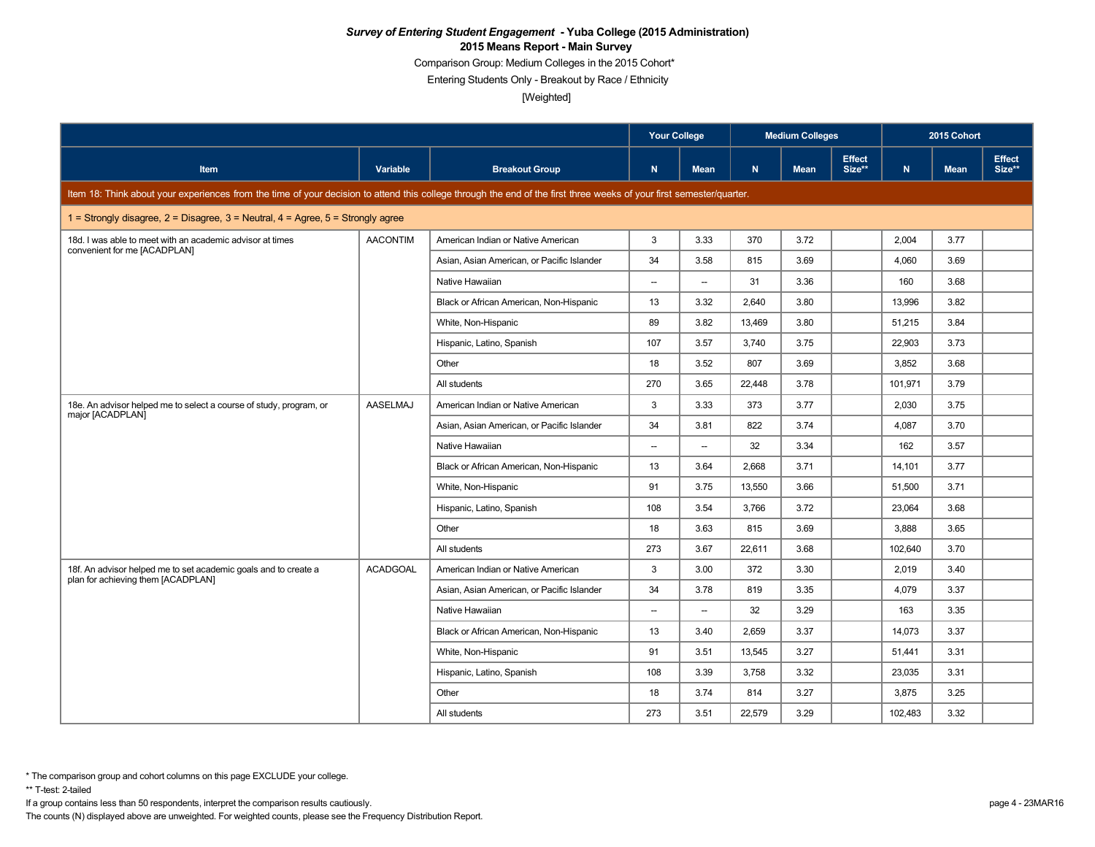Comparison Group: Medium Colleges in the 2015 Cohort\*

Entering Students Only - Breakout by Race / Ethnicity

[Weighted]

|                                                                                                                                                                      |                 |                                            | <b>Your College</b>      |                          |        | <b>Medium Colleges</b> |                         |              | 2015 Cohort |                         |
|----------------------------------------------------------------------------------------------------------------------------------------------------------------------|-----------------|--------------------------------------------|--------------------------|--------------------------|--------|------------------------|-------------------------|--------------|-------------|-------------------------|
| <b>Item</b>                                                                                                                                                          | Variable        | <b>Breakout Group</b>                      | $\mathsf{N}$             | <b>Mean</b>              | N      | <b>Mean</b>            | <b>Effect</b><br>Size** | $\mathbf{N}$ | <b>Mean</b> | <b>Effect</b><br>Size** |
| Item 18: Think about your experiences from the time of your decision to attend this college through the end of the first three weeks of your first semester/quarter. |                 |                                            |                          |                          |        |                        |                         |              |             |                         |
| 1 = Strongly disagree, 2 = Disagree, 3 = Neutral, 4 = Agree, $5$ = Strongly agree                                                                                    |                 |                                            |                          |                          |        |                        |                         |              |             |                         |
| 18d. I was able to meet with an academic advisor at times<br>convenient for me [ACADPLAN]                                                                            | <b>AACONTIM</b> | American Indian or Native American         | 3                        | 3.33                     | 370    | 3.72                   |                         | 2,004        | 3.77        |                         |
|                                                                                                                                                                      |                 | Asian, Asian American, or Pacific Islander | 34                       | 3.58                     | 815    | 3.69                   |                         | 4.060        | 3.69        |                         |
|                                                                                                                                                                      |                 | Native Hawaiian                            | $\overline{\phantom{0}}$ | $\overline{\phantom{a}}$ | 31     | 3.36                   |                         | 160          | 3.68        |                         |
|                                                                                                                                                                      |                 | Black or African American, Non-Hispanic    | 13                       | 3.32                     | 2,640  | 3.80                   |                         | 13,996       | 3.82        |                         |
|                                                                                                                                                                      |                 | White, Non-Hispanic                        | 89                       | 3.82                     | 13.469 | 3.80                   |                         | 51,215       | 3.84        |                         |
|                                                                                                                                                                      |                 | Hispanic, Latino, Spanish                  | 107                      | 3.57                     | 3,740  | 3.75                   |                         | 22,903       | 3.73        |                         |
|                                                                                                                                                                      |                 | Other                                      | 18                       | 3.52                     | 807    | 3.69                   |                         | 3,852        | 3.68        |                         |
|                                                                                                                                                                      |                 | All students                               | 270                      | 3.65                     | 22,448 | 3.78                   |                         | 101,971      | 3.79        |                         |
| 18e. An advisor helped me to select a course of study, program, or                                                                                                   | AASELMAJ        | American Indian or Native American         | 3                        | 3.33                     | 373    | 3.77                   |                         | 2,030        | 3.75        |                         |
| major [ACADPLAN]                                                                                                                                                     |                 | Asian, Asian American, or Pacific Islander | 34                       | 3.81                     | 822    | 3.74                   |                         | 4,087        | 3.70        |                         |
|                                                                                                                                                                      |                 | Native Hawaiian                            | --                       | $\overline{\phantom{a}}$ | 32     | 3.34                   |                         | 162          | 3.57        |                         |
|                                                                                                                                                                      |                 | Black or African American, Non-Hispanic    | 13                       | 3.64                     | 2.668  | 3.71                   |                         | 14.101       | 3.77        |                         |
|                                                                                                                                                                      |                 | White, Non-Hispanic                        | 91                       | 3.75                     | 13,550 | 3.66                   |                         | 51,500       | 3.71        |                         |
|                                                                                                                                                                      |                 | Hispanic, Latino, Spanish                  | 108                      | 3.54                     | 3.766  | 3.72                   |                         | 23,064       | 3.68        |                         |
|                                                                                                                                                                      |                 | Other                                      | 18                       | 3.63                     | 815    | 3.69                   |                         | 3,888        | 3.65        |                         |
|                                                                                                                                                                      |                 | All students                               | 273                      | 3.67                     | 22.611 | 3.68                   |                         | 102,640      | 3.70        |                         |
| 18f. An advisor helped me to set academic goals and to create a                                                                                                      | <b>ACADGOAL</b> | American Indian or Native American         | 3                        | 3.00                     | 372    | 3.30                   |                         | 2,019        | 3.40        |                         |
| plan for achieving them [ACADPLAN]                                                                                                                                   |                 | Asian, Asian American, or Pacific Islander | 34                       | 3.78                     | 819    | 3.35                   |                         | 4,079        | 3.37        |                         |
|                                                                                                                                                                      |                 | Native Hawaiian                            | $\overline{\phantom{a}}$ | $\overline{\phantom{a}}$ | 32     | 3.29                   |                         | 163          | 3.35        |                         |
|                                                                                                                                                                      |                 | Black or African American, Non-Hispanic    | 13                       | 3.40                     | 2,659  | 3.37                   |                         | 14,073       | 3.37        |                         |
|                                                                                                                                                                      |                 | White, Non-Hispanic                        | 91                       | 3.51                     | 13,545 | 3.27                   |                         | 51,441       | 3.31        |                         |
|                                                                                                                                                                      |                 | Hispanic, Latino, Spanish                  | 108                      | 3.39                     | 3,758  | 3.32                   |                         | 23,035       | 3.31        |                         |
|                                                                                                                                                                      |                 | Other                                      | 18                       | 3.74                     | 814    | 3.27                   |                         | 3,875        | 3.25        |                         |
|                                                                                                                                                                      |                 | All students                               | 273                      | 3.51                     | 22,579 | 3.29                   |                         | 102,483      | 3.32        |                         |

\*\* T-test: 2-tailed

If a group contains less than 50 respondents, interpret the comparison results cautiously. page 4 - 23MAR16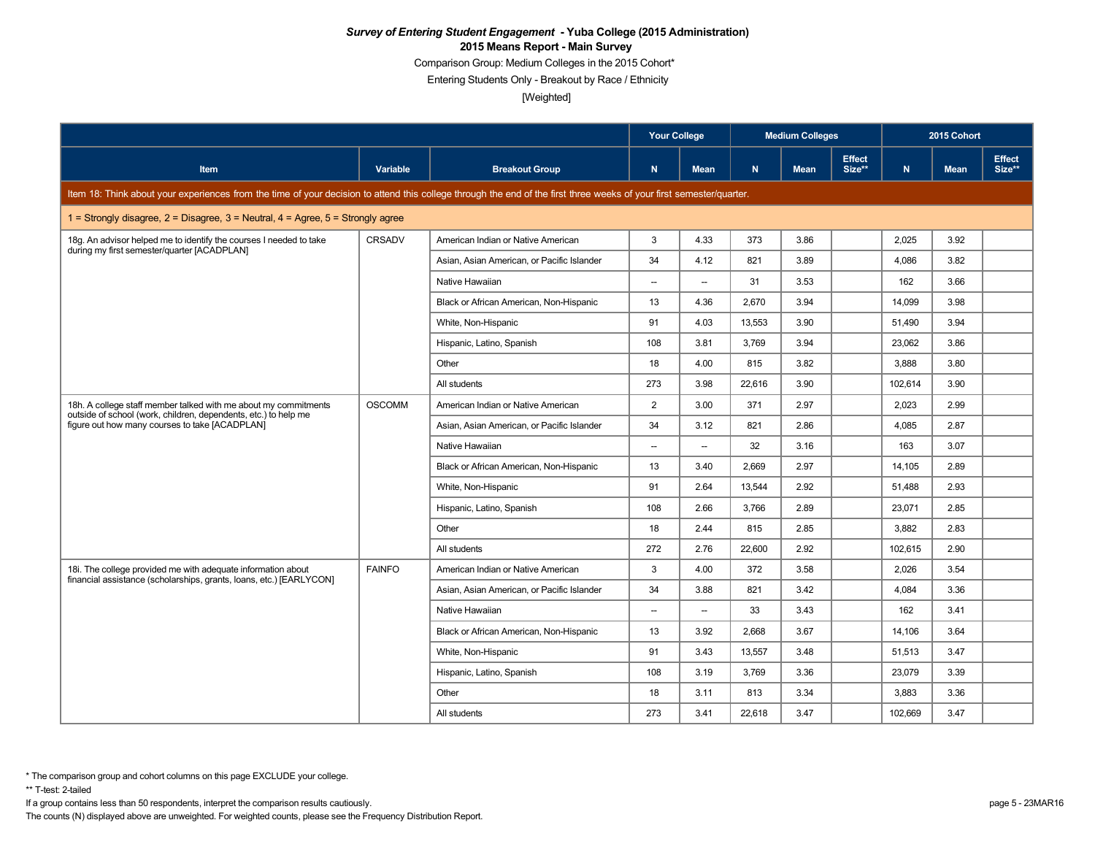Comparison Group: Medium Colleges in the 2015 Cohort\*

Entering Students Only - Breakout by Race / Ethnicity

[Weighted]

|                                                                                                                                                                      |               |                                            | <b>Your College</b>      |                          |        | <b>Medium Colleges</b> |                         |              | 2015 Cohort |                         |
|----------------------------------------------------------------------------------------------------------------------------------------------------------------------|---------------|--------------------------------------------|--------------------------|--------------------------|--------|------------------------|-------------------------|--------------|-------------|-------------------------|
| <b>Item</b>                                                                                                                                                          | Variable      | <b>Breakout Group</b>                      | $\mathbf N$              | <b>Mean</b>              | N      | <b>Mean</b>            | <b>Effect</b><br>Size** | $\mathbf{N}$ | <b>Mean</b> | <b>Effect</b><br>Size** |
| Item 18: Think about your experiences from the time of your decision to attend this college through the end of the first three weeks of your first semester/quarter. |               |                                            |                          |                          |        |                        |                         |              |             |                         |
| 1 = Strongly disagree, $2$ = Disagree, $3$ = Neutral, $4$ = Agree, $5$ = Strongly agree                                                                              |               |                                            |                          |                          |        |                        |                         |              |             |                         |
| 18g. An advisor helped me to identify the courses I needed to take<br>during my first semester/quarter [ACADPLAN]                                                    | CRSADV        | American Indian or Native American         | 3                        | 4.33                     | 373    | 3.86                   |                         | 2,025        | 3.92        |                         |
|                                                                                                                                                                      |               | Asian, Asian American, or Pacific Islander | 34                       | 4.12                     | 821    | 3.89                   |                         | 4.086        | 3.82        |                         |
|                                                                                                                                                                      |               | Native Hawaiian                            | $\overline{\phantom{a}}$ | $\overline{\phantom{a}}$ | 31     | 3.53                   |                         | 162          | 3.66        |                         |
|                                                                                                                                                                      |               | Black or African American, Non-Hispanic    | 13                       | 4.36                     | 2,670  | 3.94                   |                         | 14,099       | 3.98        |                         |
|                                                                                                                                                                      |               | White, Non-Hispanic                        | 91                       | 4.03                     | 13.553 | 3.90                   |                         | 51.490       | 3.94        |                         |
|                                                                                                                                                                      |               | Hispanic, Latino, Spanish                  | 108                      | 3.81                     | 3,769  | 3.94                   |                         | 23,062       | 3.86        |                         |
|                                                                                                                                                                      |               | Other                                      | 18                       | 4.00                     | 815    | 3.82                   |                         | 3,888        | 3.80        |                         |
|                                                                                                                                                                      |               | All students                               | 273                      | 3.98                     | 22,616 | 3.90                   |                         | 102,614      | 3.90        |                         |
| 18h. A college staff member talked with me about my commitments<br>outside of school (work, children, dependents, etc.) to help me                                   | <b>OSCOMM</b> | American Indian or Native American         | $\overline{2}$           | 3.00                     | 371    | 2.97                   |                         | 2,023        | 2.99        |                         |
| figure out how many courses to take [ACADPLAN]                                                                                                                       |               | Asian, Asian American, or Pacific Islander | 34                       | 3.12                     | 821    | 2.86                   |                         | 4,085        | 2.87        |                         |
|                                                                                                                                                                      |               | Native Hawaiian                            | --                       | $\overline{\phantom{a}}$ | 32     | 3.16                   |                         | 163          | 3.07        |                         |
|                                                                                                                                                                      |               | Black or African American, Non-Hispanic    | 13                       | 3.40                     | 2.669  | 2.97                   |                         | 14.105       | 2.89        |                         |
|                                                                                                                                                                      |               | White, Non-Hispanic                        | 91                       | 2.64                     | 13,544 | 2.92                   |                         | 51,488       | 2.93        |                         |
|                                                                                                                                                                      |               | Hispanic, Latino, Spanish                  | 108                      | 2.66                     | 3.766  | 2.89                   |                         | 23,071       | 2.85        |                         |
|                                                                                                                                                                      |               | Other                                      | 18                       | 2.44                     | 815    | 2.85                   |                         | 3,882        | 2.83        |                         |
|                                                                                                                                                                      |               | All students                               | 272                      | 2.76                     | 22.600 | 2.92                   |                         | 102,615      | 2.90        |                         |
| 18i. The college provided me with adequate information about<br>financial assistance (scholarships, grants, loans, etc.) [EARLYCON]                                  | <b>FAINFO</b> | American Indian or Native American         | 3                        | 4.00                     | 372    | 3.58                   |                         | 2,026        | 3.54        |                         |
|                                                                                                                                                                      |               | Asian, Asian American, or Pacific Islander | 34                       | 3.88                     | 821    | 3.42                   |                         | 4,084        | 3.36        |                         |
|                                                                                                                                                                      |               | Native Hawaiian                            | $\overline{\phantom{a}}$ | $\overline{\phantom{a}}$ | 33     | 3.43                   |                         | 162          | 3.41        |                         |
|                                                                                                                                                                      |               | Black or African American, Non-Hispanic    | 13                       | 3.92                     | 2,668  | 3.67                   |                         | 14,106       | 3.64        |                         |
|                                                                                                                                                                      |               | White, Non-Hispanic                        | 91                       | 3.43                     | 13,557 | 3.48                   |                         | 51,513       | 3.47        |                         |
|                                                                                                                                                                      |               | Hispanic, Latino, Spanish                  | 108                      | 3.19                     | 3,769  | 3.36                   |                         | 23,079       | 3.39        |                         |
|                                                                                                                                                                      |               | Other                                      | 18                       | 3.11                     | 813    | 3.34                   |                         | 3,883        | 3.36        |                         |
|                                                                                                                                                                      |               | All students                               | 273                      | 3.41                     | 22,618 | 3.47                   |                         | 102,669      | 3.47        |                         |

\*\* T-test: 2-tailed

If a group contains less than 50 respondents, interpret the comparison results cautiously. page 5 - 23MAR16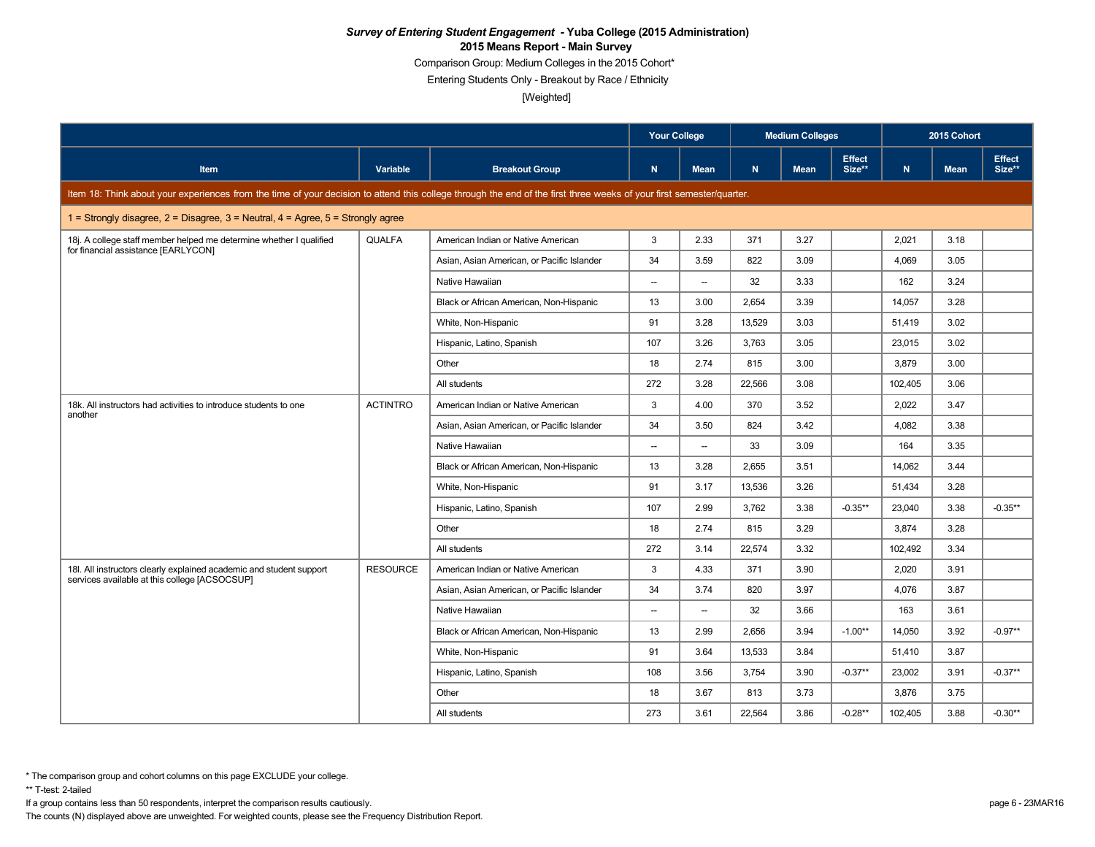Comparison Group: Medium Colleges in the 2015 Cohort\*

Entering Students Only - Breakout by Race / Ethnicity

[Weighted]

|                                                                                                                                                                      |                 |                                            | <b>Your College</b>      |                          |        | <b>Medium Colleges</b> |                         |         | 2015 Cohort |                         |
|----------------------------------------------------------------------------------------------------------------------------------------------------------------------|-----------------|--------------------------------------------|--------------------------|--------------------------|--------|------------------------|-------------------------|---------|-------------|-------------------------|
| <b>Item</b>                                                                                                                                                          | Variable        | <b>Breakout Group</b>                      | $\mathbf N$              | Mean                     | N.     | <b>Mean</b>            | <b>Effect</b><br>Size** | N       | <b>Mean</b> | <b>Effect</b><br>Size** |
| Item 18: Think about your experiences from the time of your decision to attend this college through the end of the first three weeks of your first semester/quarter. |                 |                                            |                          |                          |        |                        |                         |         |             |                         |
| 1 = Strongly disagree, 2 = Disagree, 3 = Neutral, 4 = Agree, $5$ = Strongly agree                                                                                    |                 |                                            |                          |                          |        |                        |                         |         |             |                         |
| 18j. A college staff member helped me determine whether I qualified                                                                                                  | <b>QUALFA</b>   | American Indian or Native American         | 3                        | 2.33                     | 371    | 3.27                   |                         | 2,021   | 3.18        |                         |
| for financial assistance [EARLYCON]                                                                                                                                  |                 | Asian, Asian American, or Pacific Islander | 34                       | 3.59                     | 822    | 3.09                   |                         | 4,069   | 3.05        |                         |
|                                                                                                                                                                      |                 | Native Hawaiian                            | $\overline{\phantom{a}}$ | $\overline{\phantom{a}}$ | 32     | 3.33                   |                         | 162     | 3.24        |                         |
|                                                                                                                                                                      |                 | Black or African American, Non-Hispanic    | 13                       | 3.00                     | 2,654  | 3.39                   |                         | 14,057  | 3.28        |                         |
|                                                                                                                                                                      |                 | White, Non-Hispanic                        | 91                       | 3.28                     | 13.529 | 3.03                   |                         | 51.419  | 3.02        |                         |
|                                                                                                                                                                      |                 | Hispanic, Latino, Spanish                  | 107                      | 3.26                     | 3,763  | 3.05                   |                         | 23,015  | 3.02        |                         |
|                                                                                                                                                                      |                 | Other                                      | 18                       | 2.74                     | 815    | 3.00                   |                         | 3.879   | 3.00        |                         |
|                                                                                                                                                                      |                 | All students                               | 272                      | 3.28                     | 22,566 | 3.08                   |                         | 102,405 | 3.06        |                         |
| 18k. All instructors had activities to introduce students to one<br>another                                                                                          | <b>ACTINTRO</b> | American Indian or Native American         | 3                        | 4.00                     | 370    | 3.52                   |                         | 2,022   | 3.47        |                         |
|                                                                                                                                                                      |                 | Asian, Asian American, or Pacific Islander | 34                       | 3.50                     | 824    | 3.42                   |                         | 4,082   | 3.38        |                         |
|                                                                                                                                                                      |                 | Native Hawaiian                            | $\overline{\phantom{a}}$ | $\overline{\phantom{a}}$ | 33     | 3.09                   |                         | 164     | 3.35        |                         |
|                                                                                                                                                                      |                 | Black or African American, Non-Hispanic    | 13                       | 3.28                     | 2.655  | 3.51                   |                         | 14.062  | 3.44        |                         |
|                                                                                                                                                                      |                 | White, Non-Hispanic                        | 91                       | 3.17                     | 13,536 | 3.26                   |                         | 51,434  | 3.28        |                         |
|                                                                                                                                                                      |                 | Hispanic, Latino, Spanish                  | 107                      | 2.99                     | 3.762  | 3.38                   | $-0.35**$               | 23,040  | 3.38        | $-0.35**$               |
|                                                                                                                                                                      |                 | Other                                      | 18                       | 2.74                     | 815    | 3.29                   |                         | 3,874   | 3.28        |                         |
|                                                                                                                                                                      |                 | All students                               | 272                      | 3.14                     | 22.574 | 3.32                   |                         | 102,492 | 3.34        |                         |
| 18I. All instructors clearly explained academic and student support<br>services available at this college [ACSOCSUP]                                                 | <b>RESOURCE</b> | American Indian or Native American         | 3                        | 4.33                     | 371    | 3.90                   |                         | 2,020   | 3.91        |                         |
|                                                                                                                                                                      |                 | Asian, Asian American, or Pacific Islander | 34                       | 3.74                     | 820    | 3.97                   |                         | 4,076   | 3.87        |                         |
|                                                                                                                                                                      |                 | Native Hawaiian                            | $\overline{\phantom{a}}$ | $\overline{\phantom{a}}$ | 32     | 3.66                   |                         | 163     | 3.61        |                         |
|                                                                                                                                                                      |                 | Black or African American, Non-Hispanic    | 13                       | 2.99                     | 2,656  | 3.94                   | $-1.00**$               | 14,050  | 3.92        | $-0.97**$               |
|                                                                                                                                                                      |                 | White, Non-Hispanic                        | 91                       | 3.64                     | 13,533 | 3.84                   |                         | 51,410  | 3.87        |                         |
|                                                                                                                                                                      |                 | Hispanic, Latino, Spanish                  | 108                      | 3.56                     | 3,754  | 3.90                   | $-0.37**$               | 23,002  | 3.91        | $-0.37**$               |
|                                                                                                                                                                      |                 | Other                                      | 18                       | 3.67                     | 813    | 3.73                   |                         | 3,876   | 3.75        |                         |
|                                                                                                                                                                      |                 | All students                               | 273                      | 3.61                     | 22,564 | 3.86                   | $-0.28**$               | 102,405 | 3.88        | $-0.30**$               |

\*\* T-test: 2-tailed

If a group contains less than 50 respondents, interpret the comparison results cautiously. page 6 - 23MAR16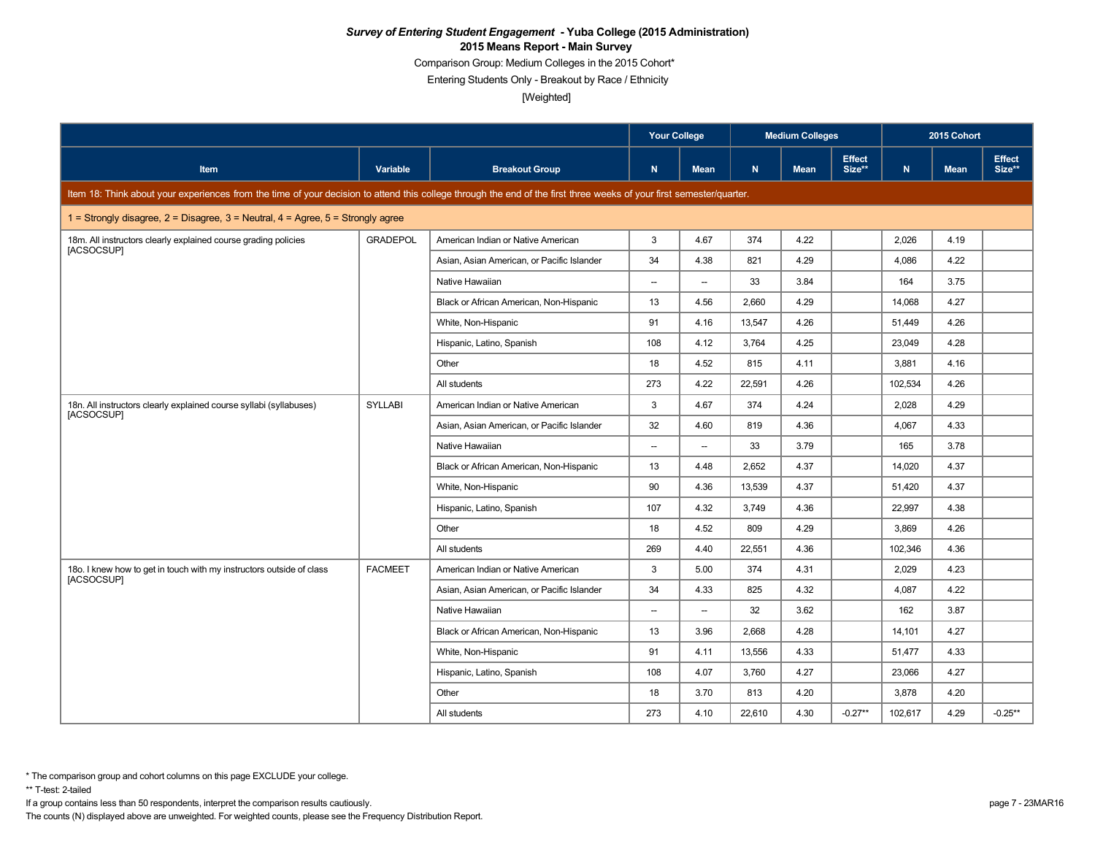Comparison Group: Medium Colleges in the 2015 Cohort\*

Entering Students Only - Breakout by Race / Ethnicity

[Weighted]

|                                                                                                                                                                      |                 |                                            | <b>Your College</b>      |                          |        | <b>Medium Colleges</b> |                         |              | 2015 Cohort |                         |
|----------------------------------------------------------------------------------------------------------------------------------------------------------------------|-----------------|--------------------------------------------|--------------------------|--------------------------|--------|------------------------|-------------------------|--------------|-------------|-------------------------|
| Item                                                                                                                                                                 | Variable        | <b>Breakout Group</b>                      | $\mathbf N$              | <b>Mean</b>              | N      | <b>Mean</b>            | <b>Effect</b><br>Size** | $\mathbf{N}$ | <b>Mean</b> | <b>Effect</b><br>Size** |
| Item 18: Think about your experiences from the time of your decision to attend this college through the end of the first three weeks of your first semester/quarter. |                 |                                            |                          |                          |        |                        |                         |              |             |                         |
| 1 = Strongly disagree, $2$ = Disagree, $3$ = Neutral, $4$ = Agree, $5$ = Strongly agree                                                                              |                 |                                            |                          |                          |        |                        |                         |              |             |                         |
| 18m. All instructors clearly explained course grading policies<br>[ACSOCSUP]                                                                                         | <b>GRADEPOL</b> | American Indian or Native American         | 3                        | 4.67                     | 374    | 4.22                   |                         | 2,026        | 4.19        |                         |
|                                                                                                                                                                      |                 | Asian, Asian American, or Pacific Islander | 34                       | 4.38                     | 821    | 4.29                   |                         | 4,086        | 4.22        |                         |
|                                                                                                                                                                      |                 | Native Hawaiian                            | $\overline{\phantom{0}}$ | $\overline{\phantom{a}}$ | 33     | 3.84                   |                         | 164          | 3.75        |                         |
|                                                                                                                                                                      |                 | Black or African American, Non-Hispanic    | 13                       | 4.56                     | 2,660  | 4.29                   |                         | 14,068       | 4.27        |                         |
|                                                                                                                                                                      |                 | White, Non-Hispanic                        | 91                       | 4.16                     | 13.547 | 4.26                   |                         | 51.449       | 4.26        |                         |
|                                                                                                                                                                      |                 | Hispanic, Latino, Spanish                  | 108                      | 4.12                     | 3,764  | 4.25                   |                         | 23,049       | 4.28        |                         |
|                                                                                                                                                                      |                 | Other                                      | 18                       | 4.52                     | 815    | 4.11                   |                         | 3,881        | 4.16        |                         |
|                                                                                                                                                                      |                 | All students                               | 273                      | 4.22                     | 22,591 | 4.26                   |                         | 102,534      | 4.26        |                         |
| 18n. All instructors clearly explained course syllabi (syllabuses)                                                                                                   | <b>SYLLABI</b>  | American Indian or Native American         | 3                        | 4.67                     | 374    | 4.24                   |                         | 2,028        | 4.29        |                         |
| [ACSOCSUP]                                                                                                                                                           |                 | Asian, Asian American, or Pacific Islander | 32                       | 4.60                     | 819    | 4.36                   |                         | 4,067        | 4.33        |                         |
|                                                                                                                                                                      |                 | Native Hawaiian                            | --                       | $\overline{\phantom{a}}$ | 33     | 3.79                   |                         | 165          | 3.78        |                         |
|                                                                                                                                                                      |                 | Black or African American, Non-Hispanic    | 13                       | 4.48                     | 2.652  | 4.37                   |                         | 14,020       | 4.37        |                         |
|                                                                                                                                                                      |                 | White, Non-Hispanic                        | 90                       | 4.36                     | 13,539 | 4.37                   |                         | 51,420       | 4.37        |                         |
|                                                                                                                                                                      |                 | Hispanic, Latino, Spanish                  | 107                      | 4.32                     | 3.749  | 4.36                   |                         | 22,997       | 4.38        |                         |
|                                                                                                                                                                      |                 | Other                                      | 18                       | 4.52                     | 809    | 4.29                   |                         | 3,869        | 4.26        |                         |
|                                                                                                                                                                      |                 | All students                               | 269                      | 4.40                     | 22,551 | 4.36                   |                         | 102,346      | 4.36        |                         |
| 180. I knew how to get in touch with my instructors outside of class                                                                                                 | <b>FACMEET</b>  | American Indian or Native American         | 3                        | 5.00                     | 374    | 4.31                   |                         | 2,029        | 4.23        |                         |
| [ACSOCSUP]                                                                                                                                                           |                 | Asian, Asian American, or Pacific Islander | 34                       | 4.33                     | 825    | 4.32                   |                         | 4,087        | 4.22        |                         |
|                                                                                                                                                                      |                 | Native Hawaiian                            | --                       | $\overline{\phantom{a}}$ | 32     | 3.62                   |                         | 162          | 3.87        |                         |
|                                                                                                                                                                      |                 | Black or African American, Non-Hispanic    | 13                       | 3.96                     | 2,668  | 4.28                   |                         | 14,101       | 4.27        |                         |
|                                                                                                                                                                      |                 | White, Non-Hispanic                        | 91                       | 4.11                     | 13,556 | 4.33                   |                         | 51,477       | 4.33        |                         |
|                                                                                                                                                                      |                 | Hispanic, Latino, Spanish                  | 108                      | 4.07                     | 3,760  | 4.27                   |                         | 23,066       | 4.27        |                         |
|                                                                                                                                                                      |                 | Other                                      | 18                       | 3.70                     | 813    | 4.20                   |                         | 3,878        | 4.20        |                         |
|                                                                                                                                                                      |                 | All students                               | 273                      | 4.10                     | 22,610 | 4.30                   | $-0.27**$               | 102,617      | 4.29        | $-0.25**$               |

\*\* T-test: 2-tailed

If a group contains less than 50 respondents, interpret the comparison results cautiously. page 7 - 23MAR16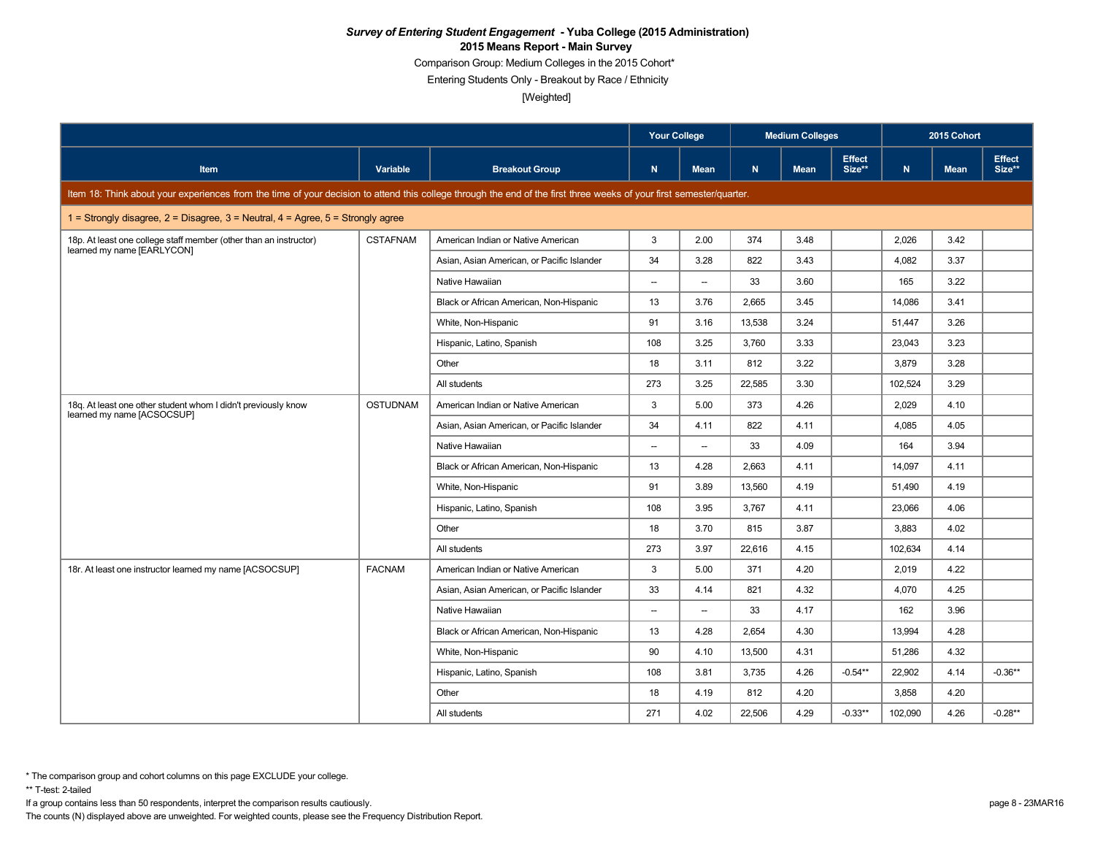Comparison Group: Medium Colleges in the 2015 Cohort\*

Entering Students Only - Breakout by Race / Ethnicity

[Weighted]

|                                                                                                                                                                      |                 |                                            | <b>Your College</b>      |                          |        | <b>Medium Colleges</b> |                         |              | 2015 Cohort |                         |
|----------------------------------------------------------------------------------------------------------------------------------------------------------------------|-----------------|--------------------------------------------|--------------------------|--------------------------|--------|------------------------|-------------------------|--------------|-------------|-------------------------|
| Item                                                                                                                                                                 | Variable        | <b>Breakout Group</b>                      | N                        | <b>Mean</b>              | N      | <b>Mean</b>            | <b>Effect</b><br>Size** | $\mathbf{N}$ | <b>Mean</b> | <b>Effect</b><br>Size** |
| Item 18: Think about your experiences from the time of your decision to attend this college through the end of the first three weeks of your first semester/quarter. |                 |                                            |                          |                          |        |                        |                         |              |             |                         |
| 1 = Strongly disagree, $2$ = Disagree, $3$ = Neutral, $4$ = Agree, $5$ = Strongly agree                                                                              |                 |                                            |                          |                          |        |                        |                         |              |             |                         |
| 18p. At least one college staff member (other than an instructor)<br>learned my name [EARLYCON]                                                                      | <b>CSTAFNAM</b> | American Indian or Native American         | 3                        | 2.00                     | 374    | 3.48                   |                         | 2,026        | 3.42        |                         |
|                                                                                                                                                                      |                 | Asian, Asian American, or Pacific Islander | 34                       | 3.28                     | 822    | 3.43                   |                         | 4,082        | 3.37        |                         |
|                                                                                                                                                                      |                 | Native Hawaiian                            | $\overline{\phantom{a}}$ | $\overline{\phantom{a}}$ | 33     | 3.60                   |                         | 165          | 3.22        |                         |
|                                                                                                                                                                      |                 | Black or African American, Non-Hispanic    | 13                       | 3.76                     | 2.665  | 3.45                   |                         | 14.086       | 3.41        |                         |
|                                                                                                                                                                      |                 | White, Non-Hispanic                        | 91                       | 3.16                     | 13,538 | 3.24                   |                         | 51,447       | 3.26        |                         |
|                                                                                                                                                                      |                 | Hispanic, Latino, Spanish                  | 108                      | 3.25                     | 3.760  | 3.33                   |                         | 23,043       | 3.23        |                         |
|                                                                                                                                                                      |                 | Other                                      | 18                       | 3.11                     | 812    | 3.22                   |                         | 3,879        | 3.28        |                         |
|                                                                                                                                                                      |                 | All students                               | 273                      | 3.25                     | 22.585 | 3.30                   |                         | 102,524      | 3.29        |                         |
| 18q. At least one other student whom I didn't previously know                                                                                                        | <b>OSTUDNAM</b> | American Indian or Native American         | 3                        | 5.00                     | 373    | 4.26                   |                         | 2,029        | 4.10        |                         |
| learned my name [ACSOCSUP]                                                                                                                                           |                 | Asian, Asian American, or Pacific Islander | 34                       | 4.11                     | 822    | 4.11                   |                         | 4,085        | 4.05        |                         |
|                                                                                                                                                                      |                 | Native Hawaiian                            | --                       | $\overline{\phantom{a}}$ | 33     | 4.09                   |                         | 164          | 3.94        |                         |
|                                                                                                                                                                      |                 | Black or African American, Non-Hispanic    | 13                       | 4.28                     | 2.663  | 4.11                   |                         | 14.097       | 4.11        |                         |
|                                                                                                                                                                      |                 | White, Non-Hispanic                        | 91                       | 3.89                     | 13,560 | 4.19                   |                         | 51,490       | 4.19        |                         |
|                                                                                                                                                                      |                 | Hispanic, Latino, Spanish                  | 108                      | 3.95                     | 3.767  | 4.11                   |                         | 23,066       | 4.06        |                         |
|                                                                                                                                                                      |                 | Other                                      | 18                       | 3.70                     | 815    | 3.87                   |                         | 3,883        | 4.02        |                         |
|                                                                                                                                                                      |                 | All students                               | 273                      | 3.97                     | 22,616 | 4.15                   |                         | 102,634      | 4.14        |                         |
| 18r. At least one instructor learned my name [ACSOCSUP]                                                                                                              | <b>FACNAM</b>   | American Indian or Native American         | 3                        | 5.00                     | 371    | 4.20                   |                         | 2,019        | 4.22        |                         |
|                                                                                                                                                                      |                 | Asian, Asian American, or Pacific Islander | 33                       | 4.14                     | 821    | 4.32                   |                         | 4,070        | 4.25        |                         |
|                                                                                                                                                                      |                 | Native Hawaiian                            | $\overline{\phantom{a}}$ | $\overline{\phantom{a}}$ | 33     | 4.17                   |                         | 162          | 3.96        |                         |
|                                                                                                                                                                      |                 | Black or African American, Non-Hispanic    | 13                       | 4.28                     | 2,654  | 4.30                   |                         | 13,994       | 4.28        |                         |
|                                                                                                                                                                      |                 | White, Non-Hispanic                        | 90                       | 4.10                     | 13,500 | 4.31                   |                         | 51,286       | 4.32        |                         |
|                                                                                                                                                                      |                 | Hispanic, Latino, Spanish                  | 108                      | 3.81                     | 3,735  | 4.26                   | $-0.54**$               | 22,902       | 4.14        | $-0.36**$               |
|                                                                                                                                                                      |                 | Other                                      | 18                       | 4.19                     | 812    | 4.20                   |                         | 3,858        | 4.20        |                         |
|                                                                                                                                                                      |                 | All students                               | 271                      | 4.02                     | 22,506 | 4.29                   | $-0.33**$               | 102,090      | 4.26        | $-0.28**$               |

\*\* T-test: 2-tailed

If a group contains less than 50 respondents, interpret the comparison results cautiously. page 8 - 23MAR16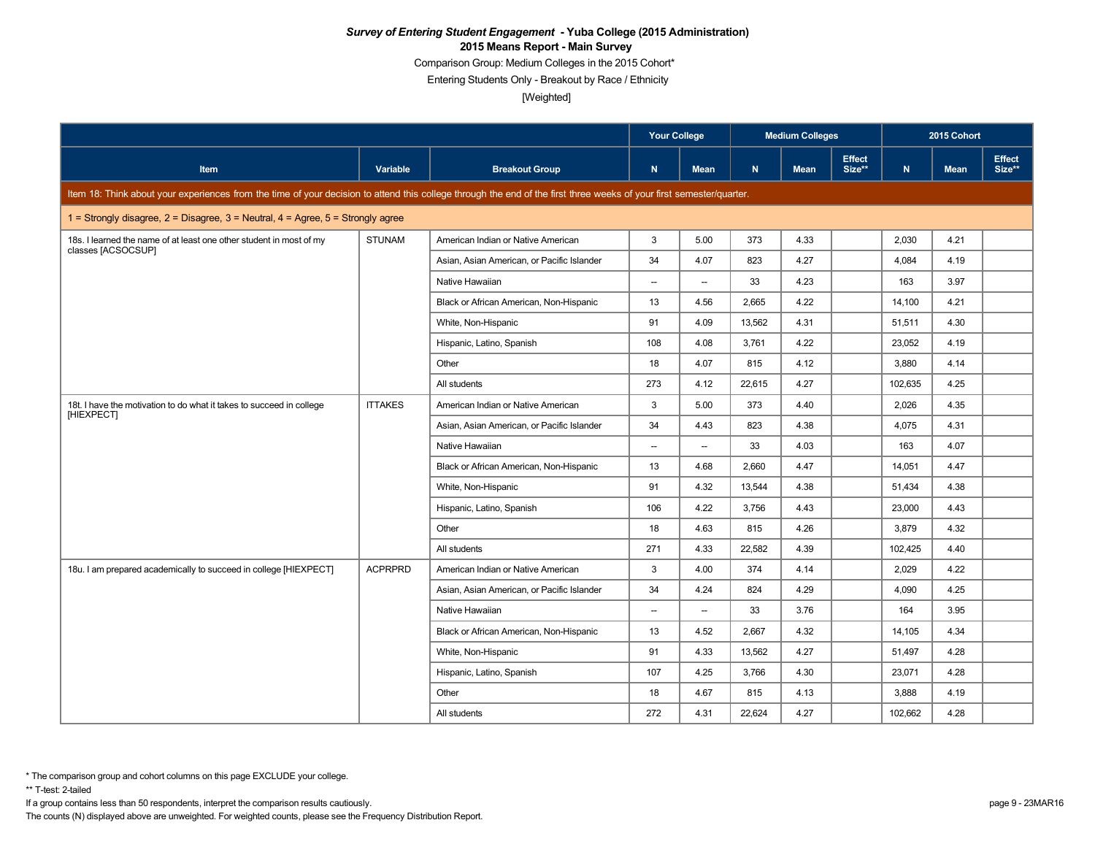Comparison Group: Medium Colleges in the 2015 Cohort\*

Entering Students Only - Breakout by Race / Ethnicity

[Weighted]

|                                                                                                                                                                      |                |                                            | <b>Your College</b>      |                          |        | <b>Medium Colleges</b> |                         |         | 2015 Cohort |                         |
|----------------------------------------------------------------------------------------------------------------------------------------------------------------------|----------------|--------------------------------------------|--------------------------|--------------------------|--------|------------------------|-------------------------|---------|-------------|-------------------------|
| <b>Item</b>                                                                                                                                                          | Variable       | <b>Breakout Group</b>                      | N                        | Mean                     | N      | <b>Mean</b>            | <b>Effect</b><br>Size** | N       | <b>Mean</b> | <b>Effect</b><br>Size** |
| Item 18: Think about your experiences from the time of your decision to attend this college through the end of the first three weeks of your first semester/quarter. |                |                                            |                          |                          |        |                        |                         |         |             |                         |
| 1 = Strongly disagree, $2$ = Disagree, $3$ = Neutral, $4$ = Agree, $5$ = Strongly agree                                                                              |                |                                            |                          |                          |        |                        |                         |         |             |                         |
| 18s. I learned the name of at least one other student in most of my                                                                                                  | <b>STUNAM</b>  | American Indian or Native American         | 3                        | 5.00                     | 373    | 4.33                   |                         | 2,030   | 4.21        |                         |
| classes [ACSOCSUP]                                                                                                                                                   |                | Asian, Asian American, or Pacific Islander | 34                       | 4.07                     | 823    | 4.27                   |                         | 4,084   | 4.19        |                         |
|                                                                                                                                                                      |                | Native Hawaiian                            | $\overline{\phantom{a}}$ | $\overline{\phantom{a}}$ | 33     | 4.23                   |                         | 163     | 3.97        |                         |
|                                                                                                                                                                      |                | Black or African American, Non-Hispanic    | 13                       | 4.56                     | 2,665  | 4.22                   |                         | 14,100  | 4.21        |                         |
|                                                                                                                                                                      |                | White, Non-Hispanic                        | 91                       | 4.09                     | 13,562 | 4.31                   |                         | 51,511  | 4.30        |                         |
|                                                                                                                                                                      |                | Hispanic, Latino, Spanish                  | 108                      | 4.08                     | 3,761  | 4.22                   |                         | 23,052  | 4.19        |                         |
|                                                                                                                                                                      |                | Other                                      | 18                       | 4.07                     | 815    | 4.12                   |                         | 3,880   | 4.14        |                         |
|                                                                                                                                                                      |                | All students                               | 273                      | 4.12                     | 22,615 | 4.27                   |                         | 102,635 | 4.25        |                         |
| 18t. I have the motivation to do what it takes to succeed in college                                                                                                 | <b>ITTAKES</b> | American Indian or Native American         | 3                        | 5.00                     | 373    | 4.40                   |                         | 2,026   | 4.35        |                         |
| [HIEXPECT]                                                                                                                                                           |                | Asian, Asian American, or Pacific Islander | 34                       | 4.43                     | 823    | 4.38                   |                         | 4,075   | 4.31        |                         |
|                                                                                                                                                                      |                | Native Hawaiian                            | $\overline{\phantom{a}}$ | $\overline{\phantom{a}}$ | 33     | 4.03                   |                         | 163     | 4.07        |                         |
|                                                                                                                                                                      |                | Black or African American, Non-Hispanic    | 13                       | 4.68                     | 2.660  | 4.47                   |                         | 14,051  | 4.47        |                         |
|                                                                                                                                                                      |                | White, Non-Hispanic                        | 91                       | 4.32                     | 13,544 | 4.38                   |                         | 51,434  | 4.38        |                         |
|                                                                                                                                                                      |                | Hispanic, Latino, Spanish                  | 106                      | 4.22                     | 3.756  | 4.43                   |                         | 23,000  | 4.43        |                         |
|                                                                                                                                                                      |                | Other                                      | 18                       | 4.63                     | 815    | 4.26                   |                         | 3,879   | 4.32        |                         |
|                                                                                                                                                                      |                | All students                               | 271                      | 4.33                     | 22,582 | 4.39                   |                         | 102,425 | 4.40        |                         |
| 18u. I am prepared academically to succeed in college [HIEXPECT]                                                                                                     | <b>ACPRPRD</b> | American Indian or Native American         | 3                        | 4.00                     | 374    | 4.14                   |                         | 2,029   | 4.22        |                         |
|                                                                                                                                                                      |                | Asian, Asian American, or Pacific Islander | 34                       | 4.24                     | 824    | 4.29                   |                         | 4,090   | 4.25        |                         |
|                                                                                                                                                                      |                | Native Hawaiian                            | $\overline{\phantom{a}}$ | $\overline{\phantom{a}}$ | 33     | 3.76                   |                         | 164     | 3.95        |                         |
|                                                                                                                                                                      |                | Black or African American, Non-Hispanic    | 13                       | 4.52                     | 2.667  | 4.32                   |                         | 14,105  | 4.34        |                         |
|                                                                                                                                                                      |                | White, Non-Hispanic                        | 91                       | 4.33                     | 13,562 | 4.27                   |                         | 51,497  | 4.28        |                         |
|                                                                                                                                                                      |                | Hispanic, Latino, Spanish                  | 107                      | 4.25                     | 3,766  | 4.30                   |                         | 23,071  | 4.28        |                         |
|                                                                                                                                                                      |                | Other                                      | 18                       | 4.67                     | 815    | 4.13                   |                         | 3,888   | 4.19        |                         |
|                                                                                                                                                                      |                | All students                               | 272                      | 4.31                     | 22,624 | 4.27                   |                         | 102,662 | 4.28        |                         |

\*\* T-test: 2-tailed

If a group contains less than 50 respondents, interpret the comparison results cautiously. page 9 - 23MAR16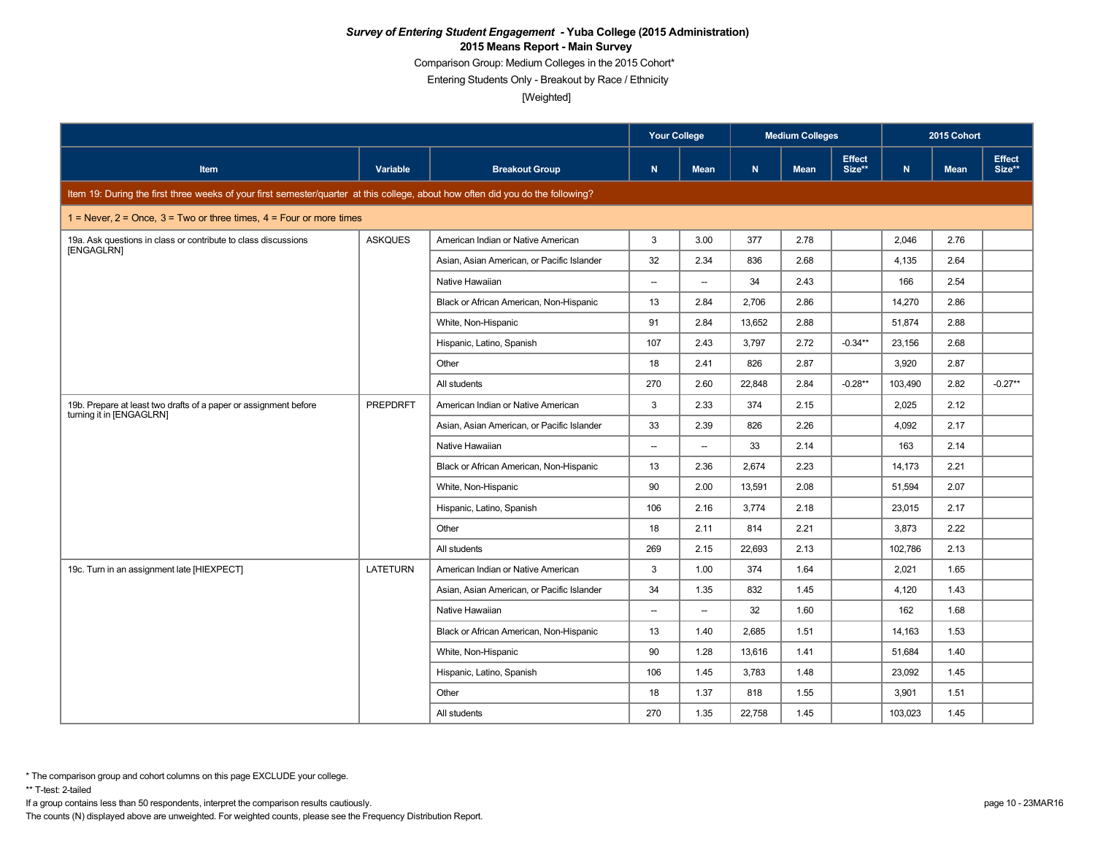Comparison Group: Medium Colleges in the 2015 Cohort\*

Entering Students Only - Breakout by Race / Ethnicity

[Weighted]

|                                                                                                                                 |                |                                            | <b>Your College</b>      |                          |        | <b>Medium Colleges</b> |                         |         | 2015 Cohort |                         |
|---------------------------------------------------------------------------------------------------------------------------------|----------------|--------------------------------------------|--------------------------|--------------------------|--------|------------------------|-------------------------|---------|-------------|-------------------------|
| Item                                                                                                                            | Variable       | <b>Breakout Group</b>                      | $\mathbf N$              | <b>Mean</b>              | N      | <b>Mean</b>            | <b>Effect</b><br>Size** | N       | <b>Mean</b> | <b>Effect</b><br>Size** |
| Item 19: During the first three weeks of your first semester/quarter at this college, about how often did you do the following? |                |                                            |                          |                          |        |                        |                         |         |             |                         |
| 1 = Never, $2$ = Once, $3$ = Two or three times, $4$ = Four or more times                                                       |                |                                            |                          |                          |        |                        |                         |         |             |                         |
| 19a. Ask questions in class or contribute to class discussions                                                                  | <b>ASKQUES</b> | American Indian or Native American         | 3                        | 3.00                     | 377    | 2.78                   |                         | 2,046   | 2.76        |                         |
| [ENGAGLRN]                                                                                                                      |                | Asian, Asian American, or Pacific Islander | 32                       | 2.34                     | 836    | 2.68                   |                         | 4,135   | 2.64        |                         |
|                                                                                                                                 |                | Native Hawaiian                            | $\overline{\phantom{a}}$ | $\overline{\phantom{a}}$ | 34     | 2.43                   |                         | 166     | 2.54        |                         |
|                                                                                                                                 |                | Black or African American, Non-Hispanic    | 13                       | 2.84                     | 2,706  | 2.86                   |                         | 14,270  | 2.86        |                         |
|                                                                                                                                 |                | White, Non-Hispanic                        | 91                       | 2.84                     | 13.652 | 2.88                   |                         | 51,874  | 2.88        |                         |
|                                                                                                                                 |                | Hispanic, Latino, Spanish                  | 107                      | 2.43                     | 3,797  | 2.72                   | $-0.34**$               | 23,156  | 2.68        |                         |
|                                                                                                                                 |                | Other                                      | 18                       | 2.41                     | 826    | 2.87                   |                         | 3,920   | 2.87        |                         |
|                                                                                                                                 |                | All students                               | 270                      | 2.60                     | 22,848 | 2.84                   | $-0.28**$               | 103,490 | 2.82        | $-0.27**$               |
| 19b. Prepare at least two drafts of a paper or assignment before                                                                | PREPDRFT       | American Indian or Native American         | 3                        | 2.33                     | 374    | 2.15                   |                         | 2,025   | 2.12        |                         |
| turning it in [ENGAGLRN]                                                                                                        |                | Asian, Asian American, or Pacific Islander | 33                       | 2.39                     | 826    | 2.26                   |                         | 4,092   | 2.17        |                         |
|                                                                                                                                 |                | Native Hawaiian                            | $\overline{\phantom{a}}$ | $\overline{\phantom{a}}$ | 33     | 2.14                   |                         | 163     | 2.14        |                         |
|                                                                                                                                 |                | Black or African American, Non-Hispanic    | 13                       | 2.36                     | 2,674  | 2.23                   |                         | 14,173  | 2.21        |                         |
|                                                                                                                                 |                | White, Non-Hispanic                        | 90                       | 2.00                     | 13,591 | 2.08                   |                         | 51,594  | 2.07        |                         |
|                                                                                                                                 |                | Hispanic, Latino, Spanish                  | 106                      | 2.16                     | 3,774  | 2.18                   |                         | 23,015  | 2.17        |                         |
|                                                                                                                                 |                | Other                                      | 18                       | 2.11                     | 814    | 2.21                   |                         | 3,873   | 2.22        |                         |
|                                                                                                                                 |                | All students                               | 269                      | 2.15                     | 22.693 | 2.13                   |                         | 102,786 | 2.13        |                         |
| 19c. Turn in an assignment late [HIEXPECT]                                                                                      | LATETURN       | American Indian or Native American         | 3                        | 1.00                     | 374    | 1.64                   |                         | 2,021   | 1.65        |                         |
|                                                                                                                                 |                | Asian, Asian American, or Pacific Islander | 34                       | 1.35                     | 832    | 1.45                   |                         | 4,120   | 1.43        |                         |
|                                                                                                                                 |                | Native Hawaiian                            | --                       | $\overline{\phantom{a}}$ | 32     | 1.60                   |                         | 162     | 1.68        |                         |
|                                                                                                                                 |                | Black or African American, Non-Hispanic    | 13                       | 1.40                     | 2,685  | 1.51                   |                         | 14,163  | 1.53        |                         |
|                                                                                                                                 |                | White, Non-Hispanic                        | 90                       | 1.28                     | 13,616 | 1.41                   |                         | 51,684  | 1.40        |                         |
|                                                                                                                                 |                | Hispanic, Latino, Spanish                  | 106                      | 1.45                     | 3,783  | 1.48                   |                         | 23,092  | 1.45        |                         |
|                                                                                                                                 |                | Other                                      | 18                       | 1.37                     | 818    | 1.55                   |                         | 3,901   | 1.51        |                         |
|                                                                                                                                 |                | All students                               | 270                      | 1.35                     | 22,758 | 1.45                   |                         | 103,023 | 1.45        |                         |

\*\* T-test: 2-tailed

If a group contains less than 50 respondents, interpret the comparison results cautiously. page 10 - 23MAR16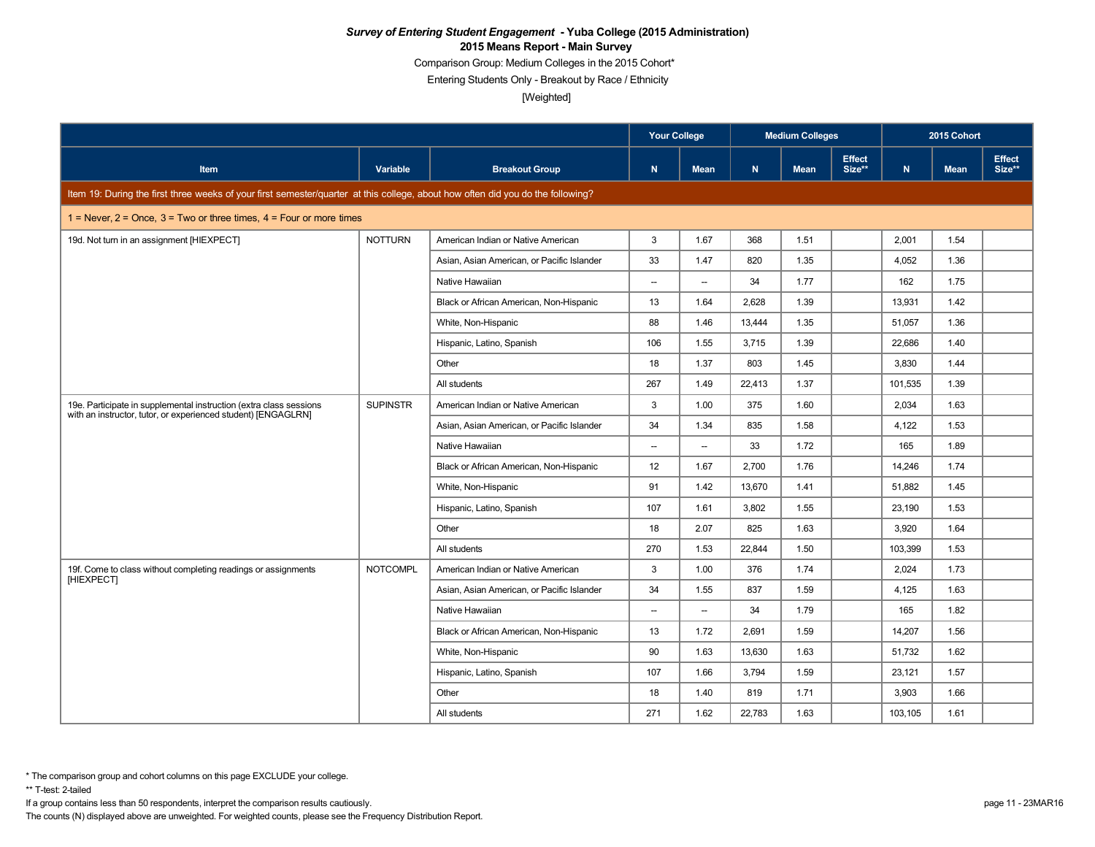Comparison Group: Medium Colleges in the 2015 Cohort\*

Entering Students Only - Breakout by Race / Ethnicity

[Weighted]

|                                                                                                                                     |                 |                                            | <b>Your College</b>      |                          |        | <b>Medium Colleges</b> |                         |              | 2015 Cohort |                         |
|-------------------------------------------------------------------------------------------------------------------------------------|-----------------|--------------------------------------------|--------------------------|--------------------------|--------|------------------------|-------------------------|--------------|-------------|-------------------------|
| Item                                                                                                                                | Variable        | <b>Breakout Group</b>                      | $\mathbf N$              | <b>Mean</b>              | N      | <b>Mean</b>            | <b>Effect</b><br>Size** | $\mathbf{N}$ | <b>Mean</b> | <b>Effect</b><br>Size** |
| Item 19: During the first three weeks of your first semester/quarter at this college, about how often did you do the following?     |                 |                                            |                          |                          |        |                        |                         |              |             |                         |
| 1 = Never, $2$ = Once, $3$ = Two or three times, $4$ = Four or more times                                                           |                 |                                            |                          |                          |        |                        |                         |              |             |                         |
| 19d. Not turn in an assignment [HIEXPECT]                                                                                           | <b>NOTTURN</b>  | American Indian or Native American         | 3                        | 1.67                     | 368    | 1.51                   |                         | 2,001        | 1.54        |                         |
|                                                                                                                                     |                 | Asian, Asian American, or Pacific Islander | 33                       | 1.47                     | 820    | 1.35                   |                         | 4,052        | 1.36        |                         |
|                                                                                                                                     |                 | Native Hawaiian                            | $\overline{\phantom{a}}$ | $\overline{\phantom{a}}$ | 34     | 1.77                   |                         | 162          | 1.75        |                         |
|                                                                                                                                     |                 | Black or African American, Non-Hispanic    | 13                       | 1.64                     | 2,628  | 1.39                   |                         | 13,931       | 1.42        |                         |
|                                                                                                                                     |                 | White, Non-Hispanic                        | 88                       | 1.46                     | 13.444 | 1.35                   |                         | 51,057       | 1.36        |                         |
|                                                                                                                                     |                 | Hispanic, Latino, Spanish                  | 106                      | 1.55                     | 3,715  | 1.39                   |                         | 22,686       | 1.40        |                         |
|                                                                                                                                     |                 | Other                                      | 18                       | 1.37                     | 803    | 1.45                   |                         | 3,830        | 1.44        |                         |
|                                                                                                                                     |                 | All students                               | 267                      | 1.49                     | 22,413 | 1.37                   |                         | 101,535      | 1.39        |                         |
| 19e. Participate in supplemental instruction (extra class sessions<br>with an instructor, tutor, or experienced student) [ENGAGLRN] | <b>SUPINSTR</b> | American Indian or Native American         | 3                        | 1.00                     | 375    | 1.60                   |                         | 2,034        | 1.63        |                         |
|                                                                                                                                     |                 | Asian, Asian American, or Pacific Islander | 34                       | 1.34                     | 835    | 1.58                   |                         | 4,122        | 1.53        |                         |
|                                                                                                                                     |                 | Native Hawaiian                            | $\overline{\phantom{a}}$ | $\overline{\phantom{a}}$ | 33     | 1.72                   |                         | 165          | 1.89        |                         |
|                                                                                                                                     |                 | Black or African American, Non-Hispanic    | 12                       | 1.67                     | 2,700  | 1.76                   |                         | 14.246       | 1.74        |                         |
|                                                                                                                                     |                 | White, Non-Hispanic                        | 91                       | 1.42                     | 13,670 | 1.41                   |                         | 51,882       | 1.45        |                         |
|                                                                                                                                     |                 | Hispanic, Latino, Spanish                  | 107                      | 1.61                     | 3,802  | 1.55                   |                         | 23,190       | 1.53        |                         |
|                                                                                                                                     |                 | Other                                      | 18                       | 2.07                     | 825    | 1.63                   |                         | 3,920        | 1.64        |                         |
|                                                                                                                                     |                 | All students                               | 270                      | 1.53                     | 22.844 | 1.50                   |                         | 103,399      | 1.53        |                         |
| 19f. Come to class without completing readings or assignments<br>[HIEXPECT]                                                         | <b>NOTCOMPL</b> | American Indian or Native American         | 3                        | 1.00                     | 376    | 1.74                   |                         | 2,024        | 1.73        |                         |
|                                                                                                                                     |                 | Asian, Asian American, or Pacific Islander | 34                       | 1.55                     | 837    | 1.59                   |                         | 4,125        | 1.63        |                         |
|                                                                                                                                     |                 | Native Hawaiian                            | --                       | $\overline{\phantom{a}}$ | 34     | 1.79                   |                         | 165          | 1.82        |                         |
|                                                                                                                                     |                 | Black or African American, Non-Hispanic    | 13                       | 1.72                     | 2,691  | 1.59                   |                         | 14,207       | 1.56        |                         |
|                                                                                                                                     |                 | White, Non-Hispanic                        | 90                       | 1.63                     | 13,630 | 1.63                   |                         | 51,732       | 1.62        |                         |
|                                                                                                                                     |                 | Hispanic, Latino, Spanish                  | 107                      | 1.66                     | 3,794  | 1.59                   |                         | 23,121       | 1.57        |                         |
|                                                                                                                                     |                 | Other                                      | 18                       | 1.40                     | 819    | 1.71                   |                         | 3,903        | 1.66        |                         |
|                                                                                                                                     |                 | All students                               | 271                      | 1.62                     | 22,783 | 1.63                   |                         | 103,105      | 1.61        |                         |

\*\* T-test: 2-tailed

If a group contains less than 50 respondents, interpret the comparison results cautiously. page 11 - 23MAR16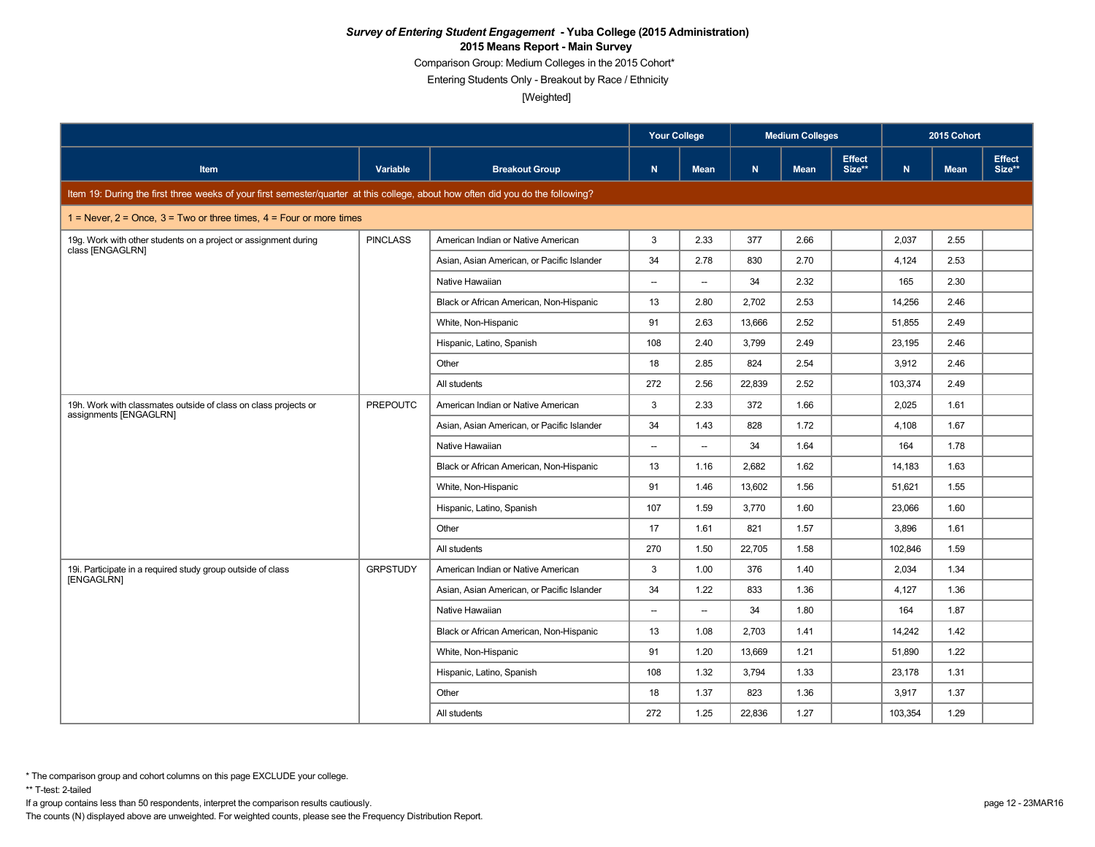Comparison Group: Medium Colleges in the 2015 Cohort\*

Entering Students Only - Breakout by Race / Ethnicity

[Weighted]

|                                                                                                                                 |                 |                                            | <b>Your College</b>      |                          |        | <b>Medium Colleges</b> |                         |         | 2015 Cohort |                         |
|---------------------------------------------------------------------------------------------------------------------------------|-----------------|--------------------------------------------|--------------------------|--------------------------|--------|------------------------|-------------------------|---------|-------------|-------------------------|
| <b>Item</b>                                                                                                                     | Variable        | <b>Breakout Group</b>                      | $\mathsf{N}$             | <b>Mean</b>              | N.     | <b>Mean</b>            | <b>Effect</b><br>Size** | N       | <b>Mean</b> | <b>Effect</b><br>Size** |
| Item 19: During the first three weeks of your first semester/quarter at this college, about how often did you do the following? |                 |                                            |                          |                          |        |                        |                         |         |             |                         |
| 1 = Never, $2$ = Once, $3$ = Two or three times, $4$ = Four or more times                                                       |                 |                                            |                          |                          |        |                        |                         |         |             |                         |
| 19g. Work with other students on a project or assignment during<br>class [ENGAGLRN]                                             | <b>PINCLASS</b> | American Indian or Native American         | 3                        | 2.33                     | 377    | 2.66                   |                         | 2,037   | 2.55        |                         |
|                                                                                                                                 |                 | Asian, Asian American, or Pacific Islander | 34                       | 2.78                     | 830    | 2.70                   |                         | 4,124   | 2.53        |                         |
|                                                                                                                                 |                 | Native Hawaiian                            | $\overline{\phantom{a}}$ | $\overline{\phantom{a}}$ | 34     | 2.32                   |                         | 165     | 2.30        |                         |
|                                                                                                                                 |                 | Black or African American, Non-Hispanic    | 13                       | 2.80                     | 2,702  | 2.53                   |                         | 14,256  | 2.46        |                         |
|                                                                                                                                 |                 | White, Non-Hispanic                        | 91                       | 2.63                     | 13,666 | 2.52                   |                         | 51,855  | 2.49        |                         |
|                                                                                                                                 |                 | Hispanic, Latino, Spanish                  | 108                      | 2.40                     | 3,799  | 2.49                   |                         | 23,195  | 2.46        |                         |
|                                                                                                                                 |                 | Other                                      | 18                       | 2.85                     | 824    | 2.54                   |                         | 3,912   | 2.46        |                         |
|                                                                                                                                 |                 | All students                               | 272                      | 2.56                     | 22,839 | 2.52                   |                         | 103,374 | 2.49        |                         |
| 19h. Work with classmates outside of class on class projects or<br>assignments [ENGAGLRN]                                       | <b>PREPOUTC</b> | American Indian or Native American         | 3                        | 2.33                     | 372    | 1.66                   |                         | 2,025   | 1.61        |                         |
|                                                                                                                                 |                 | Asian, Asian American, or Pacific Islander | 34                       | 1.43                     | 828    | 1.72                   |                         | 4,108   | 1.67        |                         |
|                                                                                                                                 |                 | Native Hawaiian                            | $\overline{\phantom{a}}$ | $\overline{\phantom{a}}$ | 34     | 1.64                   |                         | 164     | 1.78        |                         |
|                                                                                                                                 |                 | Black or African American, Non-Hispanic    | 13                       | 1.16                     | 2.682  | 1.62                   |                         | 14,183  | 1.63        |                         |
|                                                                                                                                 |                 | White, Non-Hispanic                        | 91                       | 1.46                     | 13,602 | 1.56                   |                         | 51,621  | 1.55        |                         |
|                                                                                                                                 |                 | Hispanic, Latino, Spanish                  | 107                      | 1.59                     | 3.770  | 1.60                   |                         | 23,066  | 1.60        |                         |
|                                                                                                                                 |                 | Other                                      | 17                       | 1.61                     | 821    | 1.57                   |                         | 3,896   | 1.61        |                         |
|                                                                                                                                 |                 | All students                               | 270                      | 1.50                     | 22,705 | 1.58                   |                         | 102,846 | 1.59        |                         |
| 19i. Participate in a required study group outside of class<br>[ENGAGLRN]                                                       | <b>GRPSTUDY</b> | American Indian or Native American         | 3                        | 1.00                     | 376    | 1.40                   |                         | 2,034   | 1.34        |                         |
|                                                                                                                                 |                 | Asian, Asian American, or Pacific Islander | 34                       | 1.22                     | 833    | 1.36                   |                         | 4,127   | 1.36        |                         |
|                                                                                                                                 |                 | Native Hawaiian                            | $\overline{\phantom{a}}$ | $\overline{\phantom{a}}$ | 34     | 1.80                   |                         | 164     | 1.87        |                         |
|                                                                                                                                 |                 | Black or African American, Non-Hispanic    | 13                       | 1.08                     | 2,703  | 1.41                   |                         | 14,242  | 1.42        |                         |
|                                                                                                                                 |                 | White, Non-Hispanic                        | 91                       | 1.20                     | 13,669 | 1.21                   |                         | 51,890  | 1.22        |                         |
|                                                                                                                                 |                 | Hispanic, Latino, Spanish                  | 108                      | 1.32                     | 3,794  | 1.33                   |                         | 23,178  | 1.31        |                         |
|                                                                                                                                 |                 | Other                                      | 18                       | 1.37                     | 823    | 1.36                   |                         | 3,917   | 1.37        |                         |
|                                                                                                                                 |                 | All students                               | 272                      | 1.25                     | 22,836 | 1.27                   |                         | 103,354 | 1.29        |                         |

\*\* T-test: 2-tailed

If a group contains less than 50 respondents, interpret the comparison results cautiously. page 12 - 23MAR16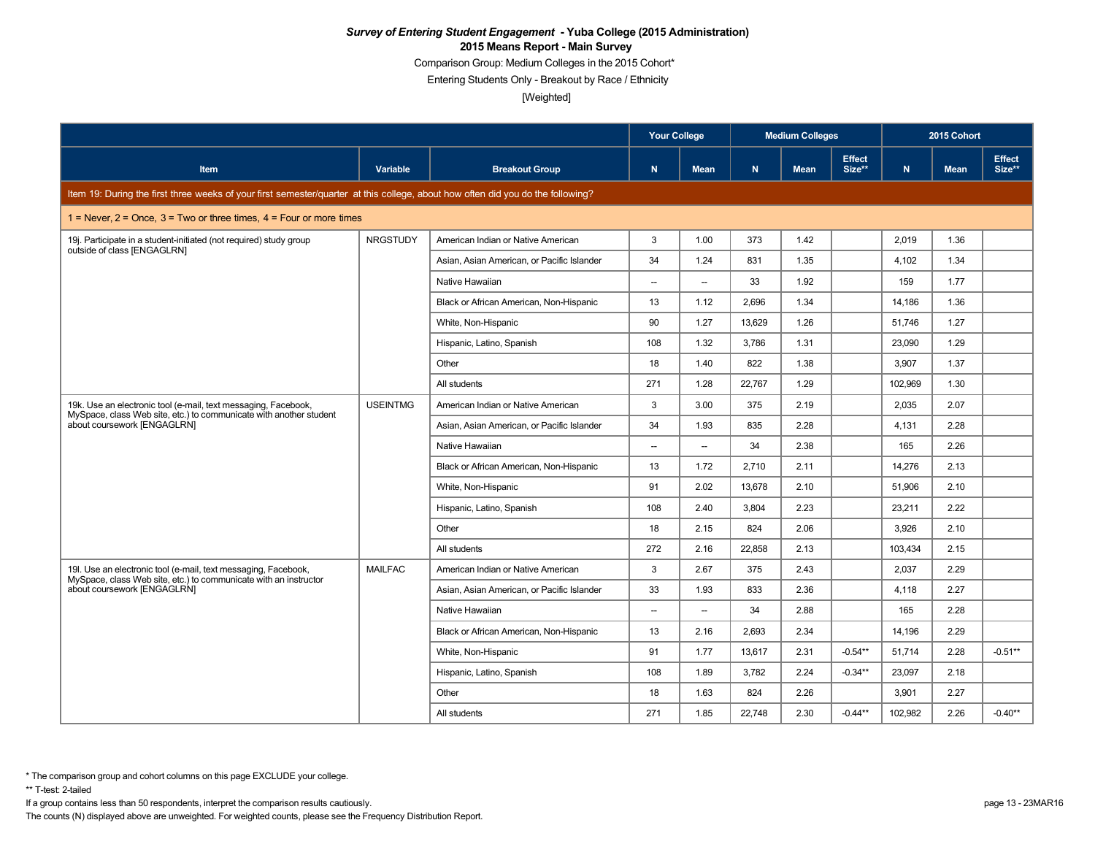Comparison Group: Medium Colleges in the 2015 Cohort\*

Entering Students Only - Breakout by Race / Ethnicity

[Weighted]

|                                                                                                                                      |                 |                                            | <b>Your College</b>      |                          |        | <b>Medium Colleges</b> |                         |         | 2015 Cohort |                         |
|--------------------------------------------------------------------------------------------------------------------------------------|-----------------|--------------------------------------------|--------------------------|--------------------------|--------|------------------------|-------------------------|---------|-------------|-------------------------|
| Item                                                                                                                                 | Variable        | <b>Breakout Group</b>                      | $\mathbf N$              | <b>Mean</b>              | N      | <b>Mean</b>            | <b>Effect</b><br>Size** | N       | <b>Mean</b> | <b>Effect</b><br>Size** |
| Item 19: During the first three weeks of your first semester/quarter at this college, about how often did you do the following?      |                 |                                            |                          |                          |        |                        |                         |         |             |                         |
| 1 = Never, $2$ = Once, $3$ = Two or three times, $4$ = Four or more times                                                            |                 |                                            |                          |                          |        |                        |                         |         |             |                         |
| 19j. Participate in a student-initiated (not required) study group                                                                   | <b>NRGSTUDY</b> | American Indian or Native American         | 3                        | 1.00                     | 373    | 1.42                   |                         | 2,019   | 1.36        |                         |
| outside of class [ENGAGLRN]                                                                                                          |                 | Asian, Asian American, or Pacific Islander | 34                       | 1.24                     | 831    | 1.35                   |                         | 4,102   | 1.34        |                         |
|                                                                                                                                      |                 | Native Hawaiian                            | $\sim$                   | $\sim$                   | 33     | 1.92                   |                         | 159     | 1.77        |                         |
|                                                                                                                                      |                 | Black or African American, Non-Hispanic    | 13                       | 1.12                     | 2,696  | 1.34                   |                         | 14,186  | 1.36        |                         |
|                                                                                                                                      |                 | White, Non-Hispanic                        | 90                       | 1.27                     | 13.629 | 1.26                   |                         | 51.746  | 1.27        |                         |
|                                                                                                                                      |                 | Hispanic, Latino, Spanish                  | 108                      | 1.32                     | 3.786  | 1.31                   |                         | 23.090  | 1.29        |                         |
|                                                                                                                                      |                 | Other                                      | 18                       | 1.40                     | 822    | 1.38                   |                         | 3,907   | 1.37        |                         |
|                                                                                                                                      |                 | All students                               | 271                      | 1.28                     | 22,767 | 1.29                   |                         | 102,969 | 1.30        |                         |
| 19k. Use an electronic tool (e-mail, text messaging, Facebook,<br>MySpace, class Web site, etc.) to communicate with another student | <b>USEINTMG</b> | American Indian or Native American         | 3                        | 3.00                     | 375    | 2.19                   |                         | 2,035   | 2.07        |                         |
| about coursework [ENGAGLRN]                                                                                                          |                 | Asian, Asian American, or Pacific Islander | 34                       | 1.93                     | 835    | 2.28                   |                         | 4,131   | 2.28        |                         |
|                                                                                                                                      |                 | Native Hawaiian                            | $\overline{\phantom{a}}$ | $\overline{\phantom{a}}$ | 34     | 2.38                   |                         | 165     | 2.26        |                         |
|                                                                                                                                      |                 | Black or African American, Non-Hispanic    | 13                       | 1.72                     | 2,710  | 2.11                   |                         | 14,276  | 2.13        |                         |
|                                                                                                                                      |                 | White, Non-Hispanic                        | 91                       | 2.02                     | 13.678 | 2.10                   |                         | 51.906  | 2.10        |                         |
|                                                                                                                                      |                 | Hispanic, Latino, Spanish                  | 108                      | 2.40                     | 3,804  | 2.23                   |                         | 23,211  | 2.22        |                         |
|                                                                                                                                      |                 | Other                                      | 18                       | 2.15                     | 824    | 2.06                   |                         | 3.926   | 2.10        |                         |
|                                                                                                                                      |                 | All students                               | 272                      | 2.16                     | 22,858 | 2.13                   |                         | 103,434 | 2.15        |                         |
| 19l. Use an electronic tool (e-mail, text messaging, Facebook,<br>MySpace, class Web site, etc.) to communicate with an instructor   | <b>MAILFAC</b>  | American Indian or Native American         | 3                        | 2.67                     | 375    | 2.43                   |                         | 2,037   | 2.29        |                         |
| about coursework [ENGAGLRN]                                                                                                          |                 | Asian, Asian American, or Pacific Islander | 33                       | 1.93                     | 833    | 2.36                   |                         | 4,118   | 2.27        |                         |
|                                                                                                                                      |                 | Native Hawaiian                            | $\overline{\phantom{a}}$ | $\overline{\phantom{a}}$ | 34     | 2.88                   |                         | 165     | 2.28        |                         |
|                                                                                                                                      |                 | Black or African American, Non-Hispanic    | 13                       | 2.16                     | 2.693  | 2.34                   |                         | 14.196  | 2.29        |                         |
|                                                                                                                                      |                 | White, Non-Hispanic                        | 91                       | 1.77                     | 13.617 | 2.31                   | $-0.54**$               | 51.714  | 2.28        | $-0.51**$               |
|                                                                                                                                      |                 | Hispanic, Latino, Spanish                  | 108                      | 1.89                     | 3,782  | 2.24                   | $-0.34**$               | 23,097  | 2.18        |                         |
|                                                                                                                                      |                 | Other                                      | 18                       | 1.63                     | 824    | 2.26                   |                         | 3,901   | 2.27        |                         |
|                                                                                                                                      |                 | All students                               | 271                      | 1.85                     | 22,748 | 2.30                   | $-0.44**$               | 102,982 | 2.26        | $-0.40**$               |

\*\* T-test: 2-tailed

If a group contains less than 50 respondents, interpret the comparison results cautiously. page 13 - 23MAR16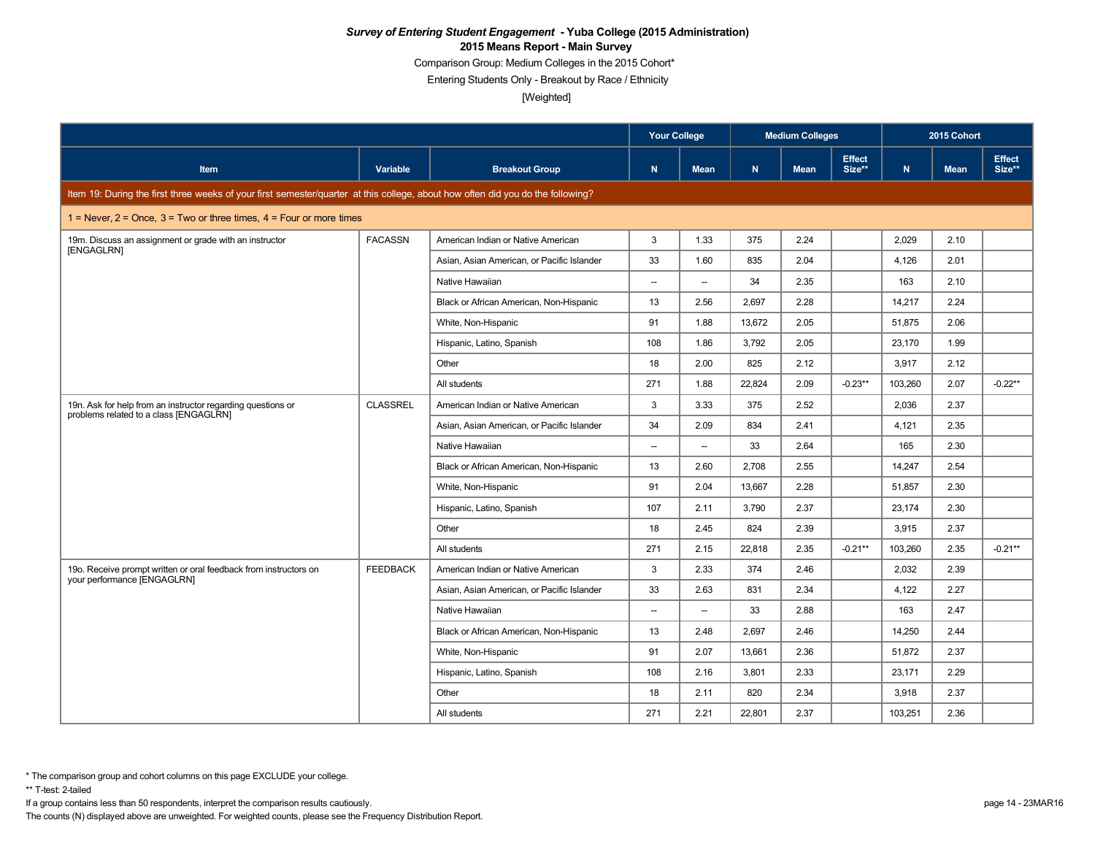Comparison Group: Medium Colleges in the 2015 Cohort\*

Entering Students Only - Breakout by Race / Ethnicity

[Weighted]

|                                                                                                                                 |                 |                                            | <b>Your College</b>      |                          |              | <b>Medium Colleges</b> |                         |         | 2015 Cohort |                         |
|---------------------------------------------------------------------------------------------------------------------------------|-----------------|--------------------------------------------|--------------------------|--------------------------|--------------|------------------------|-------------------------|---------|-------------|-------------------------|
| <b>Item</b>                                                                                                                     | Variable        | <b>Breakout Group</b>                      | $\mathbf N$              | <b>Mean</b>              | $\mathbf{N}$ | <b>Mean</b>            | <b>Effect</b><br>Size** | N       | <b>Mean</b> | <b>Effect</b><br>Size** |
| Item 19: During the first three weeks of your first semester/quarter at this college, about how often did you do the following? |                 |                                            |                          |                          |              |                        |                         |         |             |                         |
| $1 =$ Never, $2 =$ Once, $3 =$ Two or three times, $4 =$ Four or more times                                                     |                 |                                            |                          |                          |              |                        |                         |         |             |                         |
| 19m. Discuss an assignment or grade with an instructor                                                                          | <b>FACASSN</b>  | American Indian or Native American         | 3                        | 1.33                     | 375          | 2.24                   |                         | 2,029   | 2.10        |                         |
| [ENGAGLRN]                                                                                                                      |                 | Asian, Asian American, or Pacific Islander | 33                       | 1.60                     | 835          | 2.04                   |                         | 4,126   | 2.01        |                         |
|                                                                                                                                 |                 | Native Hawaiian                            | $\overline{\phantom{a}}$ | $\overline{\phantom{a}}$ | 34           | 2.35                   |                         | 163     | 2.10        |                         |
|                                                                                                                                 |                 | Black or African American, Non-Hispanic    | 13                       | 2.56                     | 2,697        | 2.28                   |                         | 14,217  | 2.24        |                         |
|                                                                                                                                 |                 | White, Non-Hispanic                        | 91                       | 1.88                     | 13,672       | 2.05                   |                         | 51,875  | 2.06        |                         |
|                                                                                                                                 |                 | Hispanic, Latino, Spanish                  | 108                      | 1.86                     | 3.792        | 2.05                   |                         | 23.170  | 1.99        |                         |
|                                                                                                                                 |                 | Other                                      | 18                       | 2.00                     | 825          | 2.12                   |                         | 3,917   | 2.12        |                         |
|                                                                                                                                 |                 | All students                               | 271                      | 1.88                     | 22,824       | 2.09                   | $-0.23**$               | 103,260 | 2.07        | $-0.22**$               |
| 19n. Ask for help from an instructor regarding questions or<br>problems related to a class [ENGAGLRN]                           | <b>CLASSREL</b> | American Indian or Native American         | 3                        | 3.33                     | 375          | 2.52                   |                         | 2,036   | 2.37        |                         |
|                                                                                                                                 |                 | Asian, Asian American, or Pacific Islander | 34                       | 2.09                     | 834          | 2.41                   |                         | 4,121   | 2.35        |                         |
|                                                                                                                                 |                 | Native Hawaiian                            | $\overline{\phantom{a}}$ | $\overline{\phantom{a}}$ | 33           | 2.64                   |                         | 165     | 2.30        |                         |
|                                                                                                                                 |                 | Black or African American, Non-Hispanic    | 13                       | 2.60                     | 2.708        | 2.55                   |                         | 14.247  | 2.54        |                         |
|                                                                                                                                 |                 | White, Non-Hispanic                        | 91                       | 2.04                     | 13,667       | 2.28                   |                         | 51,857  | 2.30        |                         |
|                                                                                                                                 |                 | Hispanic, Latino, Spanish                  | 107                      | 2.11                     | 3,790        | 2.37                   |                         | 23,174  | 2.30        |                         |
|                                                                                                                                 |                 | Other                                      | 18                       | 2.45                     | 824          | 2.39                   |                         | 3,915   | 2.37        |                         |
|                                                                                                                                 |                 | All students                               | 271                      | 2.15                     | 22,818       | 2.35                   | $-0.21**$               | 103,260 | 2.35        | $-0.21**$               |
| 19o. Receive prompt written or oral feedback from instructors on                                                                | <b>FEEDBACK</b> | American Indian or Native American         | 3                        | 2.33                     | 374          | 2.46                   |                         | 2,032   | 2.39        |                         |
| your performance [ENGAGLRN]                                                                                                     |                 | Asian, Asian American, or Pacific Islander | 33                       | 2.63                     | 831          | 2.34                   |                         | 4,122   | 2.27        |                         |
|                                                                                                                                 |                 | Native Hawaiian                            | $\overline{\phantom{a}}$ | $\overline{\phantom{a}}$ | 33           | 2.88                   |                         | 163     | 2.47        |                         |
|                                                                                                                                 |                 | Black or African American, Non-Hispanic    | 13                       | 2.48                     | 2,697        | 2.46                   |                         | 14,250  | 2.44        |                         |
|                                                                                                                                 |                 | White, Non-Hispanic                        | 91                       | 2.07                     | 13,661       | 2.36                   |                         | 51,872  | 2.37        |                         |
|                                                                                                                                 |                 | Hispanic, Latino, Spanish                  | 108                      | 2.16                     | 3,801        | 2.33                   |                         | 23,171  | 2.29        |                         |
|                                                                                                                                 |                 | Other                                      | 18                       | 2.11                     | 820          | 2.34                   |                         | 3,918   | 2.37        |                         |
|                                                                                                                                 |                 | All students                               | 271                      | 2.21                     | 22,801       | 2.37                   |                         | 103,251 | 2.36        |                         |

\*\* T-test: 2-tailed

If a group contains less than 50 respondents, interpret the comparison results cautiously. page 14 - 23MAR16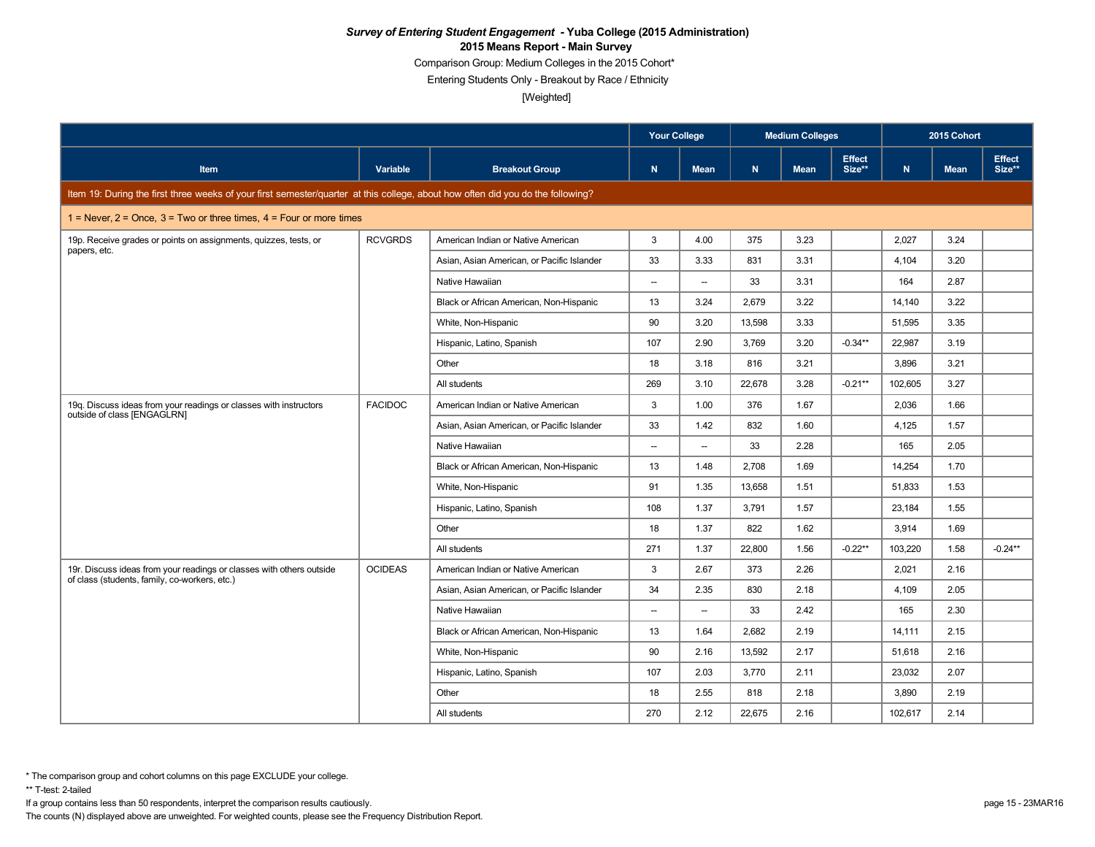Comparison Group: Medium Colleges in the 2015 Cohort\*

Entering Students Only - Breakout by Race / Ethnicity

[Weighted]

|                                                                                                                                 |                |                                            | <b>Your College</b>      |                          |        | <b>Medium Colleges</b> |                         |         | 2015 Cohort |                  |
|---------------------------------------------------------------------------------------------------------------------------------|----------------|--------------------------------------------|--------------------------|--------------------------|--------|------------------------|-------------------------|---------|-------------|------------------|
| <b>Item</b>                                                                                                                     | Variable       | <b>Breakout Group</b>                      | ${\bf N}$                | <b>Mean</b>              | N      | <b>Mean</b>            | <b>Effect</b><br>Size** | N       | <b>Mean</b> | Effect<br>Size** |
| Item 19: During the first three weeks of your first semester/quarter at this college, about how often did you do the following? |                |                                            |                          |                          |        |                        |                         |         |             |                  |
| 1 = Never, $2$ = Once, $3$ = Two or three times, $4$ = Four or more times                                                       |                |                                            |                          |                          |        |                        |                         |         |             |                  |
| 19p. Receive grades or points on assignments, quizzes, tests, or                                                                | <b>RCVGRDS</b> | American Indian or Native American         | 3                        | 4.00                     | 375    | 3.23                   |                         | 2,027   | 3.24        |                  |
| papers, etc.                                                                                                                    |                | Asian, Asian American, or Pacific Islander | 33                       | 3.33                     | 831    | 3.31                   |                         | 4,104   | 3.20        |                  |
|                                                                                                                                 |                | Native Hawaiian                            | --                       | $\overline{\phantom{a}}$ | 33     | 3.31                   |                         | 164     | 2.87        |                  |
|                                                                                                                                 |                | Black or African American, Non-Hispanic    | 13                       | 3.24                     | 2,679  | 3.22                   |                         | 14,140  | 3.22        |                  |
|                                                                                                                                 |                | White, Non-Hispanic                        | 90                       | 3.20                     | 13,598 | 3.33                   |                         | 51,595  | 3.35        |                  |
|                                                                                                                                 |                | Hispanic, Latino, Spanish                  | 107                      | 2.90                     | 3.769  | 3.20                   | $-0.34**$               | 22.987  | 3.19        |                  |
|                                                                                                                                 |                | Other                                      | 18                       | 3.18                     | 816    | 3.21                   |                         | 3,896   | 3.21        |                  |
|                                                                                                                                 |                | All students                               | 269                      | 3.10                     | 22,678 | 3.28                   | $-0.21**$               | 102,605 | 3.27        |                  |
| 19g. Discuss ideas from your readings or classes with instructors<br>outside of class [ENGAGLRN]                                | <b>FACIDOC</b> | American Indian or Native American         | 3                        | 1.00                     | 376    | 1.67                   |                         | 2,036   | 1.66        |                  |
|                                                                                                                                 |                | Asian, Asian American, or Pacific Islander | 33                       | 1.42                     | 832    | 1.60                   |                         | 4,125   | 1.57        |                  |
|                                                                                                                                 |                | Native Hawaiian                            | --                       | $\overline{\phantom{a}}$ | 33     | 2.28                   |                         | 165     | 2.05        |                  |
|                                                                                                                                 |                | Black or African American, Non-Hispanic    | 13                       | 1.48                     | 2.708  | 1.69                   |                         | 14.254  | 1.70        |                  |
|                                                                                                                                 |                | White, Non-Hispanic                        | 91                       | 1.35                     | 13,658 | 1.51                   |                         | 51,833  | 1.53        |                  |
|                                                                                                                                 |                | Hispanic, Latino, Spanish                  | 108                      | 1.37                     | 3,791  | 1.57                   |                         | 23,184  | 1.55        |                  |
|                                                                                                                                 |                | Other                                      | 18                       | 1.37                     | 822    | 1.62                   |                         | 3,914   | 1.69        |                  |
|                                                                                                                                 |                | All students                               | 271                      | 1.37                     | 22,800 | 1.56                   | $-0.22**$               | 103,220 | 1.58        | $-0.24**$        |
| 19r. Discuss ideas from your readings or classes with others outside<br>of class (students, family, co-workers, etc.)           | <b>OCIDEAS</b> | American Indian or Native American         | 3                        | 2.67                     | 373    | 2.26                   |                         | 2,021   | 2.16        |                  |
|                                                                                                                                 |                | Asian, Asian American, or Pacific Islander | 34                       | 2.35                     | 830    | 2.18                   |                         | 4,109   | 2.05        |                  |
|                                                                                                                                 |                | Native Hawaiian                            | $\overline{\phantom{a}}$ | $\overline{\phantom{a}}$ | 33     | 2.42                   |                         | 165     | 2.30        |                  |
|                                                                                                                                 |                | Black or African American, Non-Hispanic    | 13                       | 1.64                     | 2,682  | 2.19                   |                         | 14,111  | 2.15        |                  |
|                                                                                                                                 |                | White, Non-Hispanic                        | 90                       | 2.16                     | 13,592 | 2.17                   |                         | 51,618  | 2.16        |                  |
|                                                                                                                                 |                | Hispanic, Latino, Spanish                  | 107                      | 2.03                     | 3,770  | 2.11                   |                         | 23,032  | 2.07        |                  |
|                                                                                                                                 |                | Other                                      | 18                       | 2.55                     | 818    | 2.18                   |                         | 3,890   | 2.19        |                  |
|                                                                                                                                 |                | All students                               | 270                      | 2.12                     | 22,675 | 2.16                   |                         | 102,617 | 2.14        |                  |

\*\* T-test: 2-tailed

If a group contains less than 50 respondents, interpret the comparison results cautiously. page 15 - 23MAR16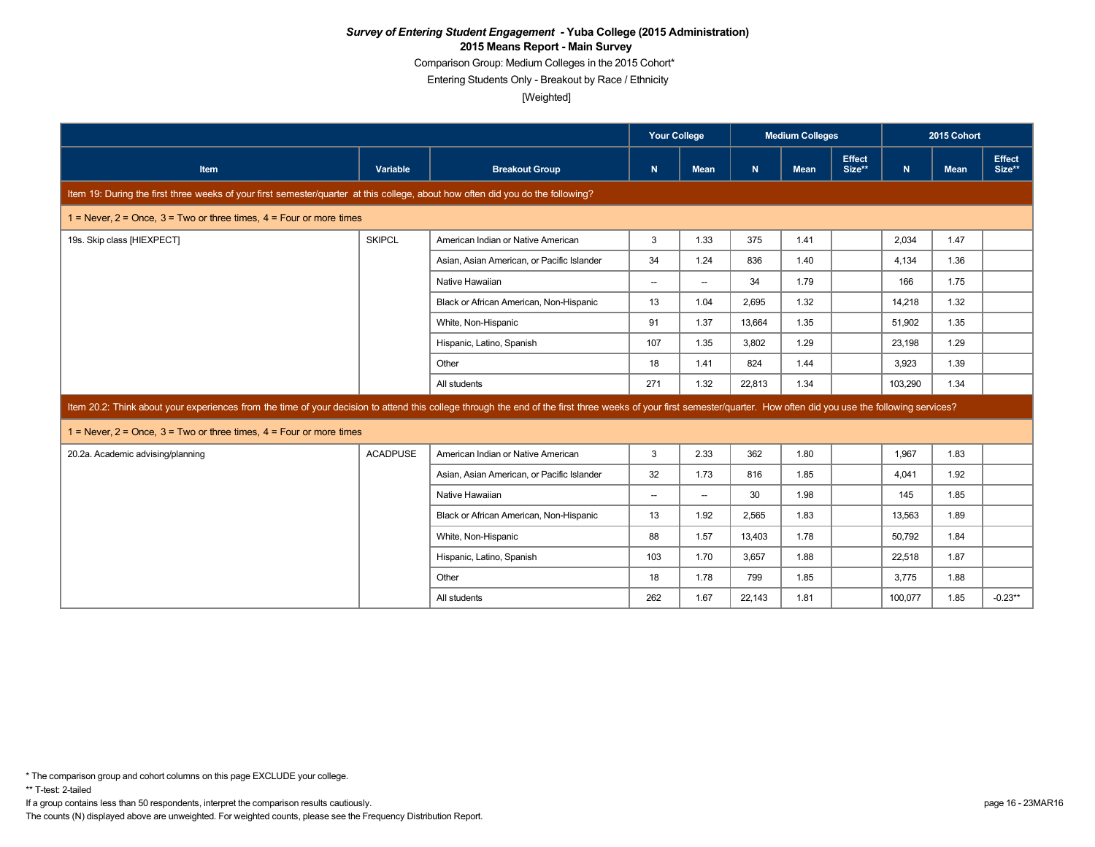Comparison Group: Medium Colleges in the 2015 Cohort\*

Entering Students Only - Breakout by Race / Ethnicity

[Weighted]

|                                                                                                                                                                                                                      |                 |                                            | <b>Your College</b><br><b>Medium Colleges</b> |                                    |        |             |                         | 2015 Cohort |             |                  |
|----------------------------------------------------------------------------------------------------------------------------------------------------------------------------------------------------------------------|-----------------|--------------------------------------------|-----------------------------------------------|------------------------------------|--------|-------------|-------------------------|-------------|-------------|------------------|
| Item                                                                                                                                                                                                                 | Variable        | <b>Breakout Group</b>                      | N.                                            | <b>Mean</b>                        | N.     | <b>Mean</b> | <b>Effect</b><br>Size** | N           | <b>Mean</b> | Effect<br>Size** |
| Item 19: During the first three weeks of your first semester/quarter at this college, about how often did you do the following?                                                                                      |                 |                                            |                                               |                                    |        |             |                         |             |             |                  |
| 1 = Never, $2$ = Once, $3$ = Two or three times, $4$ = Four or more times                                                                                                                                            |                 |                                            |                                               |                                    |        |             |                         |             |             |                  |
| 19s. Skip class [HIEXPECT]                                                                                                                                                                                           | <b>SKIPCL</b>   | American Indian or Native American         | 3                                             | 1.33                               | 375    | 1.41        |                         | 2,034       | 1.47        |                  |
|                                                                                                                                                                                                                      |                 | Asian, Asian American, or Pacific Islander | 34                                            | 1.24                               | 836    | 1.40        |                         | 4.134       | 1.36        |                  |
|                                                                                                                                                                                                                      |                 | Native Hawaiian                            | $\overline{\phantom{a}}$                      | $\hspace{0.05cm} -\hspace{0.05cm}$ | 34     | 1.79        |                         | 166         | 1.75        |                  |
|                                                                                                                                                                                                                      |                 | Black or African American, Non-Hispanic    | 13                                            | 1.04                               | 2.695  | 1.32        |                         | 14,218      | 1.32        |                  |
|                                                                                                                                                                                                                      |                 | White, Non-Hispanic                        | 91                                            | 1.37                               | 13,664 | 1.35        |                         | 51,902      | 1.35        |                  |
|                                                                                                                                                                                                                      |                 | Hispanic, Latino, Spanish                  | 107                                           | 1.35                               | 3.802  | 1.29        |                         | 23.198      | 1.29        |                  |
|                                                                                                                                                                                                                      |                 | Other                                      | 18                                            | 1.41                               | 824    | 1.44        |                         | 3,923       | 1.39        |                  |
|                                                                                                                                                                                                                      |                 | All students                               | 271                                           | 1.32                               | 22,813 | 1.34        |                         | 103,290     | 1.34        |                  |
| Item 20.2: Think about your experiences from the time of your decision to attend this college through the end of the first three weeks of your first semester/quarter. How often did you use the following services? |                 |                                            |                                               |                                    |        |             |                         |             |             |                  |
| 1 = Never, $2$ = Once, $3$ = Two or three times, $4$ = Four or more times                                                                                                                                            |                 |                                            |                                               |                                    |        |             |                         |             |             |                  |
| 20.2a. Academic advising/planning                                                                                                                                                                                    | <b>ACADPUSE</b> | American Indian or Native American         | 3                                             | 2.33                               | 362    | 1.80        |                         | 1,967       | 1.83        |                  |
|                                                                                                                                                                                                                      |                 | Asian, Asian American, or Pacific Islander | 32                                            | 1.73                               | 816    | 1.85        |                         | 4,041       | 1.92        |                  |
|                                                                                                                                                                                                                      |                 | Native Hawaiian                            | $\overline{\phantom{a}}$                      | $\hspace{0.05cm} -\hspace{0.05cm}$ | 30     | 1.98        |                         | 145         | 1.85        |                  |
|                                                                                                                                                                                                                      |                 | Black or African American, Non-Hispanic    | 13                                            | 1.92                               | 2,565  | 1.83        |                         | 13,563      | 1.89        |                  |
|                                                                                                                                                                                                                      |                 | White, Non-Hispanic                        | 88                                            | 1.57                               | 13,403 | 1.78        |                         | 50,792      | 1.84        |                  |
|                                                                                                                                                                                                                      |                 | Hispanic, Latino, Spanish                  | 103                                           | 1.70                               | 3,657  | 1.88        |                         | 22,518      | 1.87        |                  |
|                                                                                                                                                                                                                      |                 | Other                                      | 18                                            | 1.78                               | 799    | 1.85        |                         | 3,775       | 1.88        |                  |
|                                                                                                                                                                                                                      |                 | All students                               | 262                                           | 1.67                               | 22,143 | 1.81        |                         | 100,077     | 1.85        | $-0.23**$        |

\*\* T-test: 2-tailed

If a group contains less than 50 respondents, interpret the comparison results cautiously. page 16 - 23MAR16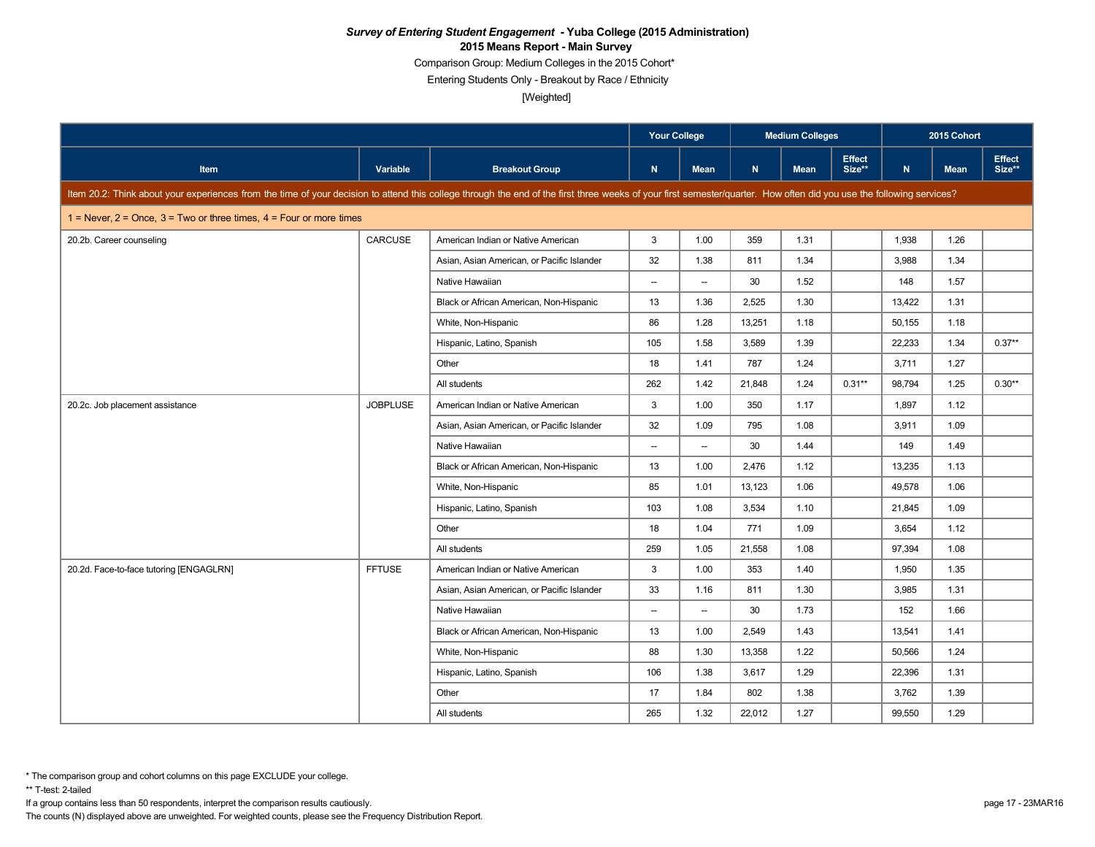Comparison Group: Medium Colleges in the 2015 Cohort\*

Entering Students Only - Breakout by Race / Ethnicity

[Weighted]

|                                                                                                                                                                                                                      |                 |                                            | <b>Your College</b>      |                          |              | <b>Medium Colleges</b> |                         |        | 2015 Cohort |                         |
|----------------------------------------------------------------------------------------------------------------------------------------------------------------------------------------------------------------------|-----------------|--------------------------------------------|--------------------------|--------------------------|--------------|------------------------|-------------------------|--------|-------------|-------------------------|
| <b>Item</b>                                                                                                                                                                                                          | Variable        | <b>Breakout Group</b>                      | $\mathbf N$              | Mean                     | $\mathbf{N}$ | <b>Mean</b>            | <b>Effect</b><br>Size** | N      | <b>Mean</b> | <b>Effect</b><br>Size** |
| Item 20.2: Think about your experiences from the time of your decision to attend this college through the end of the first three weeks of your first semester/quarter. How often did you use the following services? |                 |                                            |                          |                          |              |                        |                         |        |             |                         |
| $1 =$ Never, $2 =$ Once, $3 =$ Two or three times, $4 =$ Four or more times                                                                                                                                          |                 |                                            |                          |                          |              |                        |                         |        |             |                         |
| 20.2b. Career counseling                                                                                                                                                                                             | CARCUSE         | American Indian or Native American         | 3                        | 1.00                     | 359          | 1.31                   |                         | 1,938  | 1.26        |                         |
|                                                                                                                                                                                                                      |                 | Asian, Asian American, or Pacific Islander | 32                       | 1.38                     | 811          | 1.34                   |                         | 3,988  | 1.34        |                         |
|                                                                                                                                                                                                                      |                 | Native Hawaiian                            | $\overline{\phantom{a}}$ | $\overline{\phantom{a}}$ | 30           | 1.52                   |                         | 148    | 1.57        |                         |
|                                                                                                                                                                                                                      |                 | Black or African American, Non-Hispanic    | 13                       | 1.36                     | 2,525        | 1.30                   |                         | 13,422 | 1.31        |                         |
|                                                                                                                                                                                                                      |                 | White, Non-Hispanic                        | 86                       | 1.28                     | 13,251       | 1.18                   |                         | 50,155 | 1.18        |                         |
|                                                                                                                                                                                                                      |                 | Hispanic, Latino, Spanish                  | 105                      | 1.58                     | 3,589        | 1.39                   |                         | 22,233 | 1.34        | $0.37**$                |
|                                                                                                                                                                                                                      |                 | Other                                      | 18                       | 1.41                     | 787          | 1.24                   |                         | 3,711  | 1.27        |                         |
|                                                                                                                                                                                                                      |                 | All students                               | 262                      | 1.42                     | 21,848       | 1.24                   | $0.31**$                | 98,794 | 1.25        | $0.30**$                |
| 20.2c. Job placement assistance                                                                                                                                                                                      | <b>JOBPLUSE</b> | American Indian or Native American         | 3                        | 1.00                     | 350          | 1.17                   |                         | 1.897  | 1.12        |                         |
|                                                                                                                                                                                                                      |                 | Asian, Asian American, or Pacific Islander | 32                       | 1.09                     | 795          | 1.08                   |                         | 3,911  | 1.09        |                         |
|                                                                                                                                                                                                                      |                 | Native Hawaiian                            | $\overline{\phantom{a}}$ | $\overline{\phantom{a}}$ | 30           | 1.44                   |                         | 149    | 1.49        |                         |
|                                                                                                                                                                                                                      |                 | Black or African American, Non-Hispanic    | 13                       | 1.00                     | 2,476        | 1.12                   |                         | 13,235 | 1.13        |                         |
|                                                                                                                                                                                                                      |                 | White, Non-Hispanic                        | 85                       | 1.01                     | 13,123       | 1.06                   |                         | 49,578 | 1.06        |                         |
|                                                                                                                                                                                                                      |                 | Hispanic, Latino, Spanish                  | 103                      | 1.08                     | 3,534        | 1.10                   |                         | 21,845 | 1.09        |                         |
|                                                                                                                                                                                                                      |                 | Other                                      | 18                       | 1.04                     | 771          | 1.09                   |                         | 3,654  | 1.12        |                         |
|                                                                                                                                                                                                                      |                 | All students                               | 259                      | 1.05                     | 21,558       | 1.08                   |                         | 97.394 | 1.08        |                         |
| 20.2d. Face-to-face tutoring [ENGAGLRN]                                                                                                                                                                              | <b>FFTUSE</b>   | American Indian or Native American         | 3                        | 1.00                     | 353          | 1.40                   |                         | 1,950  | 1.35        |                         |
|                                                                                                                                                                                                                      |                 | Asian, Asian American, or Pacific Islander | 33                       | 1.16                     | 811          | 1.30                   |                         | 3,985  | 1.31        |                         |
|                                                                                                                                                                                                                      |                 | Native Hawaiian                            | $\overline{\phantom{a}}$ | $\overline{\phantom{a}}$ | 30           | 1.73                   |                         | 152    | 1.66        |                         |
|                                                                                                                                                                                                                      |                 | Black or African American, Non-Hispanic    | 13                       | 1.00                     | 2,549        | 1.43                   |                         | 13,541 | 1.41        |                         |
|                                                                                                                                                                                                                      |                 | White, Non-Hispanic                        | 88                       | 1.30                     | 13,358       | 1.22                   |                         | 50,566 | 1.24        |                         |
|                                                                                                                                                                                                                      |                 | Hispanic, Latino, Spanish                  | 106                      | 1.38                     | 3,617        | 1.29                   |                         | 22,396 | 1.31        |                         |
|                                                                                                                                                                                                                      |                 | Other                                      | 17                       | 1.84                     | 802          | 1.38                   |                         | 3,762  | 1.39        |                         |
|                                                                                                                                                                                                                      |                 | All students                               | 265                      | 1.32                     | 22,012       | 1.27                   |                         | 99,550 | 1.29        |                         |

\*\* T-test: 2-tailed

If a group contains less than 50 respondents, interpret the comparison results cautiously. page 17 - 23MAR16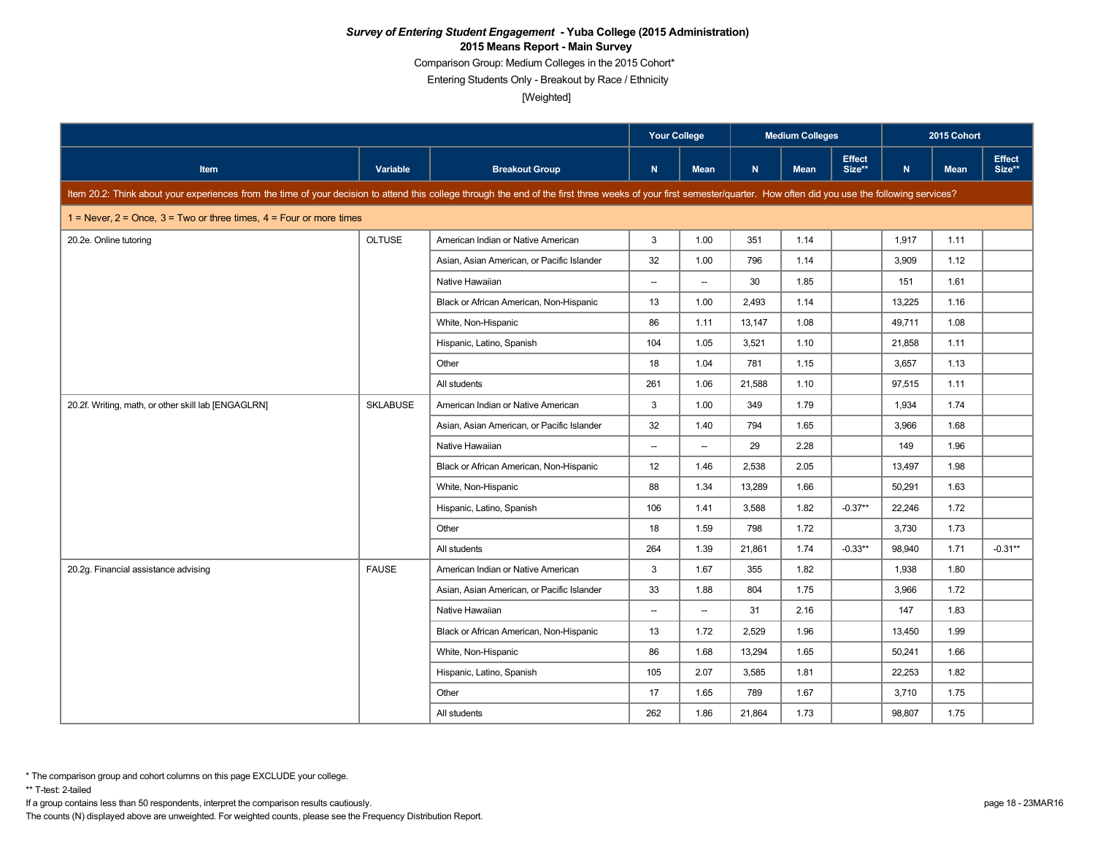Comparison Group: Medium Colleges in the 2015 Cohort\*

Entering Students Only - Breakout by Race / Ethnicity

[Weighted]

|                                                                                                                                                                                                                      |                 |                                            | <b>Your College</b>      |                          |        | <b>Medium Colleges</b> |                         |        | 2015 Cohort |                         |
|----------------------------------------------------------------------------------------------------------------------------------------------------------------------------------------------------------------------|-----------------|--------------------------------------------|--------------------------|--------------------------|--------|------------------------|-------------------------|--------|-------------|-------------------------|
| Item                                                                                                                                                                                                                 | Variable        | <b>Breakout Group</b>                      | N.                       | Mean                     | N      | <b>Mean</b>            | <b>Effect</b><br>Size** | N      | <b>Mean</b> | <b>Effect</b><br>Size** |
| Item 20.2: Think about your experiences from the time of your decision to attend this college through the end of the first three weeks of your first semester/quarter. How often did you use the following services? |                 |                                            |                          |                          |        |                        |                         |        |             |                         |
| $1 =$ Never, $2 =$ Once, $3 =$ Two or three times, $4 =$ Four or more times                                                                                                                                          |                 |                                            |                          |                          |        |                        |                         |        |             |                         |
| 20.2e. Online tutoring                                                                                                                                                                                               | <b>OLTUSE</b>   | American Indian or Native American         | 3                        | 1.00                     | 351    | 1.14                   |                         | 1.917  | 1.11        |                         |
|                                                                                                                                                                                                                      |                 | Asian, Asian American, or Pacific Islander | 32                       | 1.00                     | 796    | 1.14                   |                         | 3,909  | 1.12        |                         |
|                                                                                                                                                                                                                      |                 | Native Hawaiian                            | $\overline{\phantom{a}}$ | $\overline{\phantom{a}}$ | 30     | 1.85                   |                         | 151    | 1.61        |                         |
|                                                                                                                                                                                                                      |                 | Black or African American, Non-Hispanic    | 13                       | 1.00                     | 2.493  | 1.14                   |                         | 13,225 | 1.16        |                         |
|                                                                                                                                                                                                                      |                 | White, Non-Hispanic                        | 86                       | 1.11                     | 13,147 | 1.08                   |                         | 49,711 | 1.08        |                         |
|                                                                                                                                                                                                                      |                 | Hispanic, Latino, Spanish                  | 104                      | 1.05                     | 3,521  | 1.10                   |                         | 21,858 | 1.11        |                         |
|                                                                                                                                                                                                                      |                 | Other                                      | 18                       | 1.04                     | 781    | 1.15                   |                         | 3,657  | 1.13        |                         |
|                                                                                                                                                                                                                      |                 | All students                               | 261                      | 1.06                     | 21,588 | 1.10                   |                         | 97,515 | 1.11        |                         |
| 20.2f. Writing, math, or other skill lab [ENGAGLRN]                                                                                                                                                                  | <b>SKLABUSE</b> | American Indian or Native American         | 3                        | 1.00                     | 349    | 1.79                   |                         | 1,934  | 1.74        |                         |
|                                                                                                                                                                                                                      |                 | Asian, Asian American, or Pacific Islander | 32                       | 1.40                     | 794    | 1.65                   |                         | 3,966  | 1.68        |                         |
|                                                                                                                                                                                                                      |                 | Native Hawaiian                            | $\overline{\phantom{a}}$ | $\overline{\phantom{a}}$ | 29     | 2.28                   |                         | 149    | 1.96        |                         |
|                                                                                                                                                                                                                      |                 | Black or African American, Non-Hispanic    | 12                       | 1.46                     | 2,538  | 2.05                   |                         | 13,497 | 1.98        |                         |
|                                                                                                                                                                                                                      |                 | White, Non-Hispanic                        | 88                       | 1.34                     | 13.289 | 1.66                   |                         | 50.291 | 1.63        |                         |
|                                                                                                                                                                                                                      |                 | Hispanic, Latino, Spanish                  | 106                      | 1.41                     | 3,588  | 1.82                   | $-0.37**$               | 22,246 | 1.72        |                         |
|                                                                                                                                                                                                                      |                 | Other                                      | 18                       | 1.59                     | 798    | 1.72                   |                         | 3,730  | 1.73        |                         |
|                                                                                                                                                                                                                      |                 | All students                               | 264                      | 1.39                     | 21,861 | 1.74                   | $-0.33**$               | 98.940 | 1.71        | $-0.31***$              |
| 20.2g. Financial assistance advising                                                                                                                                                                                 | <b>FAUSE</b>    | American Indian or Native American         | 3                        | 1.67                     | 355    | 1.82                   |                         | 1,938  | 1.80        |                         |
|                                                                                                                                                                                                                      |                 | Asian, Asian American, or Pacific Islander | 33                       | 1.88                     | 804    | 1.75                   |                         | 3,966  | 1.72        |                         |
|                                                                                                                                                                                                                      |                 | Native Hawaiian                            | $\overline{\phantom{a}}$ | $\overline{\phantom{0}}$ | 31     | 2.16                   |                         | 147    | 1.83        |                         |
|                                                                                                                                                                                                                      |                 | Black or African American, Non-Hispanic    | 13                       | 1.72                     | 2,529  | 1.96                   |                         | 13,450 | 1.99        |                         |
|                                                                                                                                                                                                                      |                 | White, Non-Hispanic                        | 86                       | 1.68                     | 13,294 | 1.65                   |                         | 50,241 | 1.66        |                         |
|                                                                                                                                                                                                                      |                 | Hispanic, Latino, Spanish                  | 105                      | 2.07                     | 3,585  | 1.81                   |                         | 22,253 | 1.82        |                         |
|                                                                                                                                                                                                                      |                 | Other                                      | 17                       | 1.65                     | 789    | 1.67                   |                         | 3,710  | 1.75        |                         |
|                                                                                                                                                                                                                      |                 | All students                               | 262                      | 1.86                     | 21,864 | 1.73                   |                         | 98,807 | 1.75        |                         |

\*\* T-test: 2-tailed

If a group contains less than 50 respondents, interpret the comparison results cautiously. page 18 - 23MAR16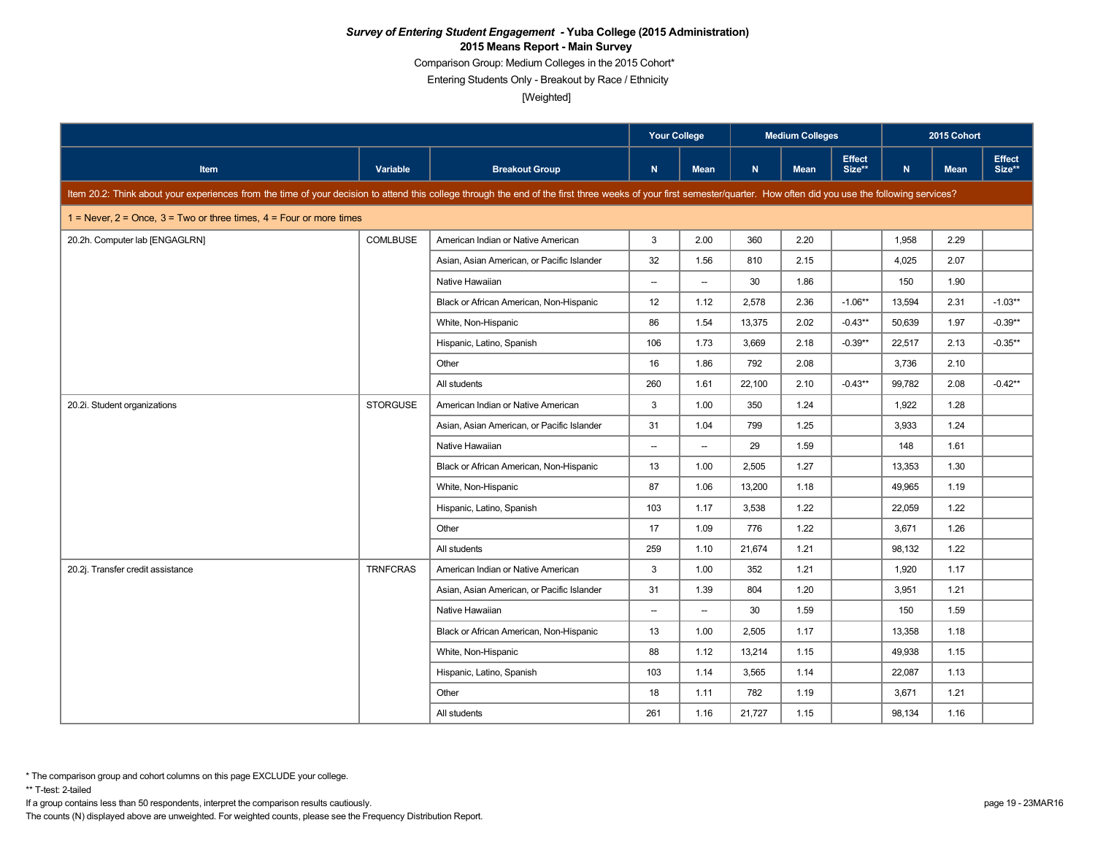Comparison Group: Medium Colleges in the 2015 Cohort\*

Entering Students Only - Breakout by Race / Ethnicity

[Weighted]

|                                                                                                                                                                                                                      |                 |                                            | <b>Your College</b>      |                          |        | <b>Medium Colleges</b> |                         |        | 2015 Cohort |                         |
|----------------------------------------------------------------------------------------------------------------------------------------------------------------------------------------------------------------------|-----------------|--------------------------------------------|--------------------------|--------------------------|--------|------------------------|-------------------------|--------|-------------|-------------------------|
| <b>Item</b>                                                                                                                                                                                                          | Variable        | <b>Breakout Group</b>                      | N                        | <b>Mean</b>              | N      | <b>Mean</b>            | <b>Effect</b><br>Size** | N      | <b>Mean</b> | <b>Effect</b><br>Size** |
| Item 20.2: Think about your experiences from the time of your decision to attend this college through the end of the first three weeks of your first semester/quarter. How often did you use the following services? |                 |                                            |                          |                          |        |                        |                         |        |             |                         |
| $1 =$ Never, $2 =$ Once, $3 =$ Two or three times, $4 =$ Four or more times                                                                                                                                          |                 |                                            |                          |                          |        |                        |                         |        |             |                         |
| 20.2h. Computer lab [ENGAGLRN]                                                                                                                                                                                       | <b>COMLBUSE</b> | American Indian or Native American         | 3                        | 2.00                     | 360    | 2.20                   |                         | 1,958  | 2.29        |                         |
|                                                                                                                                                                                                                      |                 | Asian, Asian American, or Pacific Islander | 32                       | 1.56                     | 810    | 2.15                   |                         | 4,025  | 2.07        |                         |
|                                                                                                                                                                                                                      |                 | Native Hawaiian                            | $\overline{\phantom{a}}$ | $\overline{\phantom{0}}$ | 30     | 1.86                   |                         | 150    | 1.90        |                         |
|                                                                                                                                                                                                                      |                 | Black or African American, Non-Hispanic    | 12                       | 1.12                     | 2,578  | 2.36                   | $-1.06**$               | 13,594 | 2.31        | $-1.03**$               |
|                                                                                                                                                                                                                      |                 | White, Non-Hispanic                        | 86                       | 1.54                     | 13,375 | 2.02                   | $-0.43**$               | 50.639 | 1.97        | $-0.39**$               |
|                                                                                                                                                                                                                      |                 | Hispanic, Latino, Spanish                  | 106                      | 1.73                     | 3,669  | 2.18                   | $-0.39**$               | 22,517 | 2.13        | $-0.35**$               |
|                                                                                                                                                                                                                      |                 | Other                                      | 16                       | 1.86                     | 792    | 2.08                   |                         | 3,736  | 2.10        |                         |
|                                                                                                                                                                                                                      |                 | All students                               | 260                      | 1.61                     | 22,100 | 2.10                   | $-0.43**$               | 99.782 | 2.08        | $-0.42**$               |
| 20.2i. Student organizations                                                                                                                                                                                         | <b>STORGUSE</b> | American Indian or Native American         | 3                        | 1.00                     | 350    | 1.24                   |                         | 1,922  | 1.28        |                         |
|                                                                                                                                                                                                                      |                 | Asian, Asian American, or Pacific Islander | 31                       | 1.04                     | 799    | 1.25                   |                         | 3,933  | 1.24        |                         |
|                                                                                                                                                                                                                      |                 | Native Hawaiian                            | $\overline{\phantom{a}}$ | $\overline{\phantom{a}}$ | 29     | 1.59                   |                         | 148    | 1.61        |                         |
|                                                                                                                                                                                                                      |                 | Black or African American, Non-Hispanic    | 13                       | 1.00                     | 2,505  | 1.27                   |                         | 13,353 | 1.30        |                         |
|                                                                                                                                                                                                                      |                 | White, Non-Hispanic                        | 87                       | 1.06                     | 13,200 | 1.18                   |                         | 49,965 | 1.19        |                         |
|                                                                                                                                                                                                                      |                 | Hispanic, Latino, Spanish                  | 103                      | 1.17                     | 3,538  | 1.22                   |                         | 22,059 | 1.22        |                         |
|                                                                                                                                                                                                                      |                 | Other                                      | 17                       | 1.09                     | 776    | 1.22                   |                         | 3,671  | 1.26        |                         |
|                                                                                                                                                                                                                      |                 | All students                               | 259                      | 1.10                     | 21,674 | 1.21                   |                         | 98,132 | 1.22        |                         |
| 20.2j. Transfer credit assistance                                                                                                                                                                                    | <b>TRNFCRAS</b> | American Indian or Native American         | 3                        | 1.00                     | 352    | 1.21                   |                         | 1,920  | 1.17        |                         |
|                                                                                                                                                                                                                      |                 | Asian, Asian American, or Pacific Islander | 31                       | 1.39                     | 804    | 1.20                   |                         | 3,951  | 1.21        |                         |
|                                                                                                                                                                                                                      |                 | Native Hawaiian                            | $\overline{\phantom{a}}$ | $\qquad \qquad -$        | 30     | 1.59                   |                         | 150    | 1.59        |                         |
|                                                                                                                                                                                                                      |                 | Black or African American, Non-Hispanic    | 13                       | 1.00                     | 2,505  | 1.17                   |                         | 13,358 | 1.18        |                         |
|                                                                                                                                                                                                                      |                 | White, Non-Hispanic                        | 88                       | 1.12                     | 13,214 | 1.15                   |                         | 49,938 | 1.15        |                         |
|                                                                                                                                                                                                                      |                 | Hispanic, Latino, Spanish                  | 103                      | 1.14                     | 3,565  | 1.14                   |                         | 22,087 | 1.13        |                         |
|                                                                                                                                                                                                                      |                 | Other                                      | 18                       | 1.11                     | 782    | 1.19                   |                         | 3,671  | 1.21        |                         |
|                                                                                                                                                                                                                      |                 | All students                               | 261                      | 1.16                     | 21,727 | 1.15                   |                         | 98,134 | 1.16        |                         |

\*\* T-test: 2-tailed

If a group contains less than 50 respondents, interpret the comparison results cautiously. page 19 - 23MAR16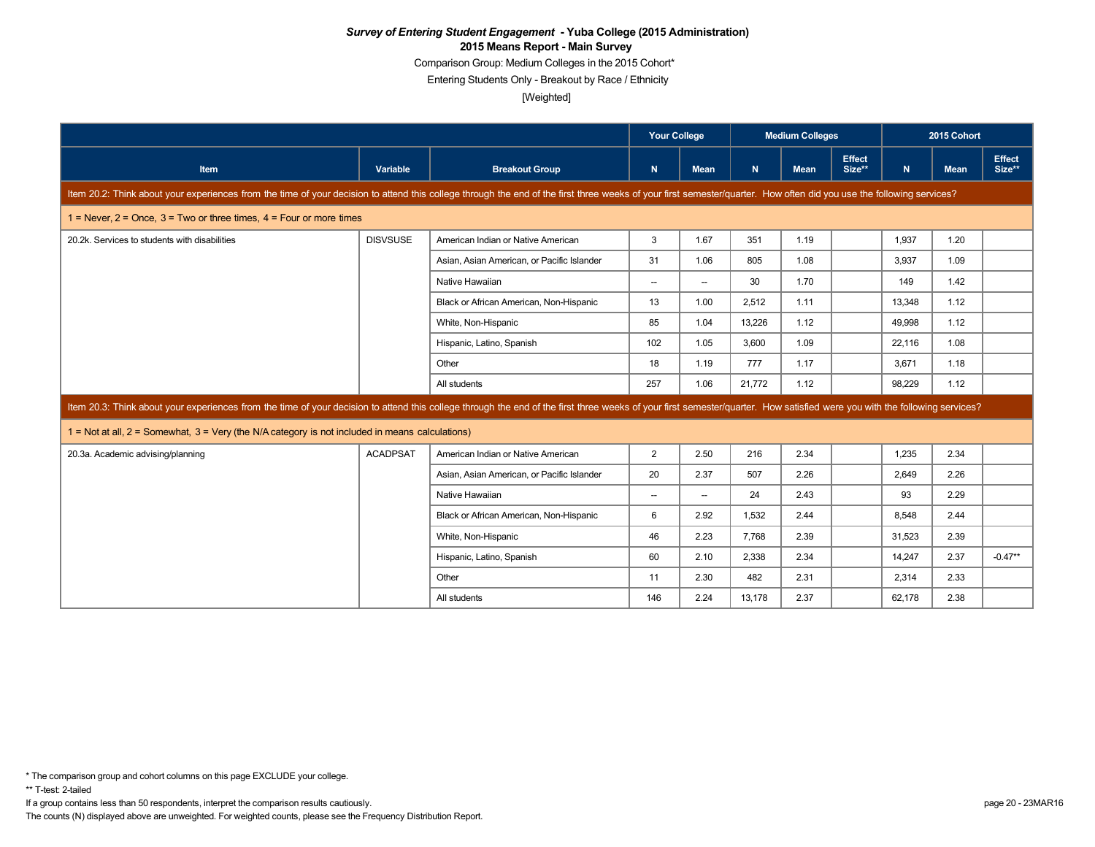Comparison Group: Medium Colleges in the 2015 Cohort\*

Entering Students Only - Breakout by Race / Ethnicity

[Weighted]

|                                                                                                                                                                                                                            |                 |                                            | <b>Your College</b>      |                          | <b>Medium Colleges</b> |             |                         |        | 2015 Cohort |                         |
|----------------------------------------------------------------------------------------------------------------------------------------------------------------------------------------------------------------------------|-----------------|--------------------------------------------|--------------------------|--------------------------|------------------------|-------------|-------------------------|--------|-------------|-------------------------|
| Item                                                                                                                                                                                                                       | Variable        | <b>Breakout Group</b>                      | N                        | Mean                     | N                      | <b>Mean</b> | <b>Effect</b><br>Size** | N.     | <b>Mean</b> | <b>Effect</b><br>Size** |
| Item 20.2: Think about your experiences from the time of your decision to attend this college through the end of the first three weeks of your first semester/quarter. How often did you use the following services?       |                 |                                            |                          |                          |                        |             |                         |        |             |                         |
| 1 = Never, $2$ = Once, $3$ = Two or three times, $4$ = Four or more times                                                                                                                                                  |                 |                                            |                          |                          |                        |             |                         |        |             |                         |
| 20.2k. Services to students with disabilities                                                                                                                                                                              | <b>DISVSUSE</b> | American Indian or Native American         | 3                        | 1.67                     | 351                    | 1.19        |                         | 1,937  | 1.20        |                         |
|                                                                                                                                                                                                                            |                 | Asian, Asian American, or Pacific Islander | 31                       | 1.06                     | 805                    | 1.08        |                         | 3.937  | 1.09        |                         |
|                                                                                                                                                                                                                            |                 | Native Hawaiian                            | $\overline{\phantom{a}}$ | --                       | 30                     | 1.70        |                         | 149    | 1.42        |                         |
|                                                                                                                                                                                                                            |                 | Black or African American, Non-Hispanic    | 13                       | 1.00                     | 2.512                  | 1.11        |                         | 13.348 | 1.12        |                         |
|                                                                                                                                                                                                                            |                 | White, Non-Hispanic                        | 85                       | 1.04                     | 13,226                 | 1.12        |                         | 49.998 | 1.12        |                         |
|                                                                                                                                                                                                                            |                 | Hispanic, Latino, Spanish                  | 102                      | 1.05                     | 3,600                  | 1.09        |                         | 22,116 | 1.08        |                         |
|                                                                                                                                                                                                                            |                 | Other                                      | 18                       | 1.19                     | 777                    | 1.17        |                         | 3,671  | 1.18        |                         |
|                                                                                                                                                                                                                            |                 | All students                               | 257                      | 1.06                     | 21,772                 | 1.12        |                         | 98,229 | 1.12        |                         |
| Item 20.3: Think about your experiences from the time of your decision to attend this college through the end of the first three weeks of your first semester/quarter. How satisfied were you with the following services? |                 |                                            |                          |                          |                        |             |                         |        |             |                         |
| 1 = Not at all, 2 = Somewhat, 3 = Very (the N/A category is not included in means calculations)                                                                                                                            |                 |                                            |                          |                          |                        |             |                         |        |             |                         |
| 20.3a. Academic advising/planning                                                                                                                                                                                          | <b>ACADPSAT</b> | American Indian or Native American         | $\overline{2}$           | 2.50                     | 216                    | 2.34        |                         | 1,235  | 2.34        |                         |
|                                                                                                                                                                                                                            |                 | Asian, Asian American, or Pacific Islander | 20                       | 2.37                     | 507                    | 2.26        |                         | 2.649  | 2.26        |                         |
|                                                                                                                                                                                                                            |                 | Native Hawaiian                            | $\overline{\phantom{a}}$ | $\overline{\phantom{a}}$ | 24                     | 2.43        |                         | 93     | 2.29        |                         |
|                                                                                                                                                                                                                            |                 | Black or African American, Non-Hispanic    | 6                        | 2.92                     | 1.532                  | 2.44        |                         | 8.548  | 2.44        |                         |
|                                                                                                                                                                                                                            |                 | White, Non-Hispanic                        | 46                       | 2.23                     | 7.768                  | 2.39        |                         | 31.523 | 2.39        |                         |
|                                                                                                                                                                                                                            |                 | Hispanic, Latino, Spanish                  | 60                       | 2.10                     | 2,338                  | 2.34        |                         | 14,247 | 2.37        | $-0.47**$               |
|                                                                                                                                                                                                                            |                 | Other                                      | 11                       | 2.30                     | 482                    | 2.31        |                         | 2,314  | 2.33        |                         |
|                                                                                                                                                                                                                            |                 | All students                               | 146                      | 2.24                     | 13,178                 | 2.37        |                         | 62.178 | 2.38        |                         |

If a group contains less than 50 respondents, interpret the comparison results cautiously. page 20 - 23MAR16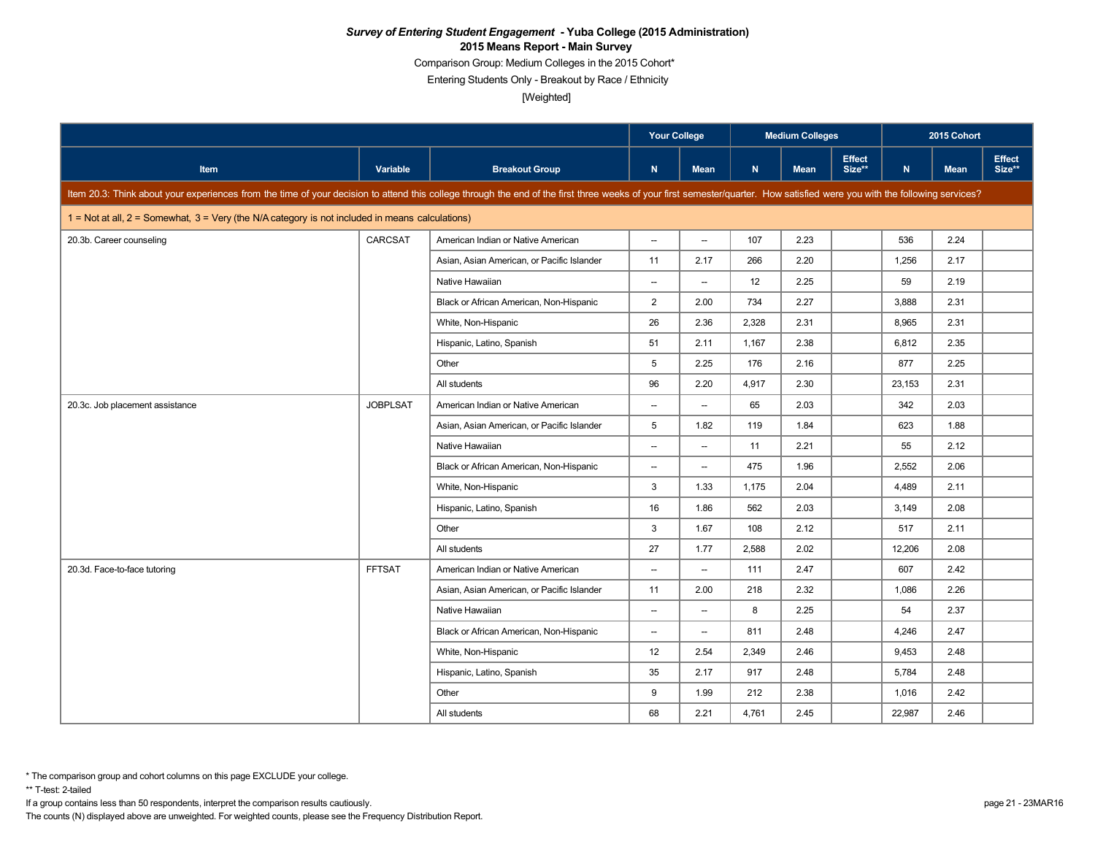Comparison Group: Medium Colleges in the 2015 Cohort\*

Entering Students Only - Breakout by Race / Ethnicity

[Weighted]

|                                                                                                                                                                                                                            |                 |                                            | <b>Your College</b>      |                          |       | <b>Medium Colleges</b> |                         |        | 2015 Cohort |                         |
|----------------------------------------------------------------------------------------------------------------------------------------------------------------------------------------------------------------------------|-----------------|--------------------------------------------|--------------------------|--------------------------|-------|------------------------|-------------------------|--------|-------------|-------------------------|
| <b>Item</b>                                                                                                                                                                                                                | Variable        | <b>Breakout Group</b>                      | $\mathsf{N}$             | <b>Mean</b>              | N     | <b>Mean</b>            | <b>Effect</b><br>Size** | N      | <b>Mean</b> | <b>Effect</b><br>Size** |
| Item 20.3: Think about your experiences from the time of your decision to attend this college through the end of the first three weeks of your first semester/quarter. How satisfied were you with the following services? |                 |                                            |                          |                          |       |                        |                         |        |             |                         |
| $1 =$ Not at all, $2 =$ Somewhat, $3 =$ Very (the N/A category is not included in means calculations)                                                                                                                      |                 |                                            |                          |                          |       |                        |                         |        |             |                         |
| 20.3b. Career counseling                                                                                                                                                                                                   | CARCSAT         | American Indian or Native American         | $\overline{\phantom{a}}$ | $\overline{\phantom{a}}$ | 107   | 2.23                   |                         | 536    | 2.24        |                         |
|                                                                                                                                                                                                                            |                 | Asian, Asian American, or Pacific Islander | 11                       | 2.17                     | 266   | 2.20                   |                         | 1,256  | 2.17        |                         |
|                                                                                                                                                                                                                            |                 | Native Hawaiian                            | $\overline{\phantom{a}}$ | $\overline{\phantom{a}}$ | 12    | 2.25                   |                         | 59     | 2.19        |                         |
|                                                                                                                                                                                                                            |                 | Black or African American, Non-Hispanic    | $\overline{2}$           | 2.00                     | 734   | 2.27                   |                         | 3,888  | 2.31        |                         |
|                                                                                                                                                                                                                            |                 | White, Non-Hispanic                        | 26                       | 2.36                     | 2.328 | 2.31                   |                         | 8.965  | 2.31        |                         |
|                                                                                                                                                                                                                            |                 | Hispanic, Latino, Spanish                  | 51                       | 2.11                     | 1,167 | 2.38                   |                         | 6,812  | 2.35        |                         |
|                                                                                                                                                                                                                            |                 | Other                                      | 5                        | 2.25                     | 176   | 2.16                   |                         | 877    | 2.25        |                         |
|                                                                                                                                                                                                                            |                 | All students                               | 96                       | 2.20                     | 4.917 | 2.30                   |                         | 23,153 | 2.31        |                         |
| 20.3c. Job placement assistance                                                                                                                                                                                            | <b>JOBPLSAT</b> | American Indian or Native American         | $\overline{\phantom{a}}$ | $\overline{\phantom{a}}$ | 65    | 2.03                   |                         | 342    | 2.03        |                         |
|                                                                                                                                                                                                                            |                 | Asian, Asian American, or Pacific Islander | 5                        | 1.82                     | 119   | 1.84                   |                         | 623    | 1.88        |                         |
|                                                                                                                                                                                                                            |                 | Native Hawaiian                            | $\overline{\phantom{a}}$ | $\overline{\phantom{a}}$ | 11    | 2.21                   |                         | 55     | 2.12        |                         |
|                                                                                                                                                                                                                            |                 | Black or African American, Non-Hispanic    | $\overline{\phantom{a}}$ | $\overline{\phantom{a}}$ | 475   | 1.96                   |                         | 2,552  | 2.06        |                         |
|                                                                                                                                                                                                                            |                 | White, Non-Hispanic                        | 3                        | 1.33                     | 1,175 | 2.04                   |                         | 4,489  | 2.11        |                         |
|                                                                                                                                                                                                                            |                 | Hispanic, Latino, Spanish                  | 16                       | 1.86                     | 562   | 2.03                   |                         | 3,149  | 2.08        |                         |
|                                                                                                                                                                                                                            |                 | Other                                      | 3                        | 1.67                     | 108   | 2.12                   |                         | 517    | 2.11        |                         |
|                                                                                                                                                                                                                            |                 | All students                               | 27                       | 1.77                     | 2,588 | 2.02                   |                         | 12,206 | 2.08        |                         |
| 20.3d. Face-to-face tutoring                                                                                                                                                                                               | <b>FFTSAT</b>   | American Indian or Native American         | $\overline{\phantom{a}}$ | $\overline{\phantom{a}}$ | 111   | 2.47                   |                         | 607    | 2.42        |                         |
|                                                                                                                                                                                                                            |                 | Asian, Asian American, or Pacific Islander | 11                       | 2.00                     | 218   | 2.32                   |                         | 1,086  | 2.26        |                         |
|                                                                                                                                                                                                                            |                 | Native Hawaiian                            | $\overline{\phantom{a}}$ | $\overline{\phantom{a}}$ | 8     | 2.25                   |                         | 54     | 2.37        |                         |
|                                                                                                                                                                                                                            |                 | Black or African American, Non-Hispanic    | $\overline{\phantom{a}}$ | $\overline{\phantom{a}}$ | 811   | 2.48                   |                         | 4,246  | 2.47        |                         |
|                                                                                                                                                                                                                            |                 | White, Non-Hispanic                        | 12                       | 2.54                     | 2,349 | 2.46                   |                         | 9,453  | 2.48        |                         |
|                                                                                                                                                                                                                            |                 | Hispanic, Latino, Spanish                  | 35                       | 2.17                     | 917   | 2.48                   |                         | 5,784  | 2.48        |                         |
|                                                                                                                                                                                                                            |                 | Other                                      | 9                        | 1.99                     | 212   | 2.38                   |                         | 1.016  | 2.42        |                         |
|                                                                                                                                                                                                                            |                 | All students                               | 68                       | 2.21                     | 4,761 | 2.45                   |                         | 22,987 | 2.46        |                         |

\*\* T-test: 2-tailed

If a group contains less than 50 respondents, interpret the comparison results cautiously. page 21 - 23MAR16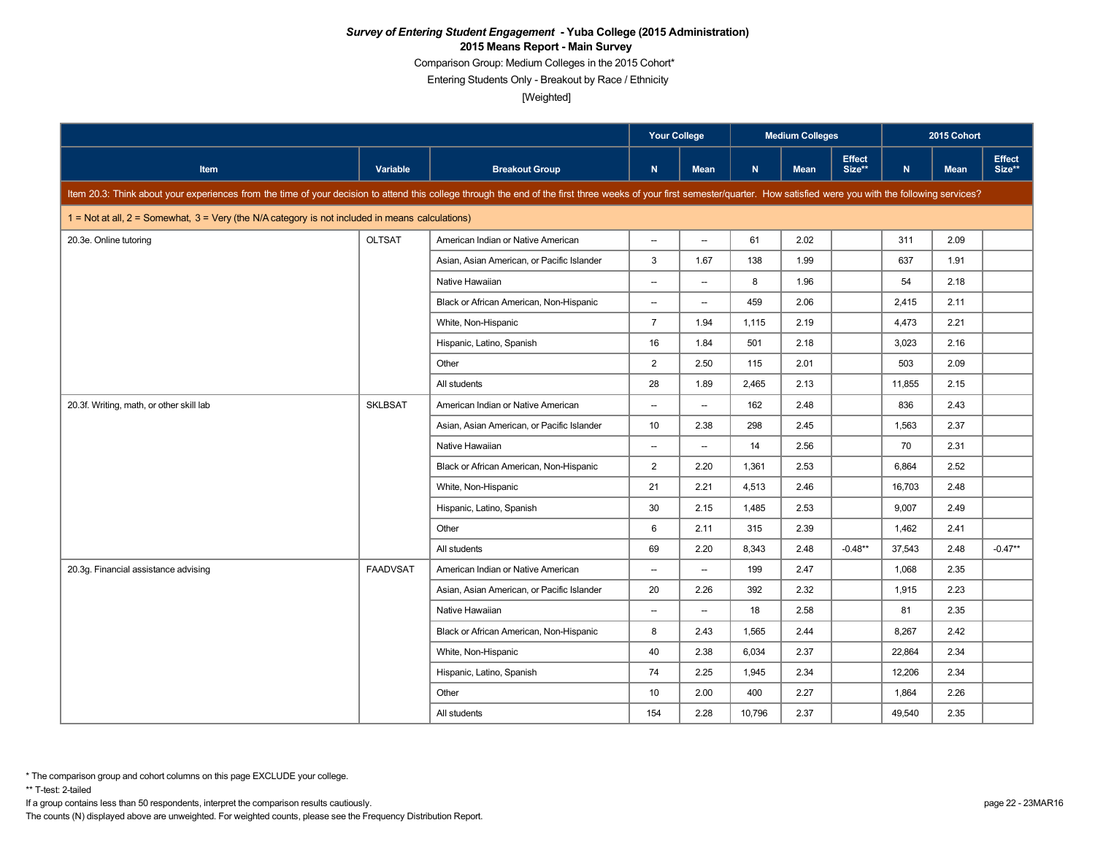Comparison Group: Medium Colleges in the 2015 Cohort\*

Entering Students Only - Breakout by Race / Ethnicity

[Weighted]

|                                                                                                                                                                                                                            |                 |                                            | <b>Your College</b>      |                          |        | <b>Medium Colleges</b> |                         |        | 2015 Cohort |                         |
|----------------------------------------------------------------------------------------------------------------------------------------------------------------------------------------------------------------------------|-----------------|--------------------------------------------|--------------------------|--------------------------|--------|------------------------|-------------------------|--------|-------------|-------------------------|
| <b>Item</b>                                                                                                                                                                                                                | Variable        | <b>Breakout Group</b>                      | N                        | <b>Mean</b>              | N      | <b>Mean</b>            | <b>Effect</b><br>Size** | N      | <b>Mean</b> | <b>Effect</b><br>Size** |
| Item 20.3: Think about your experiences from the time of your decision to attend this college through the end of the first three weeks of your first semester/quarter. How satisfied were you with the following services? |                 |                                            |                          |                          |        |                        |                         |        |             |                         |
| $1 = Not at all, 2 = Somewhat, 3 = Very (the N/A category is not included in means calculations)$                                                                                                                          |                 |                                            |                          |                          |        |                        |                         |        |             |                         |
| 20.3e. Online tutoring                                                                                                                                                                                                     | <b>OLTSAT</b>   | American Indian or Native American         | $\sim$                   | $\overline{\phantom{a}}$ | 61     | 2.02                   |                         | 311    | 2.09        |                         |
|                                                                                                                                                                                                                            |                 | Asian, Asian American, or Pacific Islander | 3                        | 1.67                     | 138    | 1.99                   |                         | 637    | 1.91        |                         |
|                                                                                                                                                                                                                            |                 | Native Hawaiian                            | $\overline{\phantom{a}}$ | $\overline{\phantom{0}}$ | 8      | 1.96                   |                         | 54     | 2.18        |                         |
|                                                                                                                                                                                                                            |                 | Black or African American, Non-Hispanic    | $\overline{\phantom{a}}$ | $\overline{\phantom{a}}$ | 459    | 2.06                   |                         | 2,415  | 2.11        |                         |
|                                                                                                                                                                                                                            |                 | White, Non-Hispanic                        | $\overline{7}$           | 1.94                     | 1,115  | 2.19                   |                         | 4,473  | 2.21        |                         |
|                                                                                                                                                                                                                            |                 | Hispanic, Latino, Spanish                  | 16                       | 1.84                     | 501    | 2.18                   |                         | 3,023  | 2.16        |                         |
|                                                                                                                                                                                                                            |                 | Other                                      | $\overline{2}$           | 2.50                     | 115    | 2.01                   |                         | 503    | 2.09        |                         |
|                                                                                                                                                                                                                            |                 | All students                               | 28                       | 1.89                     | 2.465  | 2.13                   |                         | 11.855 | 2.15        |                         |
| 20.3f. Writing, math, or other skill lab                                                                                                                                                                                   | <b>SKLBSAT</b>  | American Indian or Native American         | $\overline{\phantom{a}}$ | $\overline{\phantom{a}}$ | 162    | 2.48                   |                         | 836    | 2.43        |                         |
|                                                                                                                                                                                                                            |                 | Asian, Asian American, or Pacific Islander | 10 <sup>10</sup>         | 2.38                     | 298    | 2.45                   |                         | 1,563  | 2.37        |                         |
|                                                                                                                                                                                                                            |                 | Native Hawaiian                            | $\overline{\phantom{a}}$ | $\overline{\phantom{a}}$ | 14     | 2.56                   |                         | 70     | 2.31        |                         |
|                                                                                                                                                                                                                            |                 | Black or African American, Non-Hispanic    | $\overline{2}$           | 2.20                     | 1,361  | 2.53                   |                         | 6,864  | 2.52        |                         |
|                                                                                                                                                                                                                            |                 | White, Non-Hispanic                        | 21                       | 2.21                     | 4,513  | 2.46                   |                         | 16,703 | 2.48        |                         |
|                                                                                                                                                                                                                            |                 | Hispanic, Latino, Spanish                  | 30                       | 2.15                     | 1,485  | 2.53                   |                         | 9,007  | 2.49        |                         |
|                                                                                                                                                                                                                            |                 | Other                                      | 6                        | 2.11                     | 315    | 2.39                   |                         | 1.462  | 2.41        |                         |
|                                                                                                                                                                                                                            |                 | All students                               | 69                       | 2.20                     | 8,343  | 2.48                   | $-0.48**$               | 37,543 | 2.48        | $-0.47**$               |
| 20.3g. Financial assistance advising                                                                                                                                                                                       | <b>FAADVSAT</b> | American Indian or Native American         | $\overline{\phantom{a}}$ | $\overline{\phantom{0}}$ | 199    | 2.47                   |                         | 1,068  | 2.35        |                         |
|                                                                                                                                                                                                                            |                 | Asian, Asian American, or Pacific Islander | 20                       | 2.26                     | 392    | 2.32                   |                         | 1,915  | 2.23        |                         |
|                                                                                                                                                                                                                            |                 | Native Hawaiian                            | $\overline{\phantom{a}}$ | $\qquad \qquad -$        | 18     | 2.58                   |                         | 81     | 2.35        |                         |
|                                                                                                                                                                                                                            |                 | Black or African American, Non-Hispanic    | 8                        | 2.43                     | 1,565  | 2.44                   |                         | 8,267  | 2.42        |                         |
|                                                                                                                                                                                                                            |                 | White, Non-Hispanic                        | 40                       | 2.38                     | 6,034  | 2.37                   |                         | 22,864 | 2.34        |                         |
|                                                                                                                                                                                                                            |                 | Hispanic, Latino, Spanish                  | 74                       | 2.25                     | 1,945  | 2.34                   |                         | 12,206 | 2.34        |                         |
|                                                                                                                                                                                                                            |                 | Other                                      | 10                       | 2.00                     | 400    | 2.27                   |                         | 1,864  | 2.26        |                         |
|                                                                                                                                                                                                                            |                 | All students                               | 154                      | 2.28                     | 10,796 | 2.37                   |                         | 49,540 | 2.35        |                         |

\*\* T-test: 2-tailed

If a group contains less than 50 respondents, interpret the comparison results cautiously. page 22 - 23MAR16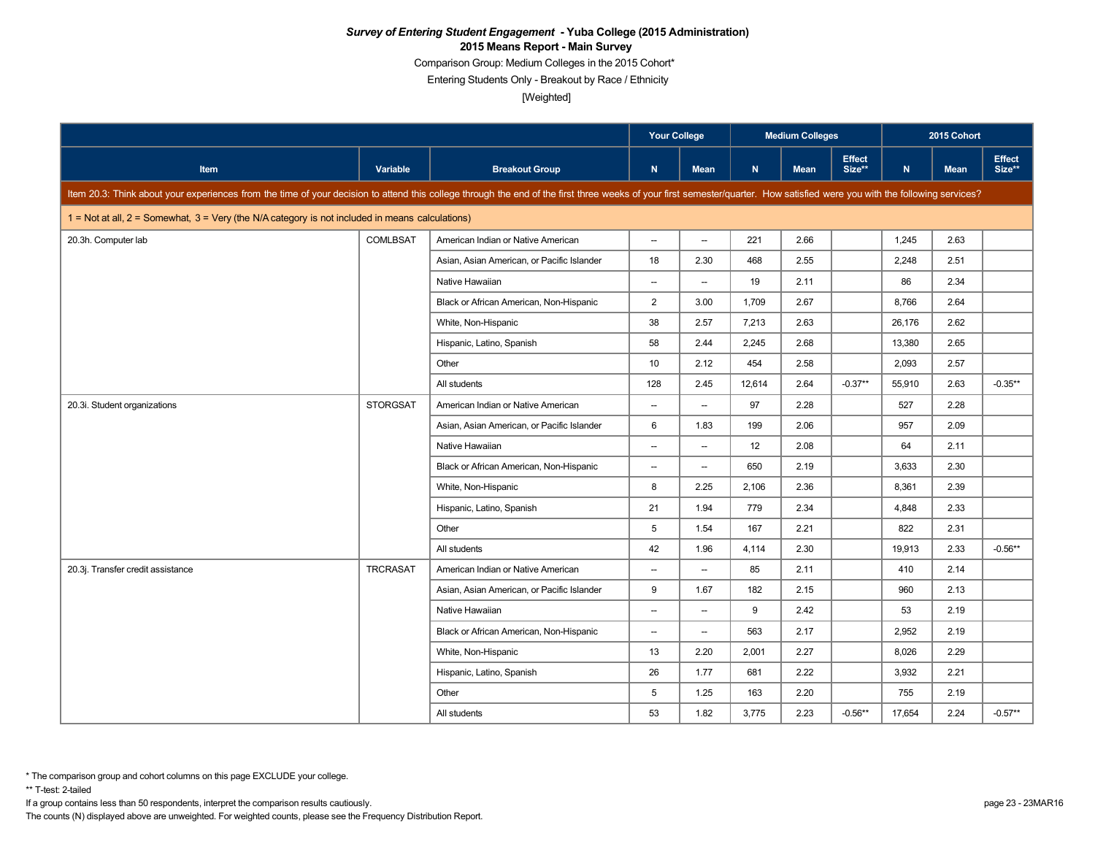Comparison Group: Medium Colleges in the 2015 Cohort\*

Entering Students Only - Breakout by Race / Ethnicity

[Weighted]

|                                                                                                                                                                                                                            |                 |                                            | <b>Your College</b>      |                          |        | <b>Medium Colleges</b> |                         |        | 2015 Cohort |                         |
|----------------------------------------------------------------------------------------------------------------------------------------------------------------------------------------------------------------------------|-----------------|--------------------------------------------|--------------------------|--------------------------|--------|------------------------|-------------------------|--------|-------------|-------------------------|
| Item                                                                                                                                                                                                                       | Variable        | <b>Breakout Group</b>                      | $\mathbf N$              | <b>Mean</b>              | N      | <b>Mean</b>            | <b>Effect</b><br>Size** | N      | <b>Mean</b> | <b>Effect</b><br>Size** |
| Item 20.3: Think about your experiences from the time of your decision to attend this college through the end of the first three weeks of your first semester/quarter. How satisfied were you with the following services? |                 |                                            |                          |                          |        |                        |                         |        |             |                         |
| 1 = Not at all, 2 = Somewhat, 3 = Very (the N/A category is not included in means calculations)                                                                                                                            |                 |                                            |                          |                          |        |                        |                         |        |             |                         |
| 20.3h. Computer lab                                                                                                                                                                                                        | <b>COMLBSAT</b> | American Indian or Native American         | $\overline{\phantom{a}}$ | $\overline{\phantom{a}}$ | 221    | 2.66                   |                         | 1,245  | 2.63        |                         |
|                                                                                                                                                                                                                            |                 | Asian, Asian American, or Pacific Islander | 18                       | 2.30                     | 468    | 2.55                   |                         | 2,248  | 2.51        |                         |
|                                                                                                                                                                                                                            |                 | Native Hawaiian                            | $\overline{\phantom{a}}$ | $\overline{\phantom{a}}$ | 19     | 2.11                   |                         | 86     | 2.34        |                         |
|                                                                                                                                                                                                                            |                 | Black or African American, Non-Hispanic    | $\overline{2}$           | 3.00                     | 1,709  | 2.67                   |                         | 8,766  | 2.64        |                         |
|                                                                                                                                                                                                                            |                 | White, Non-Hispanic                        | 38                       | 2.57                     | 7,213  | 2.63                   |                         | 26,176 | 2.62        |                         |
|                                                                                                                                                                                                                            |                 | Hispanic, Latino, Spanish                  | 58                       | 2.44                     | 2,245  | 2.68                   |                         | 13,380 | 2.65        |                         |
|                                                                                                                                                                                                                            |                 | Other                                      | 10                       | 2.12                     | 454    | 2.58                   |                         | 2,093  | 2.57        |                         |
|                                                                                                                                                                                                                            |                 | All students                               | 128                      | 2.45                     | 12,614 | 2.64                   | $-0.37**$               | 55,910 | 2.63        | $-0.35**$               |
| 20.3i. Student organizations                                                                                                                                                                                               | <b>STORGSAT</b> | American Indian or Native American         | $\overline{\phantom{a}}$ | $\overline{\phantom{a}}$ | 97     | 2.28                   |                         | 527    | 2.28        |                         |
|                                                                                                                                                                                                                            |                 | Asian, Asian American, or Pacific Islander | 6                        | 1.83                     | 199    | 2.06                   |                         | 957    | 2.09        |                         |
|                                                                                                                                                                                                                            |                 | Native Hawaiian                            | $\overline{\phantom{a}}$ | $\overline{\phantom{a}}$ | 12     | 2.08                   |                         | 64     | 2.11        |                         |
|                                                                                                                                                                                                                            |                 | Black or African American, Non-Hispanic    | $\overline{\phantom{a}}$ | $\overline{\phantom{a}}$ | 650    | 2.19                   |                         | 3,633  | 2.30        |                         |
|                                                                                                                                                                                                                            |                 | White, Non-Hispanic                        | 8                        | 2.25                     | 2,106  | 2.36                   |                         | 8,361  | 2.39        |                         |
|                                                                                                                                                                                                                            |                 | Hispanic, Latino, Spanish                  | 21                       | 1.94                     | 779    | 2.34                   |                         | 4,848  | 2.33        |                         |
|                                                                                                                                                                                                                            |                 | Other                                      | 5                        | 1.54                     | 167    | 2.21                   |                         | 822    | 2.31        |                         |
|                                                                                                                                                                                                                            |                 | All students                               | 42                       | 1.96                     | 4,114  | 2.30                   |                         | 19,913 | 2.33        | $-0.56**$               |
| 20.3j. Transfer credit assistance                                                                                                                                                                                          | <b>TRCRASAT</b> | American Indian or Native American         | $\overline{\phantom{a}}$ | $\overline{\phantom{a}}$ | 85     | 2.11                   |                         | 410    | 2.14        |                         |
|                                                                                                                                                                                                                            |                 | Asian, Asian American, or Pacific Islander | 9                        | 1.67                     | 182    | 2.15                   |                         | 960    | 2.13        |                         |
|                                                                                                                                                                                                                            |                 | Native Hawaiian                            | $\overline{\phantom{a}}$ | $\overline{\phantom{a}}$ | 9      | 2.42                   |                         | 53     | 2.19        |                         |
|                                                                                                                                                                                                                            |                 | Black or African American, Non-Hispanic    | $\overline{\phantom{a}}$ | $\overline{\phantom{a}}$ | 563    | 2.17                   |                         | 2,952  | 2.19        |                         |
|                                                                                                                                                                                                                            |                 | White, Non-Hispanic                        | 13                       | 2.20                     | 2,001  | 2.27                   |                         | 8,026  | 2.29        |                         |
|                                                                                                                                                                                                                            |                 | Hispanic, Latino, Spanish                  | 26                       | 1.77                     | 681    | 2.22                   |                         | 3,932  | 2.21        |                         |
|                                                                                                                                                                                                                            |                 | Other                                      | 5                        | 1.25                     | 163    | 2.20                   |                         | 755    | 2.19        |                         |
|                                                                                                                                                                                                                            |                 | All students                               | 53                       | 1.82                     | 3,775  | 2.23                   | $-0.56**$               | 17,654 | 2.24        | $-0.57**$               |

\*\* T-test: 2-tailed

If a group contains less than 50 respondents, interpret the comparison results cautiously. page 23 - 23MAR16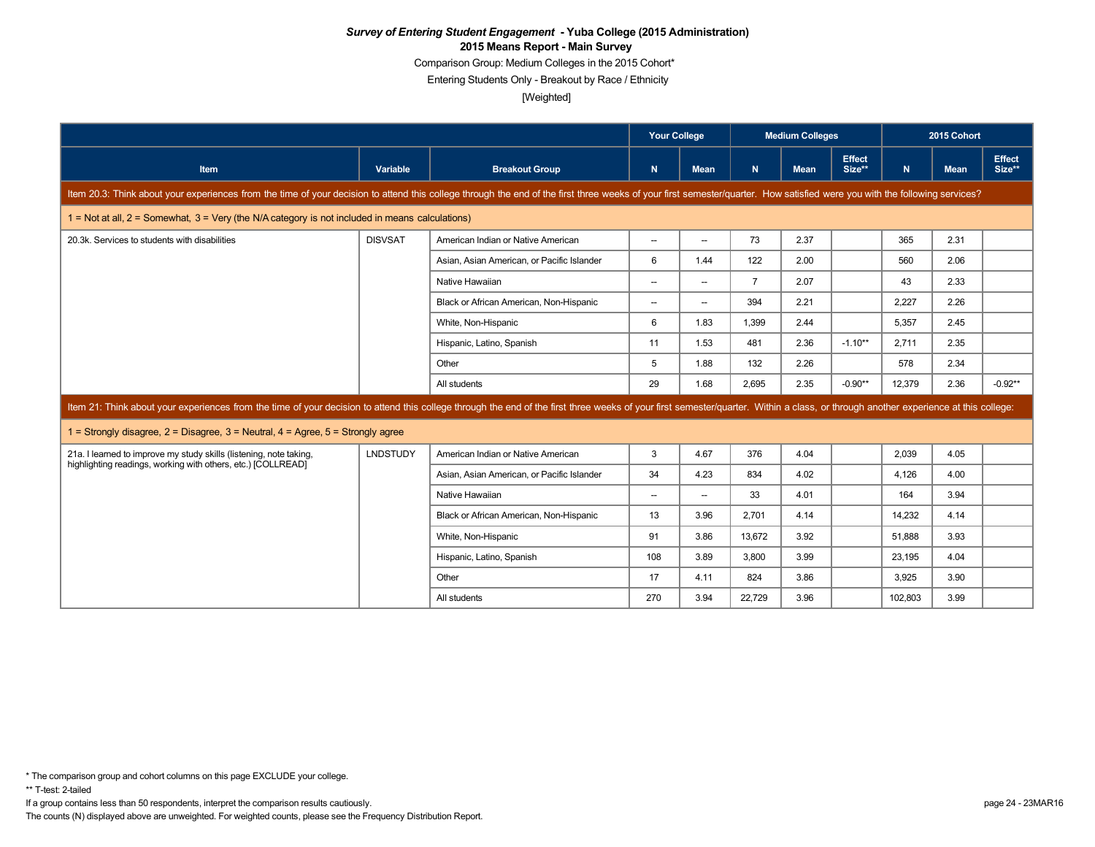Comparison Group: Medium Colleges in the 2015 Cohort\*

Entering Students Only - Breakout by Race / Ethnicity

[Weighted]

|                                                                                                                                                                                                                                |                 |                                            |                          | <b>Your College</b>      |                | <b>Medium Colleges</b> |                         |         | 2015 Cohort |                         |
|--------------------------------------------------------------------------------------------------------------------------------------------------------------------------------------------------------------------------------|-----------------|--------------------------------------------|--------------------------|--------------------------|----------------|------------------------|-------------------------|---------|-------------|-------------------------|
| Item                                                                                                                                                                                                                           | Variable        | <b>Breakout Group</b>                      | N                        | <b>Mean</b>              | N.             | <b>Mean</b>            | <b>Effect</b><br>Size** | N.      | <b>Mean</b> | <b>Effect</b><br>Size** |
| Item 20.3: Think about your experiences from the time of your decision to attend this college through the end of the first three weeks of your first semester/quarter. How satisfied were you with the following services?     |                 |                                            |                          |                          |                |                        |                         |         |             |                         |
| $1 =$ Not at all, $2 =$ Somewhat, $3 =$ Very (the N/A category is not included in means calculations)                                                                                                                          |                 |                                            |                          |                          |                |                        |                         |         |             |                         |
| 20.3k. Services to students with disabilities                                                                                                                                                                                  | <b>DISVSAT</b>  | American Indian or Native American         | $\overline{\phantom{0}}$ | $\overline{a}$           | 73             | 2.37                   |                         | 365     | 2.31        |                         |
|                                                                                                                                                                                                                                |                 | Asian, Asian American, or Pacific Islander | 6                        | 1.44                     | 122            | 2.00                   |                         | 560     | 2.06        |                         |
|                                                                                                                                                                                                                                |                 | Native Hawaiian                            | $\overline{\phantom{0}}$ | $\overline{\phantom{a}}$ | $\overline{7}$ | 2.07                   |                         | 43      | 2.33        |                         |
|                                                                                                                                                                                                                                |                 | Black or African American, Non-Hispanic    | $\overline{\phantom{0}}$ | $\overline{\phantom{a}}$ | 394            | 2.21                   |                         | 2.227   | 2.26        |                         |
|                                                                                                                                                                                                                                |                 | White, Non-Hispanic                        | 6                        | 1.83                     | 1.399          | 2.44                   |                         | 5.357   | 2.45        |                         |
|                                                                                                                                                                                                                                |                 | Hispanic, Latino, Spanish                  | 11                       | 1.53                     | 481            | 2.36                   | $-1.10**$               | 2.711   | 2.35        |                         |
|                                                                                                                                                                                                                                |                 | Other                                      | 5                        | 1.88                     | 132            | 2.26                   |                         | 578     | 2.34        |                         |
|                                                                                                                                                                                                                                |                 | All students                               | 29                       | 1.68                     | 2.695          | 2.35                   | $-0.90**$               | 12.379  | 2.36        | $-0.92**$               |
| Item 21: Think about your experiences from the time of your decision to attend this college through the end of the first three weeks of your first semester/quarter. Within a class, or through another experience at this col |                 |                                            |                          |                          |                |                        |                         |         |             |                         |
| 1 = Strongly disagree, $2$ = Disagree, $3$ = Neutral, $4$ = Agree, $5$ = Strongly agree                                                                                                                                        |                 |                                            |                          |                          |                |                        |                         |         |             |                         |
| 21a. I learned to improve my study skills (listening, note taking,                                                                                                                                                             | <b>LNDSTUDY</b> | American Indian or Native American         | 3                        | 4.67                     | 376            | 4.04                   |                         | 2.039   | 4.05        |                         |
| highlighting readings, working with others, etc.) [COLLREAD]                                                                                                                                                                   |                 | Asian, Asian American, or Pacific Islander | 34                       | 4.23                     | 834            | 4.02                   |                         | 4.126   | 4.00        |                         |
|                                                                                                                                                                                                                                |                 | Native Hawaiian                            | $\overline{\phantom{a}}$ | $\overline{\phantom{a}}$ | 33             | 4.01                   |                         | 164     | 3.94        |                         |
|                                                                                                                                                                                                                                |                 | Black or African American, Non-Hispanic    | 13                       | 3.96                     | 2.701          | 4.14                   |                         | 14,232  | 4.14        |                         |
|                                                                                                                                                                                                                                |                 | White, Non-Hispanic                        | 91                       | 3.86                     | 13.672         | 3.92                   |                         | 51.888  | 3.93        |                         |
|                                                                                                                                                                                                                                |                 | Hispanic, Latino, Spanish                  | 108                      | 3.89                     | 3.800          | 3.99                   |                         | 23.195  | 4.04        |                         |
|                                                                                                                                                                                                                                |                 | Other                                      | 17                       | 4.11                     | 824            | 3.86                   |                         | 3.925   | 3.90        |                         |
|                                                                                                                                                                                                                                |                 | All students                               | 270                      | 3.94                     | 22.729         | 3.96                   |                         | 102.803 | 3.99        |                         |

\*\* T-test: 2-tailed

If a group contains less than 50 respondents, interpret the comparison results cautiously. page 24 - 23MAR16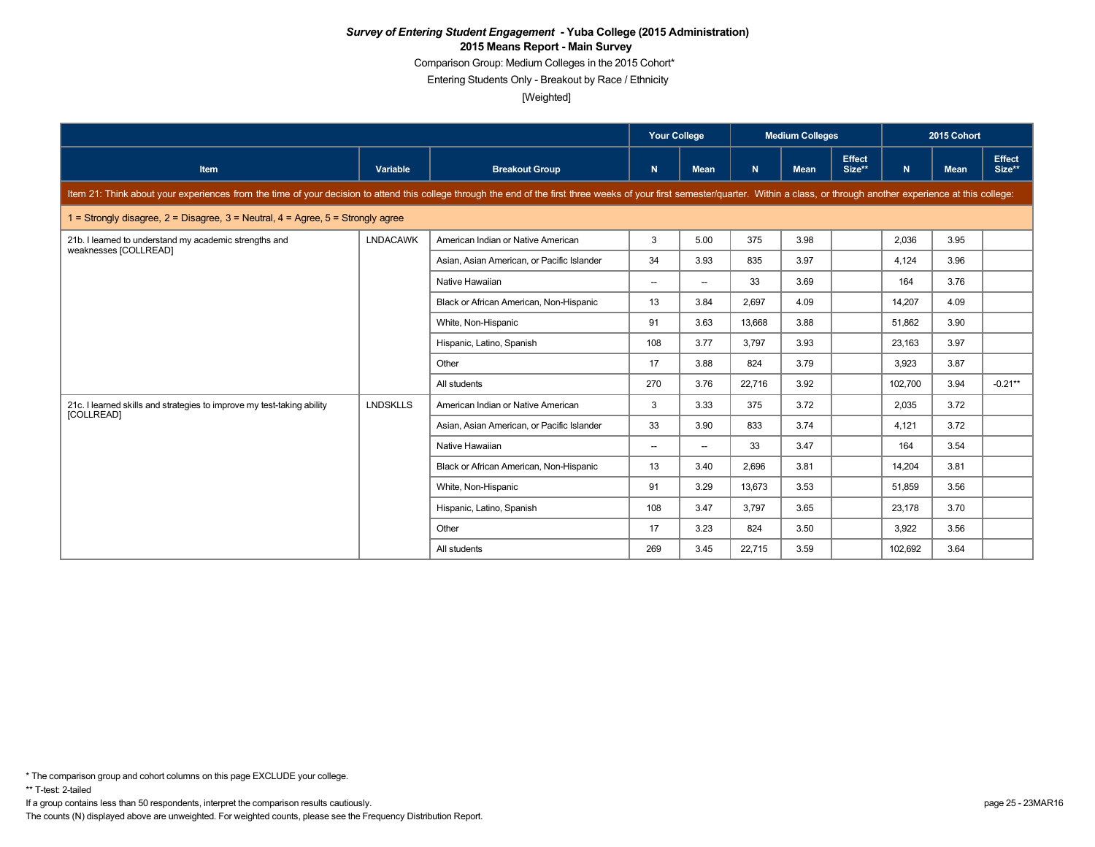Comparison Group: Medium Colleges in the 2015 Cohort\*

Entering Students Only - Breakout by Race / Ethnicity

[Weighted]

|                                                                                                                                                                                                                                |                 |                                            | <b>Your College</b>      |                          | <b>Medium Colleges</b> |             |                         | 2015 Cohort |             |                         |  |  |
|--------------------------------------------------------------------------------------------------------------------------------------------------------------------------------------------------------------------------------|-----------------|--------------------------------------------|--------------------------|--------------------------|------------------------|-------------|-------------------------|-------------|-------------|-------------------------|--|--|
| Item                                                                                                                                                                                                                           | Variable        | <b>Breakout Group</b>                      | N                        | <b>Mean</b>              | $\mathbf N$            | <b>Mean</b> | <b>Effect</b><br>Size** | N.          | <b>Mean</b> | <b>Effect</b><br>Size** |  |  |
| Item 21: Think about your experiences from the time of your decision to attend this college through the end of the first three weeks of your first semester/quarter. Within a class, or through another experience at this col |                 |                                            |                          |                          |                        |             |                         |             |             |                         |  |  |
| 1 = Strongly disagree, $2$ = Disagree, $3$ = Neutral, $4$ = Agree, $5$ = Strongly agree                                                                                                                                        |                 |                                            |                          |                          |                        |             |                         |             |             |                         |  |  |
| 21b. I learned to understand my academic strengths and<br>weaknesses [COLLREAD]                                                                                                                                                | <b>LNDACAWK</b> | American Indian or Native American         | 3                        | 5.00                     | 375                    | 3.98        |                         | 2.036       | 3.95        |                         |  |  |
|                                                                                                                                                                                                                                |                 | Asian, Asian American, or Pacific Islander | 34                       | 3.93                     | 835                    | 3.97        |                         | 4.124       | 3.96        |                         |  |  |
|                                                                                                                                                                                                                                |                 | Native Hawaiian                            | $\overline{\phantom{a}}$ | $\overline{\phantom{a}}$ | 33                     | 3.69        |                         | 164         | 3.76        |                         |  |  |
|                                                                                                                                                                                                                                |                 | Black or African American, Non-Hispanic    | 13                       | 3.84                     | 2.697                  | 4.09        |                         | 14.207      | 4.09        |                         |  |  |
|                                                                                                                                                                                                                                |                 | White, Non-Hispanic                        | 91                       | 3.63                     | 13,668                 | 3.88        |                         | 51.862      | 3.90        |                         |  |  |
|                                                                                                                                                                                                                                |                 | Hispanic, Latino, Spanish                  | 108                      | 3.77                     | 3.797                  | 3.93        |                         | 23.163      | 3.97        |                         |  |  |
|                                                                                                                                                                                                                                |                 | Other                                      | 17                       | 3.88                     | 824                    | 3.79        |                         | 3.923       | 3.87        |                         |  |  |
|                                                                                                                                                                                                                                |                 | All students                               | 270                      | 3.76                     | 22,716                 | 3.92        |                         | 102.700     | 3.94        | $-0.21**$               |  |  |
| 21c. I learned skills and strategies to improve my test-taking ability<br>[COLLREAD]                                                                                                                                           | <b>LNDSKLLS</b> | American Indian or Native American         | 3                        | 3.33                     | 375                    | 3.72        |                         | 2.035       | 3.72        |                         |  |  |
|                                                                                                                                                                                                                                |                 | Asian, Asian American, or Pacific Islander | 33                       | 3.90                     | 833                    | 3.74        |                         | 4,121       | 3.72        |                         |  |  |
|                                                                                                                                                                                                                                |                 | Native Hawaiian                            | $\overline{\phantom{a}}$ | $\overline{\phantom{a}}$ | 33                     | 3.47        |                         | 164         | 3.54        |                         |  |  |
|                                                                                                                                                                                                                                |                 | Black or African American, Non-Hispanic    | 13                       | 3.40                     | 2,696                  | 3.81        |                         | 14,204      | 3.81        |                         |  |  |
|                                                                                                                                                                                                                                |                 | White, Non-Hispanic                        | 91                       | 3.29                     | 13,673                 | 3.53        |                         | 51,859      | 3.56        |                         |  |  |
|                                                                                                                                                                                                                                |                 | Hispanic, Latino, Spanish                  | 108                      | 3.47                     | 3,797                  | 3.65        |                         | 23,178      | 3.70        |                         |  |  |
|                                                                                                                                                                                                                                |                 | Other                                      | 17                       | 3.23                     | 824                    | 3.50        |                         | 3,922       | 3.56        |                         |  |  |
|                                                                                                                                                                                                                                |                 | All students                               | 269                      | 3.45                     | 22,715                 | 3.59        |                         | 102,692     | 3.64        |                         |  |  |

\* The comparison group and cohort columns on this page EXCLUDE your college.

\*\* T-test: 2-tailed

If a group contains less than 50 respondents, interpret the comparison results cautiously. page 25 - 23MAR16